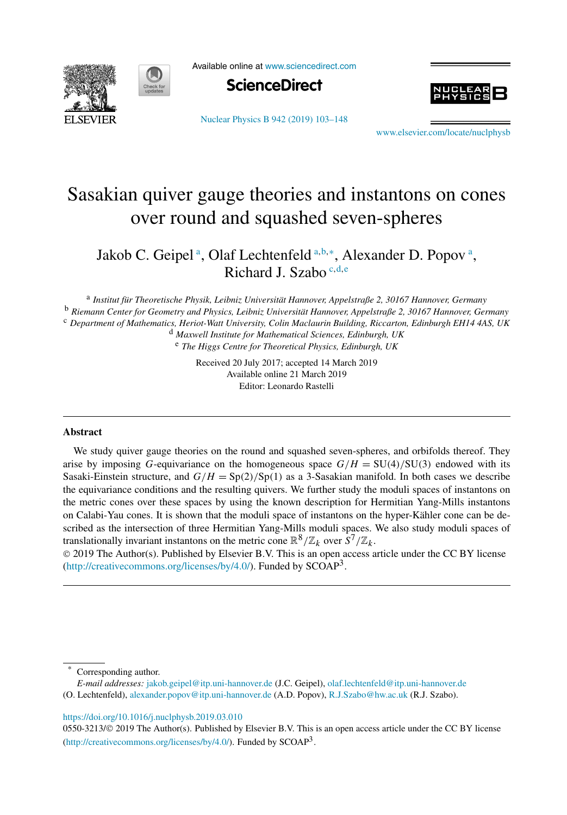



Available online at [www.sciencedirect.com](http://www.sciencedirect.com)



[Nuclear Physics B 942 \(2019\) 103–148](https://doi.org/10.1016/j.nuclphysb.2019.03.010)

www.elsevier.com/locate/nuclphysh

# Sasakian quiver gauge theories and instantons on cones over round and squashed seven-spheres

Jakob C. Geipel<sup>a</sup>, Olaf Lechtenfeld<sup>a,b,\*</sup>, Alexander D. Popov<sup>a</sup>, Richard J. Szabo <sup>c</sup>*,*d*,*<sup>e</sup>

<sup>a</sup> *Institut für Theoretische Physik, Leibniz Universität Hannover, Appelstraße 2, 30167 Hannover, Germany* <sup>b</sup> *Riemann Center for Geometry and Physics, Leibniz Universität Hannover, Appelstraße 2, 30167 Hannover, Germany* <sup>c</sup> *Department of Mathematics, Heriot-Watt University, Colin Maclaurin Building, Riccarton, Edinburgh EH14 4AS, UK* <sup>d</sup> *Maxwell Institute for Mathematical Sciences, Edinburgh, UK*

<sup>e</sup> *The Higgs Centre for Theoretical Physics, Edinburgh, UK*

Received 20 July 2017; accepted 14 March 2019 Available online 21 March 2019 Editor: Leonardo Rastelli

#### **Abstract**

We study quiver gauge theories on the round and squashed seven-spheres, and orbifolds thereof. They arise by imposing *G*-equivariance on the homogeneous space  $G/H = SU(4)/SU(3)$  endowed with its Sasaki-Einstein structure, and  $G/H = Sp(2)/Sp(1)$  as a 3-Sasakian manifold. In both cases we describe the equivariance conditions and the resulting quivers. We further study the moduli spaces of instantons on the metric cones over these spaces by using the known description for Hermitian Yang-Mills instantons on Calabi-Yau cones. It is shown that the moduli space of instantons on the hyper-Kähler cone can be described as the intersection of three Hermitian Yang-Mills moduli spaces. We also study moduli spaces of translationally invariant instantons on the metric cone  $\mathbb{R}^8/\mathbb{Z}_k$  over  $S^7/\mathbb{Z}_k$ .

© 2019 The Author(s). Published by Elsevier B.V. This is an open access article under the CC BY license [\(http://creativecommons.org/licenses/by/4.0/](http://creativecommons.org/licenses/by/4.0/)). Funded by  $SCOAP<sup>3</sup>$ .

Corresponding author.

*E-mail addresses:* [jakob.geipel@itp.uni-hannover.de](mailto:jakob.geipel@itp.uni-hannover.de) (J.C. Geipel), [olaf.lechtenfeld@itp.uni-hannover.de](mailto:olaf.lechtenfeld@itp.uni-hannover.de)

(O. Lechtenfeld), [alexander.popov@itp.uni-hannover.de](mailto:alexander.popov@itp.uni-hannover.de) (A.D. Popov), [R.J.Szabo@hw.ac.uk](mailto:R.J.Szabo@hw.ac.uk) (R.J. Szabo).

#### <https://doi.org/10.1016/j.nuclphysb.2019.03.010>

0550-3213/© 2019 The Author(s). Published by Elsevier B.V. This is an open access article under the CC BY license [\(http://creativecommons.org/licenses/by/4.0/](http://creativecommons.org/licenses/by/4.0/)). Funded by SCOAP<sup>3</sup>.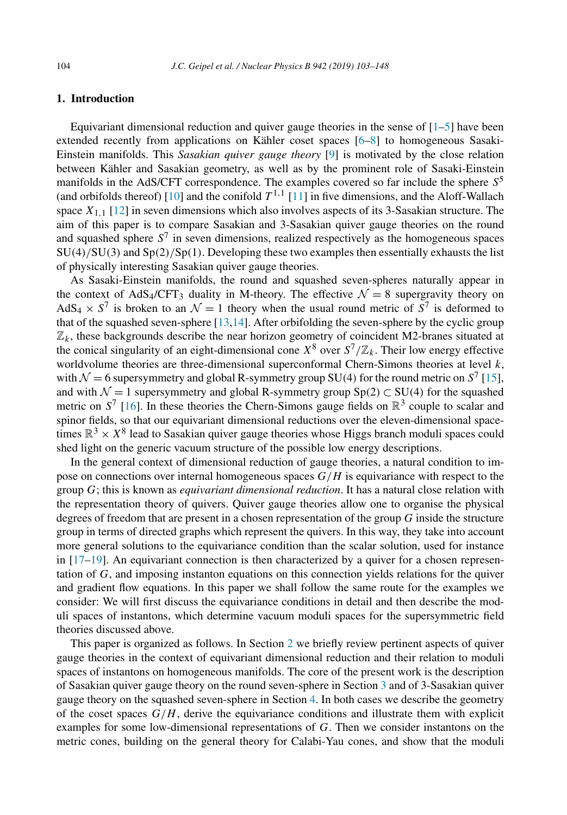# <span id="page-1-0"></span>**1. Introduction**

Equivariant dimensional reduction and quiver gauge theories in the sense of  $[1-5]$  have been extended recently from applications on Kähler coset spaces [\[6–8\]](#page-44-0) to homogeneous Sasaki-Einstein manifolds. This *Sasakian quiver gauge theory* [\[9\]](#page-44-0) is motivated by the close relation between Kähler and Sasakian geometry, as well as by the prominent role of Sasaki-Einstein manifolds in the AdS/CFT correspondence. The examples covered so far include the sphere *S*<sup>5</sup> (and orbifolds thereof) [\[10\]](#page-44-0) and the conifold  $T^{1,1}$  [\[11\]](#page-44-0) in five dimensions, and the Aloff-Wallach space  $X_{1,1}$  [\[12\]](#page-44-0) in seven dimensions which also involves aspects of its 3-Sasakian structure. The aim of this paper is to compare Sasakian and 3-Sasakian quiver gauge theories on the round and squashed sphere *S*<sup>7</sup> in seven dimensions, realized respectively as the homogeneous spaces SU*(*4*)/*SU*(*3*)* and Sp*(*2*)/*Sp*(*1*)*. Developing these two examples then essentially exhausts the list of physically interesting Sasakian quiver gauge theories.

As Sasaki-Einstein manifolds, the round and squashed seven-spheres naturally appear in the context of AdS<sub>4</sub>/CFT<sub>3</sub> duality in M-theory. The effective  $\mathcal{N} = 8$  supergravity theory on AdS<sub>4</sub>  $\times$  S<sup>7</sup> is broken to an  $\mathcal{N} = 1$  theory when the usual round metric of  $\overline{S}^7$  is deformed to that of the squashed seven-sphere  $[13,14]$ . After orbifolding the seven-sphere by the cyclic group  $\mathbb{Z}_k$ , these backgrounds describe the near horizon geometry of coincident M2-branes situated at the conical singularity of an eight-dimensional cone  $X^8$  over  $S^7/\mathbb{Z}_k$ . Their low energy effective worldvolume theories are three-dimensional superconformal Chern-Simons theories at level *k*, with  $\mathcal{N} = 6$  supersymmetry and global R-symmetry group SU(4) for the round metric on  $S^7$  [\[15\]](#page-44-0), and with  $\mathcal{N} = 1$  supersymmetry and global R-symmetry group  $Sp(2) \subset SU(4)$  for the squashed metric on  $S^7$  [\[16\]](#page-44-0). In these theories the Chern-Simons gauge fields on  $\mathbb{R}^3$  couple to scalar and spinor fields, so that our equivariant dimensional reductions over the eleven-dimensional spacetimes  $\mathbb{R}^3 \times X^8$  lead to Sasakian quiver gauge theories whose Higgs branch moduli spaces could shed light on the generic vacuum structure of the possible low energy descriptions.

In the general context of dimensional reduction of gauge theories, a natural condition to impose on connections over internal homogeneous spaces *G/H* is equivariance with respect to the group *G*; this is known as *equivariant dimensional reduction*. It has a natural close relation with the representation theory of quivers. Quiver gauge theories allow one to organise the physical degrees of freedom that are present in a chosen representation of the group *G* inside the structure group in terms of directed graphs which represent the quivers. In this way, they take into account more general solutions to the equivariance condition than the scalar solution, used for instance in  $[17–19]$ . An equivariant connection is then characterized by a quiver for a chosen representation of *G*, and imposing instanton equations on this connection yields relations for the quiver and gradient flow equations. In this paper we shall follow the same route for the examples we consider: We will first discuss the equivariance conditions in detail and then describe the moduli spaces of instantons, which determine vacuum moduli spaces for the supersymmetric field theories discussed above.

This paper is organized as follows. In Section [2](#page-2-0) we briefly review pertinent aspects of quiver gauge theories in the context of equivariant dimensional reduction and their relation to moduli spaces of instantons on homogeneous manifolds. The core of the present work is the description of Sasakian quiver gauge theory on the round seven-sphere in Section [3](#page-4-0) and of 3-Sasakian quiver gauge theory on the squashed seven-sphere in Section [4.](#page-17-0) In both cases we describe the geometry of the coset spaces  $G/H$ , derive the equivariance conditions and illustrate them with explicit examples for some low-dimensional representations of *G*. Then we consider instantons on the metric cones, building on the general theory for Calabi-Yau cones, and show that the moduli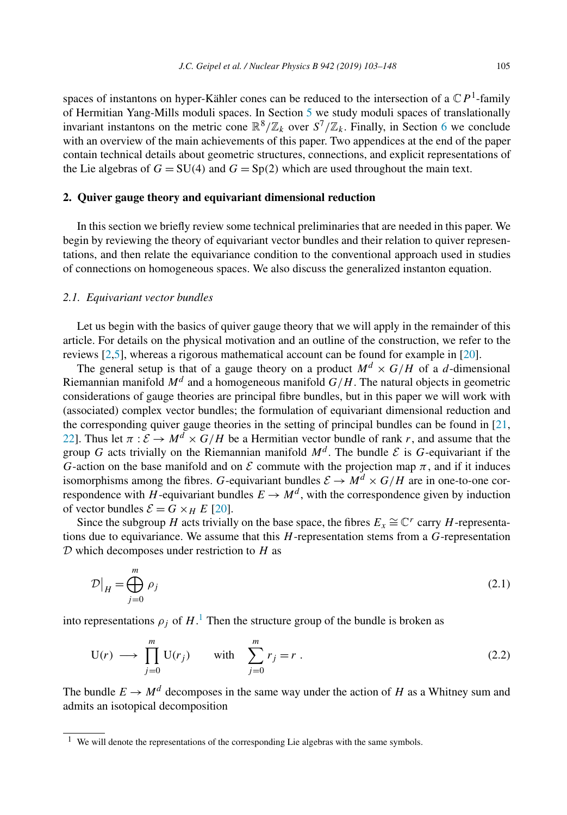<span id="page-2-0"></span>spaces of instantons on hyper-Kähler cones can be reduced to the intersection of a  $\mathbb{C}P$ <sup>1</sup>-family of Hermitian Yang-Mills moduli spaces. In Section [5](#page-28-0) we study moduli spaces of translationally invariant instantons on the metric cone  $\mathbb{R}^8/\mathbb{Z}_k$  over  $S^7/\mathbb{Z}_k$ . Finally, in Section [6](#page-33-0) we conclude with an overview of the main achievements of this paper. Two appendices at the end of the paper contain technical details about geometric structures, connections, and explicit representations of the Lie algebras of  $G = SU(4)$  and  $G = Sp(2)$  which are used throughout the main text.

# **2. Quiver gauge theory and equivariant dimensional reduction**

In this section we briefly review some technical preliminaries that are needed in this paper. We begin by reviewing the theory of equivariant vector bundles and their relation to quiver representations, and then relate the equivariance condition to the conventional approach used in studies of connections on homogeneous spaces. We also discuss the generalized instanton equation.

#### *2.1. Equivariant vector bundles*

Let us begin with the basics of quiver gauge theory that we will apply in the remainder of this article. For details on the physical motivation and an outline of the construction, we refer to the reviews [\[2,5\]](#page-44-0), whereas a rigorous mathematical account can be found for example in [\[20\]](#page-44-0).

The general setup is that of a gauge theory on a product  $M^d \times G/H$  of a *d*-dimensional Riemannian manifold  $M^d$  and a homogeneous manifold  $G/H$ . The natural objects in geometric considerations of gauge theories are principal fibre bundles, but in this paper we will work with (associated) complex vector bundles; the formulation of equivariant dimensional reduction and the corresponding quiver gauge theories in the setting of principal bundles can be found in [\[21,](#page-44-0) [22\]](#page-44-0). Thus let  $\pi : \mathcal{E} \to M^d \times G/H$  be a Hermitian vector bundle of rank r, and assume that the group *G* acts trivially on the Riemannian manifold  $M<sup>d</sup>$ . The bundle  $\mathcal E$  is *G*-equivariant if the *G*-action on the base manifold and on  $\mathcal E$  commute with the projection map  $\pi$ , and if it induces isomorphisms among the fibres. *G*-equivariant bundles  $\mathcal{E} \rightarrow M^d \times G/H$  are in one-to-one correspondence with *H*-equivariant bundles  $E \to M^d$ , with the correspondence given by induction of vector bundles  $\mathcal{E} = G \times_H E$  [\[20\]](#page-44-0).

Since the subgroup *H* acts trivially on the base space, the fibres  $E_x \cong \mathbb{C}^r$  carry *H*-representations due to equivariance. We assume that this *H*-representation stems from a *G*-representation D which decomposes under restriction to *H* as

$$
\mathcal{D}\big|_{H} = \bigoplus_{j=0}^{m} \rho_j \tag{2.1}
$$

into representations  $\rho_j$  of  $H$ <sup>1</sup>. Then the structure group of the bundle is broken as

$$
U(r) \longrightarrow \prod_{j=0}^{m} U(r_j) \quad \text{with} \quad \sum_{j=0}^{m} r_j = r . \tag{2.2}
$$

The bundle  $E \to M^d$  decomposes in the same way under the action of *H* as a Whitney sum and admits an isotopical decomposition

<sup>1</sup> We will denote the representations of the corresponding Lie algebras with the same symbols.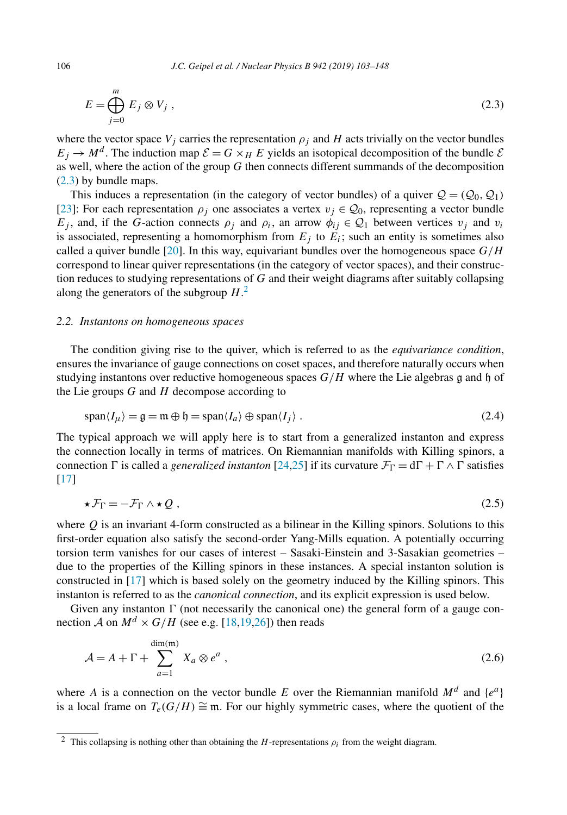$$
E = \bigoplus_{j=0}^{m} E_j \otimes V_j , \qquad (2.3)
$$

where the vector space  $V_i$  carries the representation  $\rho_i$  and  $H$  acts trivially on the vector bundles  $E_i \to M^d$ . The induction map  $\mathcal{E} = G \times_H E$  yields an isotopical decomposition of the bundle  $\mathcal{E}$ as well, where the action of the group *G* then connects different summands of the decomposition (2.3) by bundle maps.

This induces a representation (in the category of vector bundles) of a quiver  $Q = (Q_0, Q_1)$ [\[23\]](#page-44-0): For each representation  $\rho_i$  one associates a vertex  $v_i \in Q_0$ , representing a vector bundle *E<sub>i</sub>*, and, if the *G*-action connects  $\rho_i$  and  $\rho_i$ , an arrow  $\phi_{ij} \in Q_1$  between vertices  $v_i$  and  $v_i$ is associated, representing a homomorphism from  $E_i$  to  $E_i$ ; such an entity is sometimes also called a quiver bundle [\[20\]](#page-44-0). In this way, equivariant bundles over the homogeneous space  $G/H$ correspond to linear quiver representations (in the category of vector spaces), and their construction reduces to studying representations of *G* and their weight diagrams after suitably collapsing along the generators of the subgroup *H*. 2

# *2.2. Instantons on homogeneous spaces*

The condition giving rise to the quiver, which is referred to as the *equivariance condition*, ensures the invariance of gauge connections on coset spaces, and therefore naturally occurs when studying instantons over reductive homogeneous spaces  $G/H$  where the Lie algebras g and h of the Lie groups *G* and *H* decompose according to

$$
\text{span}\langle I_{\mu}\rangle = \mathfrak{g} = \mathfrak{m} \oplus \mathfrak{h} = \text{span}\langle I_a \rangle \oplus \text{span}\langle I_j \rangle. \tag{2.4}
$$

The typical approach we will apply here is to start from a generalized instanton and express the connection locally in terms of matrices. On Riemannian manifolds with Killing spinors, a connection  $\Gamma$  is called a *generalized instanton* [\[24,25\]](#page-44-0) if its curvature  $\mathcal{F}_{\Gamma} = d\Gamma + \Gamma \wedge \Gamma$  satisfies [\[17\]](#page-44-0)

$$
\star \mathcal{F}_{\Gamma} = -\mathcal{F}_{\Gamma} \wedge \star \mathcal{Q} \tag{2.5}
$$

where  $O$  is an invariant 4-form constructed as a bilinear in the Killing spinors. Solutions to this first-order equation also satisfy the second-order Yang-Mills equation. A potentially occurring torsion term vanishes for our cases of interest – Sasaki-Einstein and 3-Sasakian geometries – due to the properties of the Killing spinors in these instances. A special instanton solution is constructed in [\[17\]](#page-44-0) which is based solely on the geometry induced by the Killing spinors. This instanton is referred to as the *canonical connection*, and its explicit expression is used below.

Given any instanton  $\Gamma$  (not necessarily the canonical one) the general form of a gauge connection *A* on  $M^d \times G/H$  (see e.g. [\[18,19,26\]](#page-44-0)) then reads

$$
\mathcal{A} = A + \Gamma + \sum_{a=1}^{\dim(\mathfrak{m})} X_a \otimes e^a , \qquad (2.6)
$$

where *A* is a connection on the vector bundle *E* over the Riemannian manifold  $M^d$  and  $\{e^a\}$ is a local frame on  $T_e(G/H) \cong \mathfrak{m}$ . For our highly symmetric cases, where the quotient of the

<span id="page-3-0"></span>

<sup>2</sup> This collapsing is nothing other than obtaining the *H*-representations *ρi* from the weight diagram.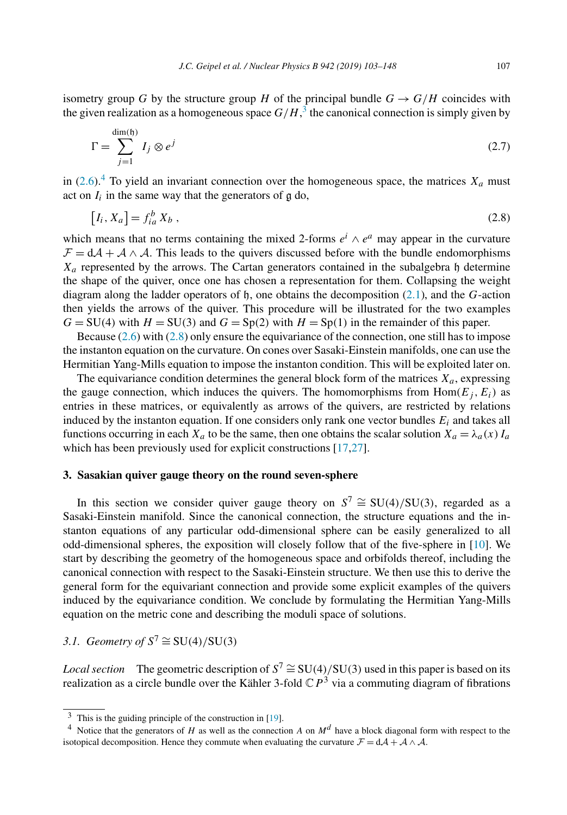<span id="page-4-0"></span>isometry group *G* by the structure group *H* of the principal bundle  $G \rightarrow G/H$  coincides with the given realization as a homogeneous space  $G/H$ ,  $^3$  the canonical connection is simply given by

$$
\Gamma = \sum_{j=1}^{\dim(\mathfrak{h})} I_j \otimes e^j \tag{2.7}
$$

in [\(2.6\)](#page-3-0).<sup>4</sup> To yield an invariant connection over the homogeneous space, the matrices  $X_a$  must act on  $I_i$  in the same way that the generators of  $g$  do,

$$
[I_i, X_a] = f_{ia}^b X_b , \qquad (2.8)
$$

which means that no terms containing the mixed 2-forms  $e^i \wedge e^a$  may appear in the curvature  $\mathcal{F} = d\mathcal{A} + \mathcal{A} \wedge \mathcal{A}$ . This leads to the quivers discussed before with the bundle endomorphisms  $X_a$  represented by the arrows. The Cartan generators contained in the subalgebra  $\mathfrak h$  determine the shape of the quiver, once one has chosen a representation for them. Collapsing the weight diagram along the ladder operators of h, one obtains the decomposition [\(2.1\)](#page-2-0), and the *G*-action then yields the arrows of the quiver. This procedure will be illustrated for the two examples  $G = SU(4)$  with  $H = SU(3)$  and  $G = Sp(2)$  with  $H = Sp(1)$  in the remainder of this paper.

Because [\(2.6\)](#page-3-0) with (2.8) only ensure the equivariance of the connection, one still has to impose the instanton equation on the curvature. On cones over Sasaki-Einstein manifolds, one can use the Hermitian Yang-Mills equation to impose the instanton condition. This will be exploited later on.

The equivariance condition determines the general block form of the matrices  $X_a$ , expressing the gauge connection, which induces the quivers. The homomorphisms from  $Hom(E_i, E_i)$  as entries in these matrices, or equivalently as arrows of the quivers, are restricted by relations induced by the instanton equation. If one considers only rank one vector bundles  $E_i$  and takes all functions occurring in each  $X_a$  to be the same, then one obtains the scalar solution  $X_a = \lambda_a(x) I_a$ which has been previously used for explicit constructions [\[17,27\]](#page-44-0).

#### **3. Sasakian quiver gauge theory on the round seven-sphere**

In this section we consider quiver gauge theory on  $S^7 \cong SU(4)/SU(3)$ , regarded as a Sasaki-Einstein manifold. Since the canonical connection, the structure equations and the instanton equations of any particular odd-dimensional sphere can be easily generalized to all odd-dimensional spheres, the exposition will closely follow that of the five-sphere in [\[10\]](#page-44-0). We start by describing the geometry of the homogeneous space and orbifolds thereof, including the canonical connection with respect to the Sasaki-Einstein structure. We then use this to derive the general form for the equivariant connection and provide some explicit examples of the quivers induced by the equivariance condition. We conclude by formulating the Hermitian Yang-Mills equation on the metric cone and describing the moduli space of solutions.

*3.1. Geometry of*  $S^7 \cong SU(4)/SU(3)$ 

*Local section* The geometric description of  $S^7 \cong SU(4)/SU(3)$  used in this paper is based on its realization as a circle bundle over the Kähler 3-fold  $\mathbb{C}P^3$  via a commuting diagram of fibrations

 $3$  This is the guiding principle of the construction in [\[19\]](#page-44-0).

<sup>&</sup>lt;sup>4</sup> Notice that the generators of *H* as well as the connection *A* on  $M^d$  have a block diagonal form with respect to the isotopical decomposition. Hence they commute when evaluating the curvature  $\mathcal{F} = d\mathcal{A} + \mathcal{A} \wedge \mathcal{A}$ .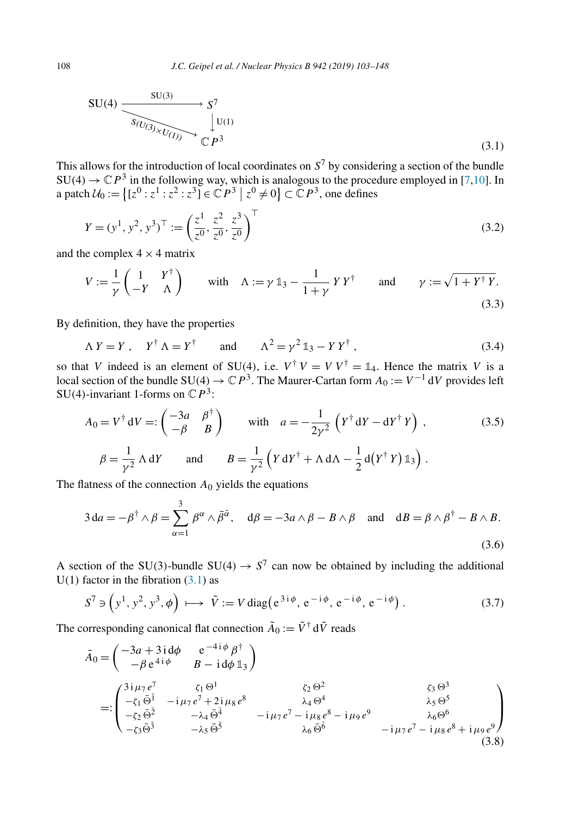$$
SU(4) \xrightarrow{SU(3)} S^7
$$
  
\n
$$
S(U_{(3)} \downarrow U_{(1)}) \downarrow U_{(1)}
$$
  
\n
$$
\downarrow U^{(1)}
$$
  
\n
$$
\downarrow U^{(1)}
$$
  
\n
$$
\downarrow U^{(1)}
$$
  
\n
$$
\downarrow U^{(2)}
$$
  
\n
$$
\downarrow U^{(3)}
$$
  
\n
$$
\downarrow U^{(3)}
$$
  
\n
$$
\downarrow U^{(3)}
$$

This allows for the introduction of local coordinates on  $S<sup>7</sup>$  by considering a section of the bundle  $SU(4) \rightarrow \mathbb{C}P^3$  in the following way, which is analogous to the procedure employed in [\[7,10\]](#page-44-0). In a patch  $U_0 := \{ [z^0 : z^1 : z^2 : z^3] \in \mathbb{C}P^3 \mid z^0 \neq 0 \} \subset \mathbb{C}P^3$ , one defines

$$
Y = (y^1, y^2, y^3)^\top := \left(\frac{z^1}{z^0}, \frac{z^2}{z^0}, \frac{z^3}{z^0}\right)^\top
$$
\n(3.2)

and the complex  $4 \times 4$  matrix

$$
V := \frac{1}{\gamma} \begin{pmatrix} 1 & Y^{\dagger} \\ -Y & \Lambda \end{pmatrix} \quad \text{with} \quad \Lambda := \gamma \mathbb{1}_3 - \frac{1}{1+\gamma} Y Y^{\dagger} \quad \text{and} \quad \gamma := \sqrt{1 + Y^{\dagger} Y}.
$$
\n(3.3)

By definition, they have the properties

$$
\Lambda Y = Y, \quad Y^{\dagger} \Lambda = Y^{\dagger} \quad \text{and} \quad \Lambda^{2} = \gamma^{2} \mathbb{1}_{3} - Y Y^{\dagger} \tag{3.4}
$$

so that *V* indeed is an element of SU(4), i.e.  $V^{\dagger} V = V V^{\dagger} = \mathbb{1}_4$ . Hence the matrix *V* is a local section of the bundle  $SU(4) \rightarrow \mathbb{C}P^3$ . The Maurer-Cartan form  $A_0 := V^{-1} dV$  provides left SU(4)-invariant 1-forms on  $\mathbb{C}P^3$ :

$$
A_0 = V^{\dagger} dV =: \begin{pmatrix} -3a & \beta^{\dagger} \\ -\beta & B \end{pmatrix} \quad \text{with} \quad a = -\frac{1}{2\gamma^2} \left( Y^{\dagger} dY - dY^{\dagger} Y \right) , \tag{3.5}
$$

$$
\beta = \frac{1}{\gamma^2} \Lambda dY \quad \text{and} \quad B = \frac{1}{\gamma^2} \left( Y dY^{\dagger} + \Lambda d\Lambda - \frac{1}{2} d(Y^{\dagger} Y) \mathbb{1}_3 \right) .
$$

The flatness of the connection  $A_0$  yields the equations

$$
3 da = -\beta^{\dagger} \wedge \beta = \sum_{\alpha=1}^{3} \beta^{\alpha} \wedge \bar{\beta}^{\bar{\alpha}}, \quad d\beta = -3a \wedge \beta - B \wedge \beta \quad \text{and} \quad dB = \beta \wedge \beta^{\dagger} - B \wedge B.
$$
\n(3.6)

A section of the SU(3)-bundle SU(4)  $\rightarrow$  S<sup>7</sup> can now be obtained by including the additional  $U(1)$  factor in the fibration  $(3.1)$  as

$$
S^7 \ni \left(y^1, y^2, y^3, \phi\right) \longmapsto \tilde{V} := V \operatorname{diag}\left(e^{3i\phi}, e^{-i\phi}, e^{-i\phi}, e^{-i\phi}\right). \tag{3.7}
$$

The corresponding canonical flat connection  $\tilde{A}_0 := \tilde{V}^{\dagger} d\tilde{V}$  reads

$$
\tilde{A}_0 = \begin{pmatrix}\n-3a + 3i d\phi & e^{-4i\phi} \beta^{\dagger} \\
-\beta e^{4i\phi} & B - i d\phi \mathbb{1}_3\n\end{pmatrix}
$$
\n
$$
=:\begin{pmatrix}\n3i \mu_7 e^7 & \zeta_1 \Theta^1 & \zeta_2 \Theta^2 \\
-\zeta_1 \bar{\Theta}^{\bar{1}} & -i \mu_7 e^7 + 2i \mu_8 e^8 & \lambda_4 \Theta^4 & \lambda_5 \Theta^5 \\
-\zeta_2 \bar{\Theta}^{\bar{2}} & -\lambda_4 \bar{\Theta}^{\bar{4}} & -i \mu_7 e^7 - i \mu_8 e^8 - i \mu_9 e^9 & \lambda_6 \Theta^6 \\
-\zeta_3 \bar{\Theta}^{\bar{3}} & -\lambda_5 \bar{\Theta}^{\bar{5}} & \lambda_6 \bar{\Theta}^{\bar{6}} & -i \mu_7 e^7 - i \mu_8 e^8 + i \mu_9 e^9\n\end{pmatrix}
$$
\n(3.8)

<span id="page-5-0"></span>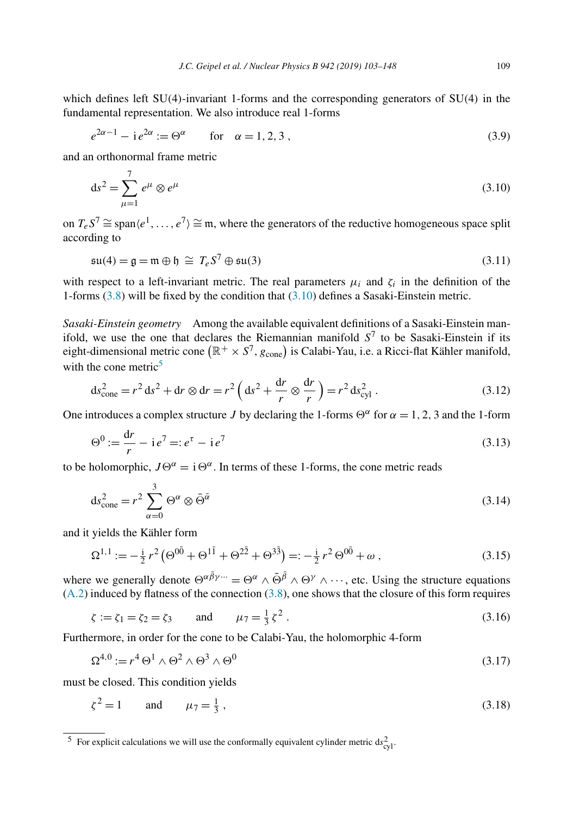<span id="page-6-0"></span>which defines left SU*(*4*)*-invariant 1-forms and the corresponding generators of SU*(*4*)* in the fundamental representation. We also introduce real 1-forms

$$
e^{2\alpha - 1} - i e^{2\alpha} := \Theta^{\alpha} \qquad \text{for} \quad \alpha = 1, 2, 3,
$$
 (3.9)

and an orthonormal frame metric

$$
ds^2 = \sum_{\mu=1}^7 e^{\mu} \otimes e^{\mu}
$$
 (3.10)

on  $T_e S^7 \cong \text{span}\langle e^1,\ldots,e^7\rangle \cong \mathfrak{m}$ , where the generators of the reductive homogeneous space split according to

$$
\mathfrak{su}(4) = \mathfrak{g} = \mathfrak{m} \oplus \mathfrak{h} \cong T_e S^7 \oplus \mathfrak{su}(3) \tag{3.11}
$$

with respect to a left-invariant metric. The real parameters  $\mu_i$  and  $\zeta_i$  in the definition of the 1-forms [\(3.8\)](#page-5-0) will be fixed by the condition that (3.10) defines a Sasaki-Einstein metric.

*Sasaki-Einstein geometry* Among the available equivalent definitions of a Sasaki-Einstein manifold, we use the one that declares the Riemannian manifold  $S<sup>7</sup>$  to be Sasaki-Einstein if its eight-dimensional metric cone  $(\mathbb{R}^+ \times S^7, g_{\text{cone}})$  is Calabi-Yau, i.e. a Ricci-flat Kähler manifold, with the cone metric $5$ 

$$
ds_{\text{cone}}^2 = r^2 ds^2 + dr \otimes dr = r^2 \left( ds^2 + \frac{dr}{r} \otimes \frac{dr}{r} \right) = r^2 ds_{\text{cyl}}^2 \,. \tag{3.12}
$$

One introduces a complex structure *J* by declaring the 1-forms  $\Theta^{\alpha}$  for  $\alpha = 1, 2, 3$  and the 1-form

$$
\Theta^0 := \frac{dr}{r} - i e^7 =: e^{\tau} - i e^7 \tag{3.13}
$$

to be holomorphic,  $J\Theta^{\alpha} = i\Theta^{\alpha}$ . In terms of these 1-forms, the cone metric reads

$$
ds_{\text{cone}}^2 = r^2 \sum_{\alpha=0}^3 \Theta^{\alpha} \otimes \bar{\Theta}^{\bar{\alpha}}
$$
 (3.14)

and it yields the Kähler form

$$
\Omega^{1,1} := -\frac{i}{2}r^2 \left( \Theta^{0\bar{0}} + \Theta^{1\bar{1}} + \Theta^{2\bar{2}} + \Theta^{3\bar{3}} \right) =: -\frac{i}{2}r^2 \Theta^{0\bar{0}} + \omega ,
$$
\n(3.15)

where we generally denote  $\Theta^{\alpha \bar{\beta} \gamma \cdots} = \Theta^{\alpha} \wedge \bar{\Theta}^{\bar{\beta}} \wedge \Theta^{\gamma} \wedge \cdots$ , etc. Using the structure equations [\(A.2\)](#page-35-0) induced by flatness of the connection [\(3.8\)](#page-5-0), one shows that the closure of this form requires

$$
\zeta := \zeta_1 = \zeta_2 = \zeta_3 \quad \text{and} \quad \mu_7 = \frac{1}{3} \zeta^2 \,. \tag{3.16}
$$

Furthermore, in order for the cone to be Calabi-Yau, the holomorphic 4-form

$$
\Omega^{4,0} := r^4 \Theta^1 \wedge \Theta^2 \wedge \Theta^3 \wedge \Theta^0 \tag{3.17}
$$

must be closed. This condition yields

$$
\zeta^2 = 1 \qquad \text{and} \qquad \mu_7 = \frac{1}{3} \,, \tag{3.18}
$$

<sup>&</sup>lt;sup>5</sup> For explicit calculations we will use the conformally equivalent cylinder metric  $ds_{cyl}^2$ .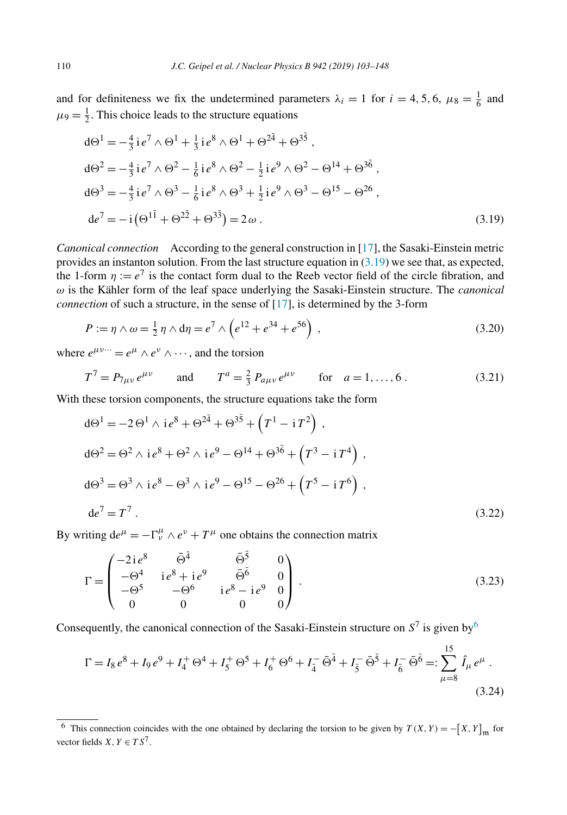<span id="page-7-0"></span>and for definiteness we fix the undetermined parameters  $\lambda_i = 1$  for  $i = 4, 5, 6, \mu_8 = \frac{1}{6}$  and  $\mu$ <sub>9</sub> =  $\frac{1}{2}$ . This choice leads to the structure equations

$$
d\Theta^{1} = -\frac{4}{3} i e^{7} \wedge \Theta^{1} + \frac{1}{3} i e^{8} \wedge \Theta^{1} + \Theta^{2\bar{4}} + \Theta^{3\bar{5}},
$$
  
\n
$$
d\Theta^{2} = -\frac{4}{3} i e^{7} \wedge \Theta^{2} - \frac{1}{6} i e^{8} \wedge \Theta^{2} - \frac{1}{2} i e^{9} \wedge \Theta^{2} - \Theta^{14} + \Theta^{3\bar{6}},
$$
  
\n
$$
d\Theta^{3} = -\frac{4}{3} i e^{7} \wedge \Theta^{3} - \frac{1}{6} i e^{8} \wedge \Theta^{3} + \frac{1}{2} i e^{9} \wedge \Theta^{3} - \Theta^{15} - \Theta^{26},
$$
  
\n
$$
d e^{7} = -i (\Theta^{1\bar{1}} + \Theta^{2\bar{2}} + \Theta^{3\bar{3}}) = 2 \omega.
$$
\n(3.19)

*Canonical connection* According to the general construction in [\[17\]](#page-44-0), the Sasaki-Einstein metric provides an instanton solution. From the last structure equation in (3.19) we see that, as expected, the 1-form  $\eta := e^7$  is the contact form dual to the Reeb vector field of the circle fibration, and *ω* is the Kähler form of the leaf space underlying the Sasaki-Einstein structure. The *canonical connection* of such a structure, in the sense of [\[17\]](#page-44-0), is determined by the 3-form

$$
P := \eta \wedge \omega = \frac{1}{2} \eta \wedge d\eta = e^7 \wedge \left( e^{12} + e^{34} + e^{56} \right) , \qquad (3.20)
$$

where  $e^{\mu\nu\dots} = e^{\mu} \wedge e^{\nu} \wedge \dots$ , and the torsion

$$
T^7 = P_{7\mu\nu} e^{\mu\nu} \qquad \text{and} \qquad T^a = \frac{2}{3} P_{a\mu\nu} e^{\mu\nu} \qquad \text{for} \quad a = 1, ..., 6 \,. \tag{3.21}
$$

With these torsion components, the structure equations take the form

$$
d\Theta^{1} = -2 \Theta^{1} \wedge i e^{8} + \Theta^{2\bar{4}} + \Theta^{3\bar{5}} + (T^{1} - i T^{2}),
$$
  
\n
$$
d\Theta^{2} = \Theta^{2} \wedge i e^{8} + \Theta^{2} \wedge i e^{9} - \Theta^{14} + \Theta^{3\bar{6}} + (T^{3} - i T^{4}),
$$
  
\n
$$
d\Theta^{3} = \Theta^{3} \wedge i e^{8} - \Theta^{3} \wedge i e^{9} - \Theta^{15} - \Theta^{26} + (T^{5} - i T^{6}),
$$
  
\n
$$
d e^{7} = T^{7}.
$$
\n(3.22)

By writing  $de^{\mu} = -\Gamma^{\mu}_{\nu} \wedge e^{\nu} + T^{\mu}$  one obtains the connection matrix

$$
\Gamma = \begin{pmatrix}\n-2i e^8 & \bar{\Theta}^{\bar{4}} & \bar{\Theta}^{\bar{5}} & 0 \\
-\Theta^4 & i e^8 + i e^9 & \bar{\Theta}^{\bar{6}} & 0 \\
-\Theta^5 & -\Theta^6 & i e^8 - i e^9 & 0 \\
0 & 0 & 0 & 0\n\end{pmatrix}.
$$
\n(3.23)

Consequently, the canonical connection of the Sasaki-Einstein structure on  $S^7$  is given by <sup>6</sup>

$$
\Gamma = I_8 e^8 + I_9 e^9 + I_4^+ \Theta^4 + I_5^+ \Theta^5 + I_6^+ \Theta^6 + I_4^- \bar{\Theta}^{\bar{4}} + I_5^- \bar{\Theta}^{\bar{5}} + I_6^- \bar{\Theta}^{\bar{6}} =: \sum_{\mu=8}^{15} \hat{I}_\mu e^\mu .
$$
\n(3.24)

<sup>&</sup>lt;sup>6</sup> This connection coincides with the one obtained by declaring the torsion to be given by  $T(X, Y) = -[X, Y]_m$  for vector fields *X*,  $Y \in TS^7$ .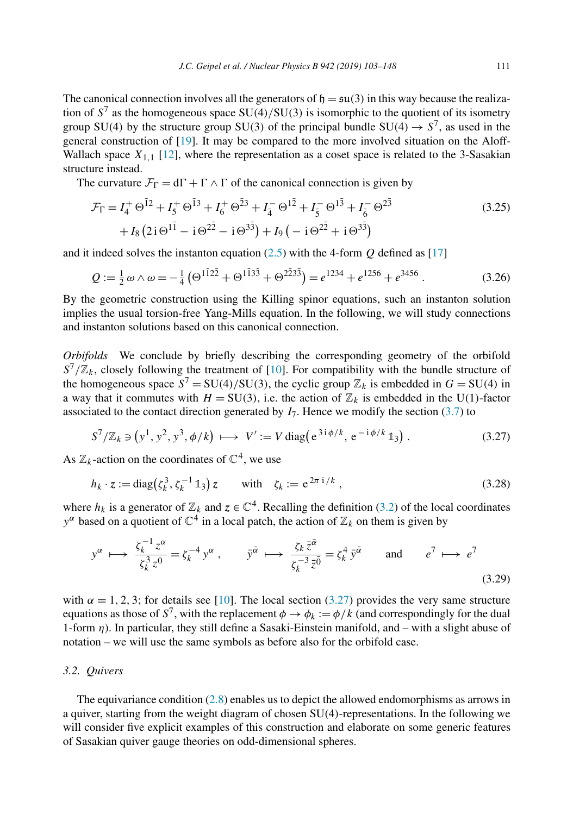<span id="page-8-0"></span>The canonical connection involves all the generators of  $\mathfrak{h} = \mathfrak{su}(3)$  in this way because the realization of *S*<sup>7</sup> as the homogeneous space SU*(*4*)/*SU*(*3*)* is isomorphic to the quotient of its isometry group SU(4) by the structure group SU(3) of the principal bundle SU(4)  $\rightarrow$  S<sup>7</sup>, as used in the general construction of [\[19\]](#page-44-0). It may be compared to the more involved situation on the Aloff-Wallach space  $X_{1,1}$  [\[12\]](#page-44-0), where the representation as a coset space is related to the 3-Sasakian structure instead.

The curvature  $\mathcal{F}_{\Gamma} = d\Gamma + \Gamma \wedge \Gamma$  of the canonical connection is given by

$$
\mathcal{F}_{\Gamma} = I_4^+ \Theta^{\bar{1}2} + I_5^+ \Theta^{\bar{1}3} + I_6^+ \Theta^{\bar{2}3} + I_4^- \Theta^{\bar{1}2} + I_5^- \Theta^{\bar{1}3} + I_6^- \Theta^{2\bar{3}} \n+ I_8 (2i \Theta^{1\bar{1}} - i \Theta^{2\bar{2}} - i \Theta^{3\bar{3}}) + I_9 \left( -i \Theta^{2\bar{2}} + i \Theta^{3\bar{3}} \right)
$$
\n(3.25)

and it indeed solves the instanton equation [\(2.5\)](#page-3-0) with the 4-form *Q* defined as [\[17\]](#page-44-0)

$$
Q := \frac{1}{2}\omega \wedge \omega = -\frac{1}{4}\left(\Theta^{1\bar{1}2\bar{2}} + \Theta^{1\bar{1}3\bar{3}} + \Theta^{2\bar{2}3\bar{3}}\right) = e^{1234} + e^{1256} + e^{3456} \,. \tag{3.26}
$$

By the geometric construction using the Killing spinor equations, such an instanton solution implies the usual torsion-free Yang-Mills equation. In the following, we will study connections and instanton solutions based on this canonical connection.

*Orbifolds* We conclude by briefly describing the corresponding geometry of the orbifold  $S^7/\mathbb{Z}_k$ , closely following the treatment of [\[10\]](#page-44-0). For compatibility with the bundle structure of the homogeneous space  $S^7 = SU(4)/SU(3)$ , the cyclic group  $\mathbb{Z}_k$  is embedded in  $G = SU(4)$  in a way that it commutes with  $H = SU(3)$ , i.e. the action of  $\mathbb{Z}_k$  is embedded in the U(1)-factor associated to the contact direction generated by  $I<sub>7</sub>$ . Hence we modify the section [\(3.7\)](#page-5-0) to

$$
S^{7}/\mathbb{Z}_{k} \ni (y^{1}, y^{2}, y^{3}, \phi/k) \longmapsto V' := V \operatorname{diag} (e^{3i\phi/k}, e^{-i\phi/k} 1_{3}) . \tag{3.27}
$$

As  $\mathbb{Z}_k$ -action on the coordinates of  $\mathbb{C}^4$ , we use

$$
h_k \cdot z := \text{diag}\left(\zeta_k^3, \zeta_k^{-1} \mathbb{1}_3\right) z \qquad \text{with} \quad \zeta_k := e^{2\pi i / k} \,, \tag{3.28}
$$

where  $h_k$  is a generator of  $\mathbb{Z}_k$  and  $z \in \mathbb{C}^4$ . Recalling the definition [\(3.2\)](#page-5-0) of the local coordinates  $y^{\alpha}$  based on a quotient of  $\mathbb{C}^{4}$  in a local patch, the action of  $\mathbb{Z}_{k}$  on them is given by

$$
y^{\alpha} \longmapsto \frac{\zeta_k^{-1} z^{\alpha}}{\zeta_k^3 z^0} = \zeta_k^{-4} y^{\alpha} , \qquad \bar{y}^{\bar{\alpha}} \longmapsto \frac{\zeta_k \bar{z}^{\bar{\alpha}}}{\zeta_k^{-3} \bar{z}^{\bar{0}}} = \zeta_k^4 \bar{y}^{\bar{\alpha}} \qquad \text{and} \qquad e^7 \longmapsto e^7 \tag{3.29}
$$

with  $\alpha = 1, 2, 3$ ; for details see [\[10\]](#page-44-0). The local section (3.27) provides the very same structure equations as those of  $S^7$ , with the replacement  $\phi \to \phi_k := \phi/k$  (and correspondingly for the dual 1-form *η*). In particular, they still define a Sasaki-Einstein manifold, and – with a slight abuse of notation – we will use the same symbols as before also for the orbifold case.

## *3.2. Quivers*

The equivariance condition [\(2.8\)](#page-4-0) enables us to depict the allowed endomorphisms as arrows in a quiver, starting from the weight diagram of chosen SU*(*4*)*-representations. In the following we will consider five explicit examples of this construction and elaborate on some generic features of Sasakian quiver gauge theories on odd-dimensional spheres.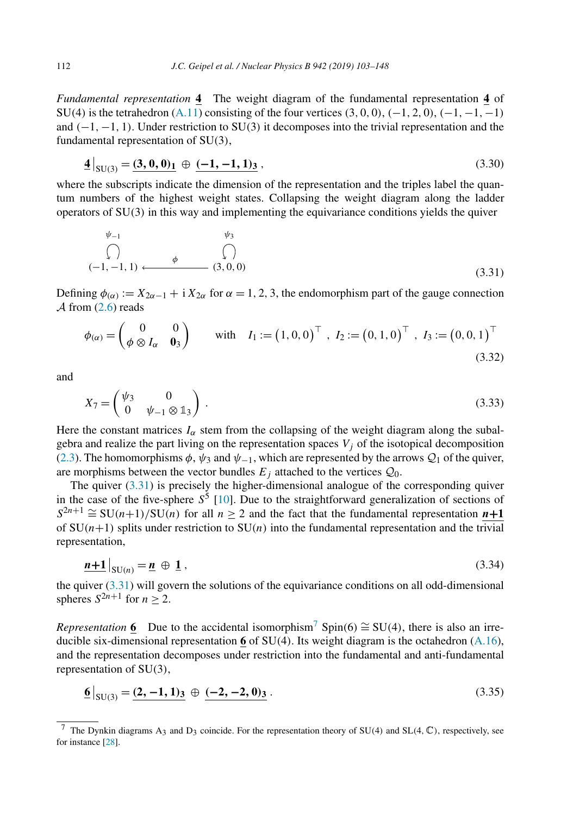<span id="page-9-0"></span>*Fundamental representation* **4** The weight diagram of the fundamental representation **4** of SU*(*4*)* is the tetrahedron [\(A.11\)](#page-37-0) consisting of the four vertices *(*3*,* 0*,* 0*)*, *(*−1*,* 2*,* 0*)*, *(*−1*,*−1*,*−1*)* and *(*−1*,*−1*,* 1*)*. Under restriction to SU*(*3*)* it decomposes into the trivial representation and the fundamental representation of SU*(*3*)*,

$$
\mathbf{\underline{4}}\big|_{SU(3)} = \mathbf{\underline{(3,0,0)}}_1 \oplus \mathbf{\underline{(-1,-1,1)}}_3 \,,\tag{3.30}
$$

where the subscripts indicate the dimension of the representation and the triples label the quantum numbers of the highest weight states. Collapsing the weight diagram along the ladder operators of SU*(*3*)* in this way and implementing the equivariance conditions yields the quiver

$$
\begin{array}{ccc}\n\psi_{-1} & & \psi_{3} \\
\bigcap & & & \bigcap \\
(-1, -1, 1) & \longleftarrow & & (3, 0, 0)\n\end{array}
$$
\n(3.31)

Defining  $\phi_{(\alpha)} := X_{2\alpha-1} + i X_{2\alpha}$  for  $\alpha = 1, 2, 3$ , the endomorphism part of the gauge connection  $\mathcal A$  from [\(2.6\)](#page-3-0) reads

$$
\phi_{(\alpha)} = \begin{pmatrix} 0 & 0 \\ \phi \otimes I_{\alpha} & \mathbf{0}_3 \end{pmatrix} \text{ with } I_1 := (1, 0, 0)^{\top}, I_2 := (0, 1, 0)^{\top}, I_3 := (0, 0, 1)^{\top}
$$
\n(3.32)

and

$$
X_7 = \begin{pmatrix} \psi_3 & 0 \\ 0 & \psi_{-1} \otimes \mathbb{1}_3 \end{pmatrix} . \tag{3.33}
$$

Here the constant matrices  $I_\alpha$  stem from the collapsing of the weight diagram along the subalgebra and realize the part living on the representation spaces  $V_j$  of the isotopical decomposition [\(2.3\)](#page-3-0). The homomorphisms  $\phi$ ,  $\psi_3$  and  $\psi_{-1}$ , which are represented by the arrows  $\mathcal{Q}_1$  of the quiver, are morphisms between the vector bundles  $E_i$  attached to the vertices  $Q_0$ .

The quiver  $(3.31)$  is precisely the higher-dimensional analogue of the corresponding quiver in the case of the five-sphere  $S^5$  [\[10\]](#page-44-0). Due to the straightforward generalization of sections of  $S^{2n+1} \cong SU(n+1)/SU(n)$  for all  $n \geq 2$  and the fact that the fundamental representation  $n+1$ of  $SU(n+1)$  splits under restriction to  $SU(n)$  into the fundamental representation and the trivial representation,

$$
\underline{n+1}\Big|_{\mathrm{SU}(n)} = \underline{n} \oplus \underline{1} \,,\tag{3.34}
$$

the quiver  $(3.31)$  will govern the solutions of the equivariance conditions on all odd-dimensional spheres  $S^{2n+1}$  for  $n \geq 2$ .

*Representation* **6** Due to the accidental isomorphism<sup>7</sup> Spin(6)  $\cong$  SU(4), there is also an irreducible six-dimensional representation **6** of SU*(*4*)*. Its weight diagram is the octahedron [\(A.16\)](#page-37-0), and the representation decomposes under restriction into the fundamental and anti-fundamental representation of SU*(*3*)*,

$$
\underline{6}\big|_{SU(3)} = \underline{(2, -1, 1)_3} \oplus \underline{(-2, -2, 0)_3} \,. \tag{3.35}
$$

<sup>7</sup> The Dynkin diagrams A3 and D3 coincide. For the representation theory of SU*(*4*)* and SL*(*4*,* C*)*, respectively, see for instance [\[28\]](#page-44-0).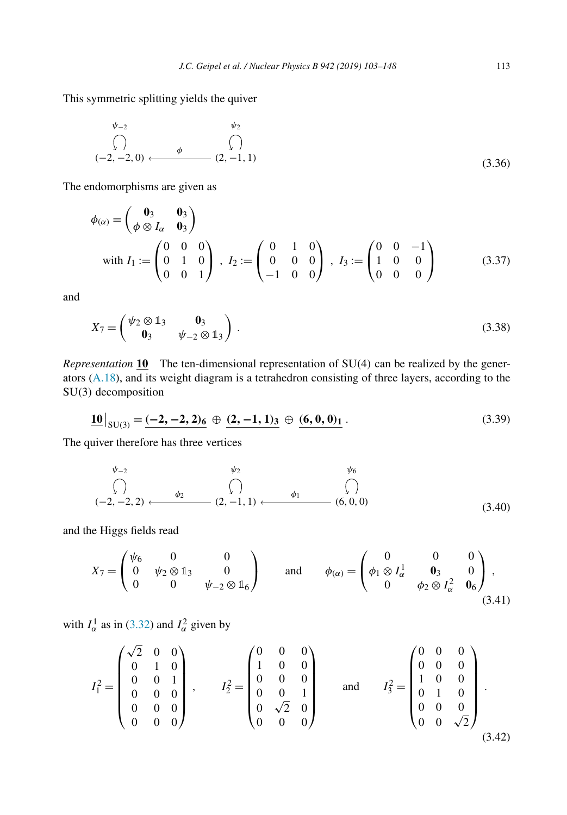<span id="page-10-0"></span>This symmetric splitting yields the quiver

$$
\begin{array}{ccc}\n\psi_{-2} & \psi_{2} \\
\bigcap & & \\
(-2, -2, 0) & \xrightarrow{\phi} & (2, -1, 1)\n\end{array}
$$
\n(3.36)

The endomorphisms are given as

$$
\phi_{(\alpha)} = \begin{pmatrix} \mathbf{0}_3 & \mathbf{0}_3 \\ \phi \otimes I_{\alpha} & \mathbf{0}_3 \end{pmatrix}
$$
  
with  $I_1 := \begin{pmatrix} 0 & 0 & 0 \\ 0 & 1 & 0 \\ 0 & 0 & 1 \end{pmatrix}$ ,  $I_2 := \begin{pmatrix} 0 & 1 & 0 \\ 0 & 0 & 0 \\ -1 & 0 & 0 \end{pmatrix}$ ,  $I_3 := \begin{pmatrix} 0 & 0 & -1 \\ 1 & 0 & 0 \\ 0 & 0 & 0 \end{pmatrix}$  (3.37)

and

$$
X_7 = \begin{pmatrix} \psi_2 \otimes \mathbb{1}_3 & \mathbf{0}_3 \\ \mathbf{0}_3 & \psi_{-2} \otimes \mathbb{1}_3 \end{pmatrix} . \tag{3.38}
$$

*Representation* **10** The ten-dimensional representation of SU*(*4*)* can be realized by the generators [\(A.18\)](#page-38-0), and its weight diagram is a tetrahedron consisting of three layers, according to the SU*(*3*)* decomposition

$$
\underline{\mathbf{10}}|_{SU(3)} = \underline{(-2, -2, 2)_6} \oplus \underline{(2, -1, 1)_3} \oplus \underline{(6, 0, 0)_1}.
$$
\n(3.39)

The quiver therefore has three vertices

$$
\begin{array}{ccc}\n\psi_{-2} & & \psi_{2} & & \psi_{6} \\
\textcircled{1} & & & \textcircled{1} \\
(-2,-2,2) & \xleftarrow{\phi_{2}} & & (2,-1,1) & \xleftarrow{\phi_{1}} & & (6,0,0) \\
\end{array}
$$
\n(3.40)

and the Higgs fields read

$$
X_7 = \begin{pmatrix} \psi_6 & 0 & 0 \\ 0 & \psi_2 \otimes \mathbb{1}_3 & 0 \\ 0 & 0 & \psi_{-2} \otimes \mathbb{1}_6 \end{pmatrix} \quad \text{and} \quad \phi_{(\alpha)} = \begin{pmatrix} 0 & 0 & 0 \\ \phi_1 \otimes I_\alpha^1 & 0_3 & 0 \\ 0 & \phi_2 \otimes I_\alpha^2 & 0_6 \end{pmatrix},
$$
(3.41)

with  $I_\alpha^1$  as in [\(3.32\)](#page-9-0) and  $I_\alpha^2$  given by

$$
I_1^2 = \begin{pmatrix} \sqrt{2} & 0 & 0 \\ 0 & 1 & 0 \\ 0 & 0 & 1 \\ 0 & 0 & 0 \\ 0 & 0 & 0 \\ 0 & 0 & 0 \end{pmatrix}, \qquad I_2^2 = \begin{pmatrix} 0 & 0 & 0 \\ 1 & 0 & 0 \\ 0 & 0 & 0 \\ 0 & \sqrt{2} & 0 \\ 0 & 0 & 0 \end{pmatrix} \qquad \text{and} \qquad I_3^2 = \begin{pmatrix} 0 & 0 & 0 \\ 0 & 0 & 0 \\ 1 & 0 & 0 \\ 0 & 1 & 0 \\ 0 & 0 & \sqrt{2} \end{pmatrix}.
$$
\n(3.42)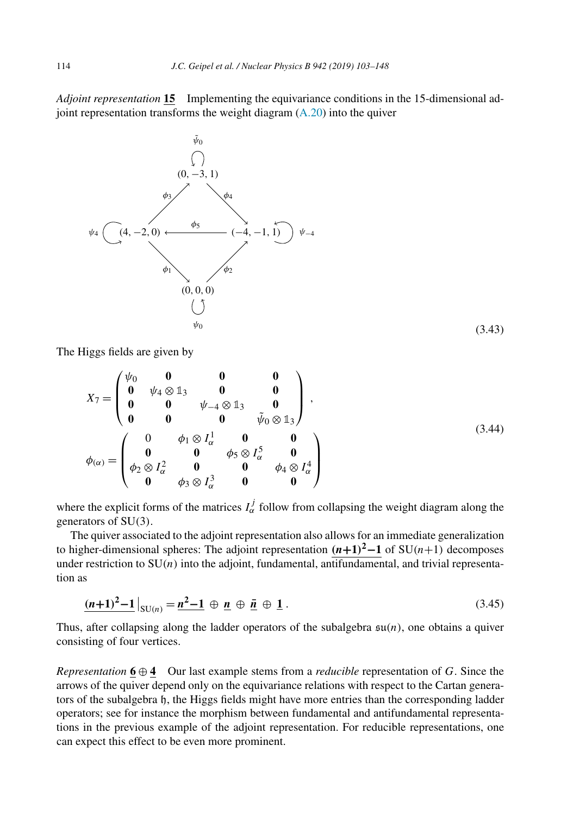<span id="page-11-0"></span>*Adjoint representation* **15** Implementing the equivariance conditions in the 15-dimensional adjoint representation transforms the weight diagram [\(A.20\)](#page-39-0) into the quiver



The Higgs fields are given by

$$
X_7 = \begin{pmatrix} \psi_0 & \mathbf{0} & \mathbf{0} & \mathbf{0} \\ \mathbf{0} & \psi_4 \otimes \mathbb{1}_3 & \mathbf{0} & \mathbf{0} \\ \mathbf{0} & \mathbf{0} & \psi_{-4} \otimes \mathbb{1}_3 & \mathbf{0} \\ \mathbf{0} & \mathbf{0} & \mathbf{0} & \tilde{\psi}_0 \otimes \mathbb{1}_3 \end{pmatrix},
$$
  
\n
$$
\phi_{(\alpha)} = \begin{pmatrix} 0 & \phi_1 \otimes I_{\alpha}^1 & \mathbf{0} & \mathbf{0} \\ \mathbf{0} & \mathbf{0} & \phi_5 \otimes I_{\alpha}^5 & \mathbf{0} \\ \phi_2 \otimes I_{\alpha}^2 & \mathbf{0} & \mathbf{0} & \phi_4 \otimes I_{\alpha}^4 \\ \mathbf{0} & \phi_3 \otimes I_{\alpha}^3 & \mathbf{0} & \mathbf{0} & \mathbf{0} \end{pmatrix}
$$
\n(3.44)

where the explicit forms of the matrices  $I^j_\alpha$  follow from collapsing the weight diagram along the generators of SU*(*3*)*.

The quiver associated to the adjoint representation also allows for an immediate generalization to higher-dimensional spheres: The adjoint representation  $(n+1)^2-1$  of SU $(n+1)$  decomposes under restriction to  $SU(n)$  into the adjoint, fundamental, antifundamental, and trivial representation as

$$
\underline{(n+1)^2-1}|_{\mathrm{SU}(n)} = \underline{n^2-1} \oplus \underline{n} \oplus \underline{\bar{n}} \oplus \underline{1}.
$$
 (3.45)

Thus, after collapsing along the ladder operators of the subalgebra su*(n)*, one obtains a quiver consisting of four vertices.

*Representation*  $6 \oplus 4$  Our last example stems from a *reducible* representation of *G*. Since the arrows of the quiver depend only on the equivariance relations with respect to the Cartan generators of the subalgebra h, the Higgs fields might have more entries than the corresponding ladder operators; see for instance the morphism between fundamental and antifundamental representations in the previous example of the adjoint representation. For reducible representations, one can expect this effect to be even more prominent.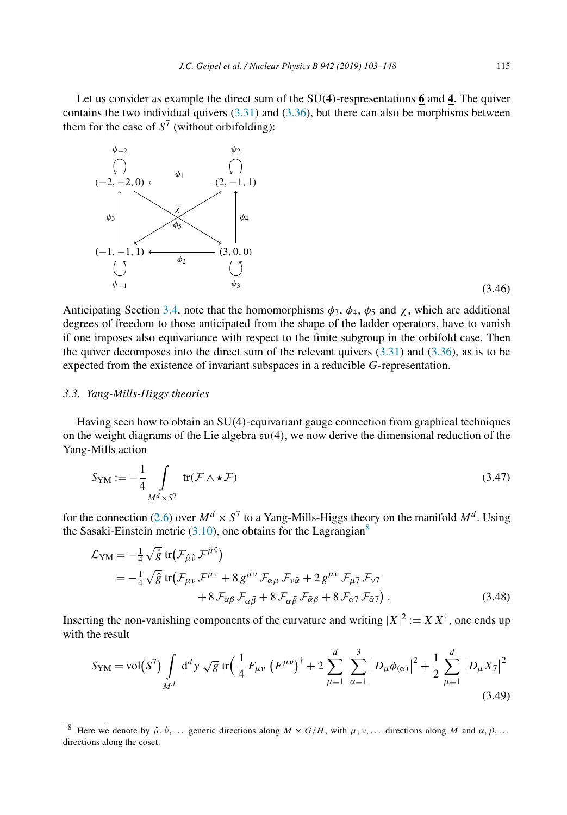<span id="page-12-0"></span>Let us consider as example the direct sum of the SU*(*4*)*-respresentations **6** and **4**. The quiver contains the two individual quivers  $(3.31)$  and  $(3.36)$ , but there can also be morphisms between them for the case of  $S^7$  (without orbifolding):



(3.46)

Anticipating Section [3.4,](#page-13-0) note that the homomorphisms  $\phi_3$ ,  $\phi_4$ ,  $\phi_5$  and  $\chi$ , which are additional degrees of freedom to those anticipated from the shape of the ladder operators, have to vanish if one imposes also equivariance with respect to the finite subgroup in the orbifold case. Then the quiver decomposes into the direct sum of the relevant quivers  $(3.31)$  and  $(3.36)$ , as is to be expected from the existence of invariant subspaces in a reducible *G*-representation.

#### *3.3. Yang-Mills-Higgs theories*

Having seen how to obtain an SU*(*4*)*-equivariant gauge connection from graphical techniques on the weight diagrams of the Lie algebra su*(*4*)*, we now derive the dimensional reduction of the Yang-Mills action

$$
S_{\text{YM}} := -\frac{1}{4} \int_{M^d \times S^7} \text{tr}(\mathcal{F} \wedge \star \mathcal{F}) \tag{3.47}
$$

for the connection [\(2.6\)](#page-3-0) over  $M^d \times S^7$  to a Yang-Mills-Higgs theory on the manifold  $M^d$ . Using the Sasaki-Einstein metric  $(3.10)$ , one obtains for the Lagrangian<sup>8</sup>

$$
\mathcal{L}_{\text{YM}} = -\frac{1}{4} \sqrt{\hat{g}} \, \text{tr} \big( \mathcal{F}_{\hat{\mu}\hat{\nu}} \, \mathcal{F}^{\hat{\mu}\hat{\nu}} \big) \n= -\frac{1}{4} \sqrt{\hat{g}} \, \text{tr} \big( \mathcal{F}_{\mu\nu} \, \mathcal{F}^{\mu\nu} + 8 \, g^{\mu\nu} \, \mathcal{F}_{\alpha\mu} \, \mathcal{F}_{\nu\bar{\alpha}} + 2 \, g^{\mu\nu} \, \mathcal{F}_{\mu\tau} \, \mathcal{F}_{\nu\tau} \n+ 8 \, \mathcal{F}_{\alpha\beta} \, \mathcal{F}_{\bar{\alpha}\bar{\beta}} + 8 \, \mathcal{F}_{\alpha\bar{\beta}} \, \mathcal{F}_{\bar{\alpha}\beta} + 8 \, \mathcal{F}_{\alpha\tau} \, \mathcal{F}_{\bar{\alpha}\tau} \big) . \tag{3.48}
$$

Inserting the non-vanishing components of the curvature and writing  $|X|^2 := X X^{\dagger}$ , one ends up with the result

$$
S_{\rm YM} = \text{vol}(S^7) \int_{M^d} d^d y \sqrt{g} \text{ tr} \Big( \frac{1}{4} F_{\mu\nu} \left( F^{\mu\nu} \right)^{\dagger} + 2 \sum_{\mu=1}^d \sum_{\alpha=1}^3 \left| D_{\mu} \phi_{(\alpha)} \right|^2 + \frac{1}{2} \sum_{\mu=1}^d \left| D_{\mu} X_7 \right|^2 \tag{3.49}
$$

<sup>&</sup>lt;sup>8</sup> Here we denote by  $\hat{\mu}$ ,  $\hat{\nu}$ ,... generic directions along  $M \times G/H$ , with  $\mu$ ,  $\nu$ ,... directions along M and  $\alpha$ ,  $\beta$ ,... directions along the coset.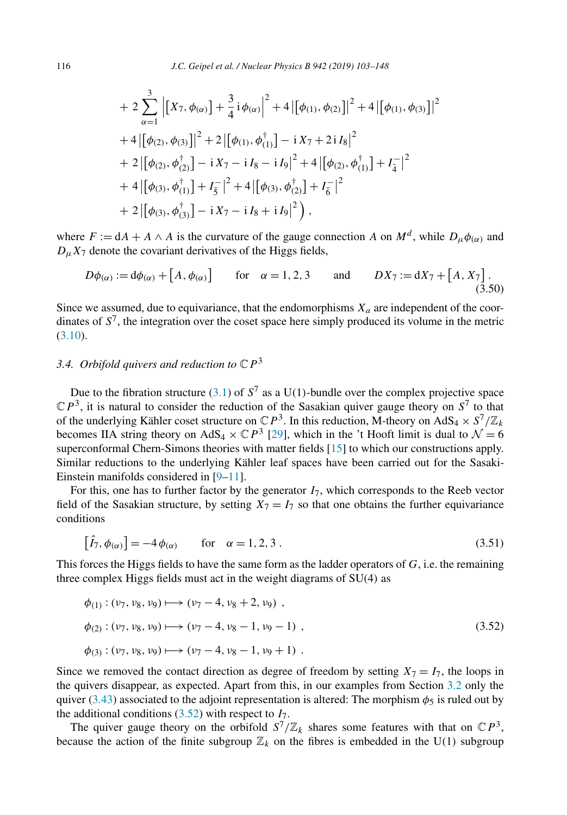<span id="page-13-0"></span>+ 
$$
2 \sum_{\alpha=1}^{3} |[X_7, \phi_{(\alpha)}] + \frac{3}{4}i\phi_{(\alpha)}|^2 + 4 |[\phi_{(1)}, \phi_{(2)}]|^2 + 4 |[\phi_{(1)}, \phi_{(3)}]|^2
$$
  
+  $4 |[\phi_{(2)}, \phi_{(3)}]|^2 + 2 |[\phi_{(1)}, \phi_{(1)}^{\dagger}] - iX_7 + 2iI_8|^2$   
+  $2 |[\phi_{(2)}, \phi_{(2)}^{\dagger}] - iX_7 - iI_8 - iI_9|^2 + 4 |[\phi_{(2)}, \phi_{(1)}^{\dagger}] + I_4^{-}|^2$   
+  $4 |[\phi_{(3)}, \phi_{(1)}^{\dagger}] + I_5^{-}|^2 + 4 |[\phi_{(3)}, \phi_{(2)}^{\dagger}] + I_6^{-}|^2$   
+  $2 |[\phi_{(3)}, \phi_{(3)}^{\dagger}] - iX_7 - iI_8 + iI_9|^2$ ,

where  $F := dA + A \wedge A$  is the curvature of the gauge connection *A* on  $M<sup>d</sup>$ , while  $D<sub>u</sub> \phi<sub>(\alpha)</sub>$  and  $D<sub>u</sub> X<sub>7</sub>$  denote the covariant derivatives of the Higgs fields,

$$
D\phi_{(\alpha)} := d\phi_{(\alpha)} + [A, \phi_{(\alpha)}] \quad \text{for} \quad \alpha = 1, 2, 3 \quad \text{and} \quad DX_7 := dX_7 + [A, X_7]. \tag{3.50}
$$

Since we assumed, due to equivariance, that the endomorphisms  $X_a$  are independent of the coordinates of  $S^7$ , the integration over the coset space here simply produced its volume in the metric [\(3.10\)](#page-6-0).

#### *3.4. Orbifold quivers and reduction to* C*P*<sup>3</sup>

Due to the fibration structure [\(3.1\)](#page-5-0) of  $S^7$  as a U(1)-bundle over the complex projective space  $\mathbb{C}P^3$ , it is natural to consider the reduction of the Sasakian quiver gauge theory on  $S^7$  to that of the underlying Kähler coset structure on  $\mathbb{C}P^3$ . In this reduction, M-theory on AdS<sub>4</sub>  $\times$   $S^7/\mathbb{Z}_k$ becomes IIA string theory on AdS<sub>4</sub>  $\times$  CP<sup>3</sup> [\[29\]](#page-44-0), which in the 't Hooft limit is dual to  $\mathcal{N} = 6$ superconformal Chern-Simons theories with matter fields [\[15\]](#page-44-0) to which our constructions apply. Similar reductions to the underlying Kähler leaf spaces have been carried out for the Sasaki-Einstein manifolds considered in [\[9–11\]](#page-44-0).

For this, one has to further factor by the generator  $I_7$ , which corresponds to the Reeb vector field of the Sasakian structure, by setting  $X_7 = I_7$  so that one obtains the further equivariance conditions

$$
\left[\hat{I}_7, \phi_{(\alpha)}\right] = -4\phi_{(\alpha)} \qquad \text{for} \quad \alpha = 1, 2, 3. \tag{3.51}
$$

This forces the Higgs fields to have the same form as the ladder operators of  $G$ , i.e. the remaining three complex Higgs fields must act in the weight diagrams of SU*(*4*)* as

$$
\phi_{(1)}: (\nu_7, \nu_8, \nu_9) \longmapsto (\nu_7 - 4, \nu_8 + 2, \nu_9),
$$
  
\n
$$
\phi_{(2)}: (\nu_7, \nu_8, \nu_9) \longmapsto (\nu_7 - 4, \nu_8 - 1, \nu_9 - 1),
$$
  
\n
$$
\phi_{(3)}: (\nu_7, \nu_8, \nu_9) \longmapsto (\nu_7 - 4, \nu_8 - 1, \nu_9 + 1).
$$
\n(3.52)

Since we removed the contact direction as degree of freedom by setting  $X_7 = I_7$ , the loops in the quivers disappear, as expected. Apart from this, in our examples from Section [3.2](#page-8-0) only the quiver [\(3.43\)](#page-11-0) associated to the adjoint representation is altered: The morphism  $\phi_5$  is ruled out by the additional conditions  $(3.52)$  with respect to  $I_7$ .

The quiver gauge theory on the orbifold  $S^7/\mathbb{Z}_k$  shares some features with that on  $\mathbb{C}P^3$ , because the action of the finite subgroup  $\mathbb{Z}_k$  on the fibres is embedded in the U(1) subgroup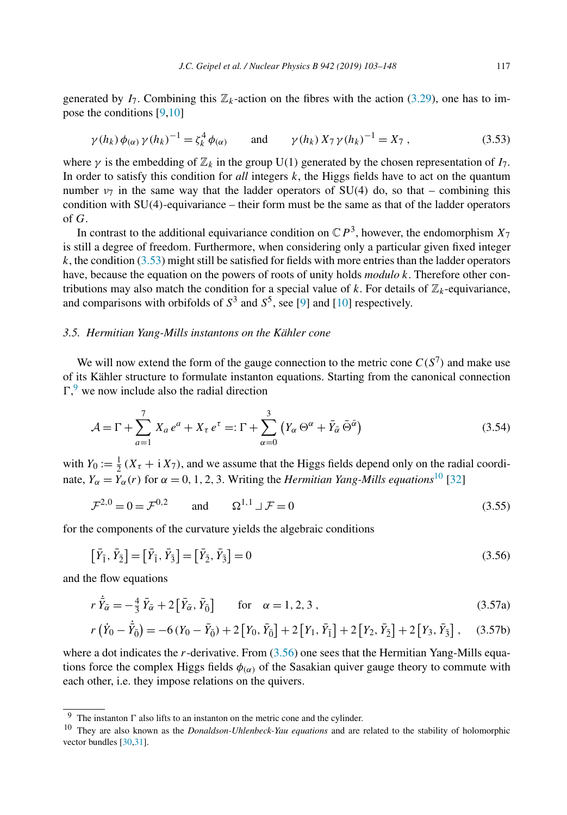<span id="page-14-0"></span>generated by  $I_7$ . Combining this  $\mathbb{Z}_k$ -action on the fibres with the action [\(3.29\)](#page-8-0), one has to impose the conditions [\[9,10\]](#page-44-0)

$$
\gamma(h_k)\phi_{(\alpha)}\gamma(h_k)^{-1} = \zeta_k^4\phi_{(\alpha)}
$$
 and  $\gamma(h_k) X_7 \gamma(h_k)^{-1} = X_7$ , (3.53)

where  $\gamma$  is the embedding of  $\mathbb{Z}_k$  in the group U(1) generated by the chosen representation of  $I_7$ . In order to satisfy this condition for *all* integers *k*, the Higgs fields have to act on the quantum number  $v_7$  in the same way that the ladder operators of SU(4) do, so that – combining this condition with SU*(*4*)*-equivariance – their form must be the same as that of the ladder operators of *G*.

In contrast to the additional equivariance condition on  $\mathbb{C}P^3$ , however, the endomorphism  $X_7$ is still a degree of freedom. Furthermore, when considering only a particular given fixed integer  $k$ , the condition  $(3.53)$  might still be satisfied for fields with more entries than the ladder operators have, because the equation on the powers of roots of unity holds *modulo k*. Therefore other contributions may also match the condition for a special value of  $k$ . For details of  $\mathbb{Z}_k$ -equivariance, and comparisons with orbifolds of  $S^3$  and  $S^5$ , see [\[9\]](#page-44-0) and [\[10\]](#page-44-0) respectively.

#### *3.5. Hermitian Yang-Mills instantons on the Kähler cone*

We will now extend the form of the gauge connection to the metric cone  $C(S^7)$  and make use of its Kähler structure to formulate instanton equations. Starting from the canonical connection  $\Gamma$ , we now include also the radial direction

$$
\mathcal{A} = \Gamma + \sum_{a=1}^{7} X_a e^a + X_\tau e^\tau =: \Gamma + \sum_{\alpha=0}^{3} \left( Y_\alpha \Theta^\alpha + \bar{Y}_{\bar{\alpha}} \bar{\Theta}^{\bar{\alpha}} \right)
$$
(3.54)

with  $Y_0 := \frac{1}{2} (X_\tau + i X_\tau)$ , and we assume that the Higgs fields depend only on the radial coordinate,  $Y_\alpha = Y_\alpha(r)$  for  $\alpha = 0, 1, 2, 3$ . Writing the *Hermitian Yang-Mills equations*<sup>10</sup> [\[32\]](#page-45-0)

$$
\mathcal{F}^{2,0} = 0 = \mathcal{F}^{0,2} \qquad \text{and} \qquad \Omega^{1,1} \sqcup \mathcal{F} = 0 \tag{3.55}
$$

for the components of the curvature yields the algebraic conditions

$$
\left[\bar{Y}_{\bar{1}}, \bar{Y}_{\bar{2}}\right] = \left[\bar{Y}_{\bar{1}}, \bar{Y}_{\bar{3}}\right] = \left[\bar{Y}_{\bar{2}}, \bar{Y}_{\bar{3}}\right] = 0\tag{3.56}
$$

and the flow equations

$$
r\,\dot{\bar{Y}}_{\bar{\alpha}} = -\frac{4}{3}\,\bar{Y}_{\bar{\alpha}} + 2\left[\bar{Y}_{\bar{\alpha}},\bar{Y}_{\bar{0}}\right] \qquad \text{for} \quad \alpha = 1,2,3 \,,\tag{3.57a}
$$

$$
r(\dot{Y}_0 - \dot{\bar{Y}}_0) = -6(Y_0 - \bar{Y}_0) + 2[Y_0, \bar{Y}_0] + 2[Y_1, \bar{Y}_1] + 2[Y_2, \bar{Y}_2] + 2[Y_3, \bar{Y}_3], \quad (3.57b)
$$

where a dot indicates the *r*-derivative. From (3.56) one sees that the Hermitian Yang-Mills equations force the complex Higgs fields  $\phi_{\alpha}$  of the Sasakian quiver gauge theory to commute with each other, i.e. they impose relations on the quivers.

<sup>&</sup>lt;sup>9</sup> The instanton  $\Gamma$  also lifts to an instanton on the metric cone and the cylinder.

<sup>10</sup> They are also known as the *Donaldson-Uhlenbeck-Yau equations* and are related to the stability of holomorphic vector bundles [\[30,31\]](#page-45-0).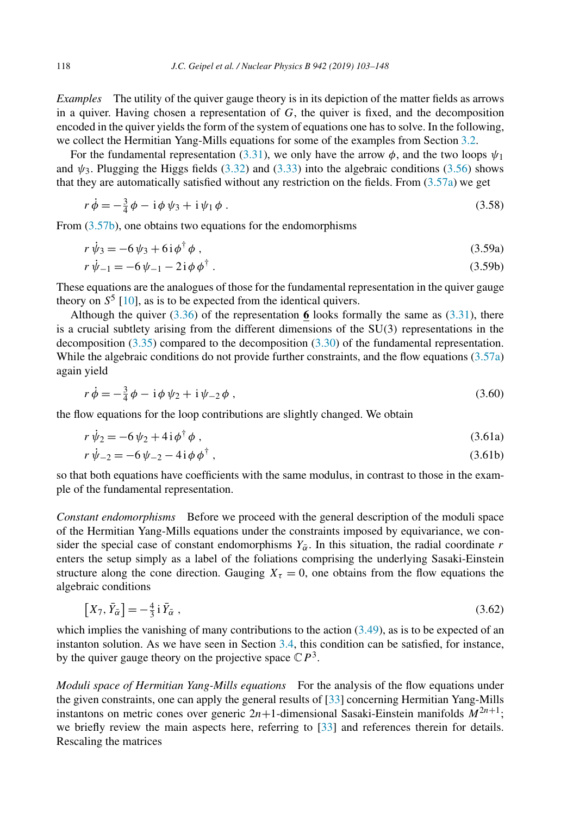*Examples* The utility of the quiver gauge theory is in its depiction of the matter fields as arrows in a quiver. Having chosen a representation of *G*, the quiver is fixed, and the decomposition encoded in the quiver yields the form of the system of equations one has to solve. In the following, we collect the Hermitian Yang-Mills equations for some of the examples from Section [3.2.](#page-8-0)

For the fundamental representation [\(3.31\)](#page-9-0), we only have the arrow  $\phi$ , and the two loops  $\psi_1$ and  $\psi_3$ . Plugging the Higgs fields [\(3.32\)](#page-9-0) and [\(3.33\)](#page-9-0) into the algebraic conditions [\(3.56\)](#page-14-0) shows that they are automatically satisfied without any restriction on the fields. From [\(3.57a\)](#page-14-0) we get

$$
r\,\dot{\phi} = -\frac{3}{4}\,\phi - i\,\phi\,\psi_3 + i\,\psi_1\,\phi\,. \tag{3.58}
$$

From  $(3.57b)$ , one obtains two equations for the endomorphisms

$$
r\,\dot{\psi}_3 = -6\,\psi_3 + 6\,\mathrm{i}\,\phi^\dagger\,\phi\;, \tag{3.59a}
$$

$$
r\,\dot{\psi}_{-1} = -6\,\psi_{-1} - 2\,\mathrm{i}\,\phi\,\phi^\dagger\,. \tag{3.59b}
$$

These equations are the analogues of those for the fundamental representation in the quiver gauge theory on  $S^5$  [\[10\]](#page-44-0), as is to be expected from the identical quivers.

Although the quiver  $(3.36)$  of the representation **6** looks formally the same as  $(3.31)$ , there is a crucial subtlety arising from the different dimensions of the SU*(*3*)* representations in the decomposition [\(3.35\)](#page-9-0) compared to the decomposition [\(3.30\)](#page-9-0) of the fundamental representation. While the algebraic conditions do not provide further constraints, and the flow equations [\(3.57a\)](#page-14-0) again yield

$$
r\,\dot{\phi} = -\frac{3}{4}\,\phi - i\,\phi\,\psi_2 + i\,\psi_{-2}\,\phi\,,\tag{3.60}
$$

the flow equations for the loop contributions are slightly changed. We obtain

$$
r\,\dot{\psi}_2 = -6\,\psi_2 + 4\,\mathrm{i}\,\phi^\dagger\,\phi\,,\tag{3.61a}
$$

$$
r\,\dot{\psi}_{-2} = -6\,\psi_{-2} - 4\,\mathrm{i}\,\phi\,\phi^\dagger\,,\tag{3.61b}
$$

so that both equations have coefficients with the same modulus, in contrast to those in the example of the fundamental representation.

*Constant endomorphisms* Before we proceed with the general description of the moduli space of the Hermitian Yang-Mills equations under the constraints imposed by equivariance, we consider the special case of constant endomorphisms  $Y_{\alpha}$ . In this situation, the radial coordinate *r* enters the setup simply as a label of the foliations comprising the underlying Sasaki-Einstein structure along the cone direction. Gauging  $X<sub>\tau</sub> = 0$ , one obtains from the flow equations the algebraic conditions

$$
\left[X_7, \bar{Y}_{\bar{\alpha}}\right] = -\frac{4}{3} \mathbf{i} \,\bar{Y}_{\bar{\alpha}} \,,\tag{3.62}
$$

which implies the vanishing of many contributions to the action  $(3.49)$ , as is to be expected of an instanton solution. As we have seen in Section [3.4,](#page-13-0) this condition can be satisfied, for instance, by the quiver gauge theory on the projective space  $\mathbb{C}P^3$ .

*Moduli space of Hermitian Yang-Mills equations* For the analysis of the flow equations under the given constraints, one can apply the general results of [\[33\]](#page-45-0) concerning Hermitian Yang-Mills instantons on metric cones over generic  $2n+1$ -dimensional Sasaki-Einstein manifolds  $M^{2n+1}$ ; we briefly review the main aspects here, referring to [\[33\]](#page-45-0) and references therein for details. Rescaling the matrices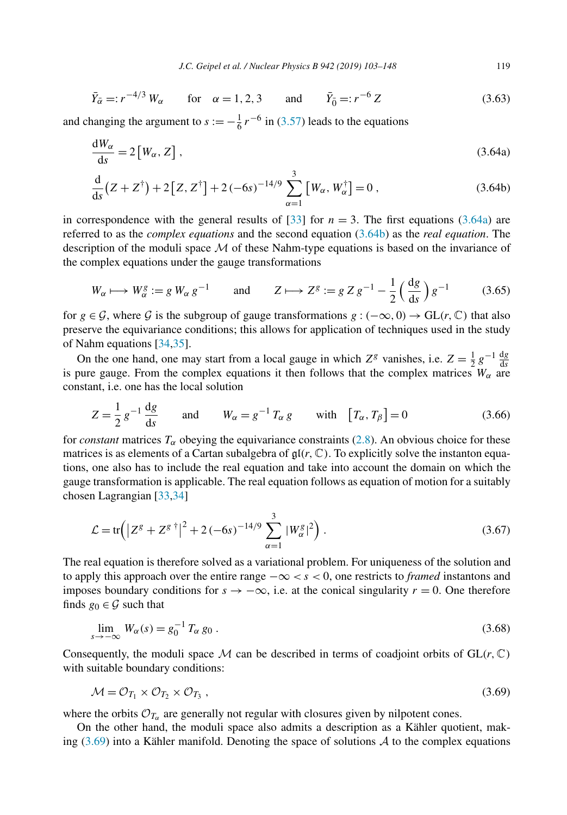<span id="page-16-0"></span>
$$
\bar{Y}_{\bar{\alpha}} =: r^{-4/3} W_{\alpha}
$$
 for  $\alpha = 1, 2, 3$  and  $\bar{Y}_{\bar{0}} =: r^{-6} Z$  (3.63)

and changing the argument to  $s := -\frac{1}{6}r^{-6}$  in [\(3.57\)](#page-14-0) leads to the equations

$$
\frac{dW_{\alpha}}{ds} = 2[W_{\alpha}, Z], \qquad (3.64a)
$$

$$
\frac{d}{ds}(Z + Z^{\dagger}) + 2[Z, Z^{\dagger}] + 2(-6s)^{-14/9} \sum_{\alpha=1}^{3} [W_{\alpha}, W_{\alpha}^{\dagger}] = 0,
$$
\n(3.64b)

in correspondence with the general results of [\[33\]](#page-45-0) for  $n = 3$ . The first equations (3.64a) are referred to as the *complex equations* and the second equation (3.64b) as the *real equation*. The description of the moduli space  $\mathcal M$  of these Nahm-type equations is based on the invariance of the complex equations under the gauge transformations

$$
W_{\alpha} \longmapsto W_{\alpha}^{g} := g W_{\alpha} g^{-1} \qquad \text{and} \qquad Z \longmapsto Z^{g} := g Z g^{-1} - \frac{1}{2} \left( \frac{\mathrm{d}g}{\mathrm{d}s} \right) g^{-1} \tag{3.65}
$$

for  $g \in \mathcal{G}$ , where  $\mathcal{G}$  is the subgroup of gauge transformations  $g : (-\infty, 0) \to \text{GL}(r, \mathbb{C})$  that also preserve the equivariance conditions; this allows for application of techniques used in the study of Nahm equations [\[34,35\]](#page-45-0).

On the one hand, one may start from a local gauge in which  $Z^g$  vanishes, i.e.  $Z = \frac{1}{2} g^{-1} \frac{dg}{ds}$ is pure gauge. From the complex equations it then follows that the complex matrices  $W_\alpha$  are constant, i.e. one has the local solution

$$
Z = \frac{1}{2} g^{-1} \frac{\mathrm{d}g}{\mathrm{d}s} \quad \text{and} \quad W_{\alpha} = g^{-1} T_{\alpha} g \quad \text{with} \quad [T_{\alpha}, T_{\beta}] = 0 \tag{3.66}
$$

for *constant* matrices  $T_\alpha$  obeying the equivariance constraints [\(2.8\)](#page-4-0). An obvious choice for these matrices is as elements of a Cartan subalgebra of  $\mathfrak{gl}(r, \mathbb{C})$ . To explicitly solve the instanton equations, one also has to include the real equation and take into account the domain on which the gauge transformation is applicable. The real equation follows as equation of motion for a suitably chosen Lagrangian [\[33,34\]](#page-45-0)

$$
\mathcal{L} = \text{tr}\Big(|Z^g + Z^{g\,\dagger}|^2 + 2\,(-6s)^{-14/9}\sum_{\alpha=1}^3 |W^g_{\alpha}|^2\Big) \,. \tag{3.67}
$$

The real equation is therefore solved as a variational problem. For uniqueness of the solution and to apply this approach over the entire range −∞ *<s<* 0, one restricts to *framed* instantons and imposes boundary conditions for  $s \to -\infty$ , i.e. at the conical singularity  $r = 0$ . One therefore finds  $g_0 \in \mathcal{G}$  such that

$$
\lim_{s \to -\infty} W_{\alpha}(s) = g_0^{-1} T_{\alpha} g_0 \,. \tag{3.68}
$$

Consequently, the moduli space M can be described in terms of coadjoint orbits of  $GL(r, \mathbb{C})$ with suitable boundary conditions:

$$
\mathcal{M} = \mathcal{O}_{T_1} \times \mathcal{O}_{T_2} \times \mathcal{O}_{T_3},\tag{3.69}
$$

where the orbits  $\mathcal{O}_{T_{\alpha}}$  are generally not regular with closures given by nilpotent cones.

On the other hand, the moduli space also admits a description as a Kähler quotient, making  $(3.69)$  into a Kähler manifold. Denoting the space of solutions A to the complex equations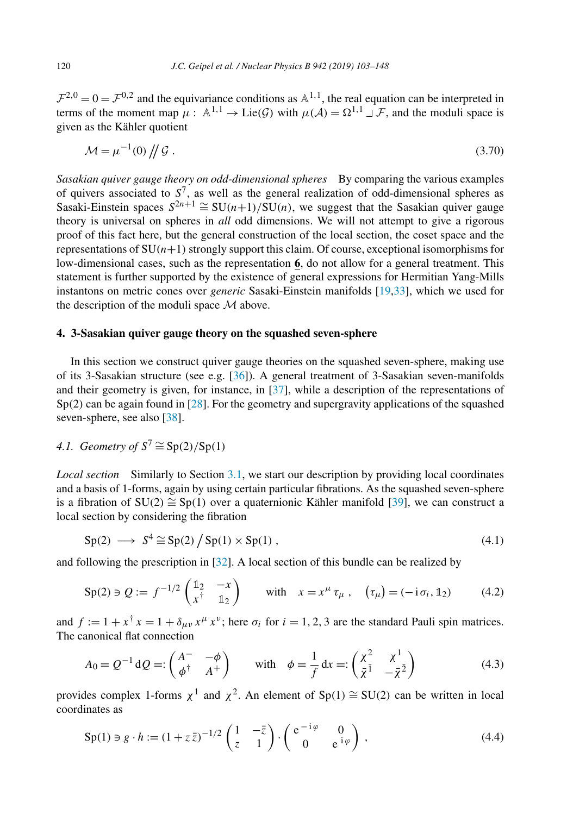<span id="page-17-0"></span> $\mathcal{F}^{2,0} = 0 = \mathcal{F}^{0,2}$  and the equivariance conditions as  $\mathbb{A}^{1,1}$ , the real equation can be interpreted in terms of the moment map  $\mu : \mathbb{A}^{1,1} \to \text{Lie}(\mathcal{G})$  with  $\mu(\mathcal{A}) = \Omega^{1,1} \cup \mathcal{F}$ , and the moduli space is given as the Kähler quotient

$$
\mathcal{M} = \mu^{-1}(0) \left/ \left/ \mathcal{G} \right. \right. \tag{3.70}
$$

*Sasakian quiver gauge theory on odd-dimensional spheres* By comparing the various examples of quivers associated to  $S^7$ , as well as the general realization of odd-dimensional spheres as Sasaki-Einstein spaces  $S^{2n+1} \cong SU(n+1)/SU(n)$ , we suggest that the Sasakian quiver gauge theory is universal on spheres in *all* odd dimensions. We will not attempt to give a rigorous proof of this fact here, but the general construction of the local section, the coset space and the representations of  $SU(n+1)$  strongly support this claim. Of course, exceptional isomorphisms for low-dimensional cases, such as the representation **6**, do not allow for a general treatment. This statement is further supported by the existence of general expressions for Hermitian Yang-Mills instantons on metric cones over *generic* Sasaki-Einstein manifolds [\[19,](#page-44-0)[33\]](#page-45-0), which we used for the description of the moduli space  $M$  above.

## **4. 3-Sasakian quiver gauge theory on the squashed seven-sphere**

In this section we construct quiver gauge theories on the squashed seven-sphere, making use of its 3-Sasakian structure (see e.g. [\[36\]](#page-45-0)). A general treatment of 3-Sasakian seven-manifolds and their geometry is given, for instance, in [\[37\]](#page-45-0), while a description of the representations of Sp<sup>(2)</sup> can be again found in [\[28\]](#page-44-0). For the geometry and supergravity applications of the squashed seven-sphere, see also [\[38\]](#page-45-0).

4.1. Geometry of 
$$
S^7 \cong Sp(2)/Sp(1)
$$

*Local section* Similarly to Section [3.1,](#page-4-0) we start our description by providing local coordinates and a basis of 1-forms, again by using certain particular fibrations. As the squashed seven-sphere is a fibration of SU*(*2*)* ∼= Sp*(*1*)* over a quaternionic Kähler manifold [\[39\]](#page-45-0), we can construct a local section by considering the fibration

$$
\text{Sp}(2) \longrightarrow S^4 \cong \text{Sp}(2) / \text{Sp}(1) \times \text{Sp}(1) \,, \tag{4.1}
$$

and following the prescription in [\[32\]](#page-45-0). A local section of this bundle can be realized by

$$
\text{Sp}(2) \ni Q := f^{-1/2} \begin{pmatrix} \mathbb{1}_2 & -x \\ x^{\dagger} & \mathbb{1}_2 \end{pmatrix} \qquad \text{with} \quad x = x^{\mu} \tau_{\mu} \,, \quad (\tau_{\mu}) = (-\mathbf{i} \sigma_i, \mathbb{1}_2) \tag{4.2}
$$

and  $f := 1 + x^{\dagger} x = 1 + \delta_{\mu\nu} x^{\mu} x^{\nu}$ ; here  $\sigma_i$  for  $i = 1, 2, 3$  are the standard Pauli spin matrices. The canonical flat connection

$$
A_0 = Q^{-1} dQ =: \begin{pmatrix} A^- & -\phi \\ \phi^\dagger & A^+ \end{pmatrix} \quad \text{with} \quad \phi = \frac{1}{f} dx =: \begin{pmatrix} \chi^2 & \chi^1 \\ \bar{\chi}^1 & -\bar{\chi}^2 \end{pmatrix} \tag{4.3}
$$

provides complex 1-forms  $\chi^1$  and  $\chi^2$ . An element of Sp(1)  $\cong$  SU(2) can be written in local coordinates as

$$
\operatorname{Sp}(1) \ni g \cdot h := (1 + z\overline{z})^{-1/2} \begin{pmatrix} 1 & -\overline{z} \\ z & 1 \end{pmatrix} \cdot \begin{pmatrix} e^{-i\varphi} & 0 \\ 0 & e^{i\varphi} \end{pmatrix}, \tag{4.4}
$$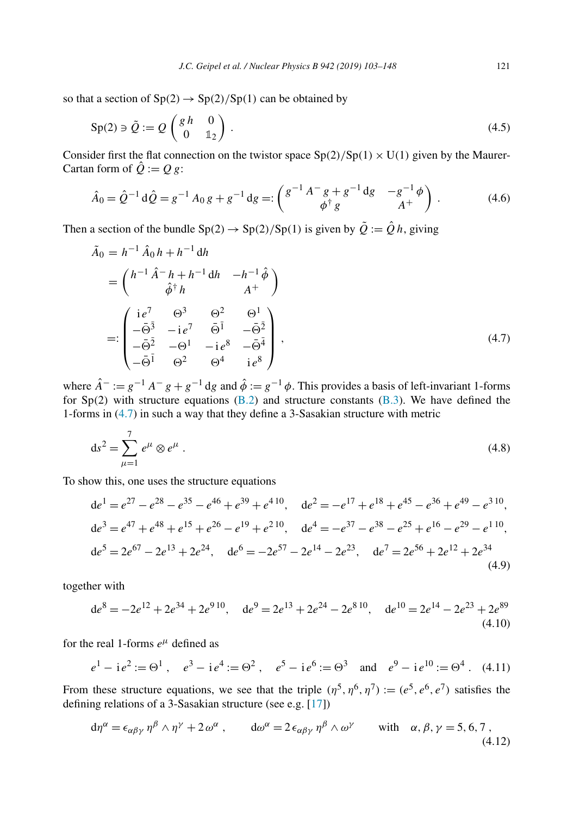<span id="page-18-0"></span>so that a section of  $Sp(2) \rightarrow Sp(2)/Sp(1)$  can be obtained by

$$
\operatorname{Sp}(2) \ni \tilde{Q} := Q \begin{pmatrix} g \, h & 0 \\ 0 & \mathbb{1}_2 \end{pmatrix} \,. \tag{4.5}
$$

Consider first the flat connection on the twistor space  $Sp(2)/Sp(1) \times U(1)$  given by the Maurer-Cartan form of  $\hat{Q} := Q g$ :

$$
\hat{A}_0 = \hat{Q}^{-1} d\hat{Q} = g^{-1} A_0 g + g^{-1} dg =: \begin{pmatrix} g^{-1} A^- g + g^{-1} dg & -g^{-1} \phi \\ \phi^{\dagger} g & A^+ \end{pmatrix}.
$$
 (4.6)

Then a section of the bundle  $\text{Sp}(2) \to \text{Sp}(2)/\text{Sp}(1)$  is given by  $\tilde{Q} := \hat{Q}h$ , giving

$$
\tilde{A}_0 = h^{-1} \hat{A}_0 h + h^{-1} dh
$$
\n
$$
= \begin{pmatrix}\nh^{-1} \hat{A}^- h + h^{-1} dh & -h^{-1} \hat{\phi} \\
\hat{\phi}^{\dagger} h & A^+\n\end{pmatrix}
$$
\n
$$
=:\begin{pmatrix}\ni e^7 & \Theta^3 & \Theta^2 & \Theta^1 \\
-\bar{\Theta}^3 & -i e^7 & \bar{\Theta}^1 & -\bar{\Theta}^2 \\
-\bar{\Theta}^2 & -\Theta^1 & -i e^8 & -\bar{\Theta}^4 \\
-\bar{\Theta}^1 & \Theta^2 & \Theta^4 & i e^8\n\end{pmatrix},
$$
\n(4.7)

where  $\hat{A}^- := g^{-1} A^- g + g^{-1} dg$  and  $\hat{\phi} := g^{-1} \phi$ . This provides a basis of left-invariant 1-forms for Sp*(*2*)* with structure equations [\(B.2\)](#page-39-0) and structure constants [\(B.3\)](#page-40-0). We have defined the 1-forms in (4.7) in such a way that they define a 3-Sasakian structure with metric

$$
ds^2 = \sum_{\mu=1}^7 e^{\mu} \otimes e^{\mu} . \tag{4.8}
$$

To show this, one uses the structure equations

$$
de1 = e27 - e28 - e35 - e46 + e39 + e410, de2 = -e17 + e18 + e45 - e36 + e49 - e310,\nde3 = e47 + e48 + e15 + e26 - e19 + e210, de4 = -e37 - e38 - e25 + e16 - e29 - e110,\nde5 = 2e67 - 2e13 + 2e24, de6 = -2e57 - 2e14 - 2e23, de7 = 2e56 + 2e12 + 2e34
$$
\n(4.9)

together with

$$
de^{8} = -2e^{12} + 2e^{34} + 2e^{910}, \quad de^{9} = 2e^{13} + 2e^{24} - 2e^{810}, \quad de^{10} = 2e^{14} - 2e^{23} + 2e^{89}
$$
\n(4.10)

for the real 1-forms  $e^{\mu}$  defined as

$$
e^1 - ie^2 := \Theta^1
$$
,  $e^3 - ie^4 := \Theta^2$ ,  $e^5 - ie^6 := \Theta^3$  and  $e^9 - ie^{10} := \Theta^4$ . (4.11)

From these structure equations, we see that the triple  $(\eta^5, \eta^6, \eta^7) := (e^5, e^6, e^7)$  satisfies the defining relations of a 3-Sasakian structure (see e.g. [\[17\]](#page-44-0))

$$
d\eta^{\alpha} = \epsilon_{\alpha\beta\gamma} \eta^{\beta} \wedge \eta^{\gamma} + 2\omega^{\alpha} , \qquad d\omega^{\alpha} = 2\epsilon_{\alpha\beta\gamma} \eta^{\beta} \wedge \omega^{\gamma} \qquad \text{with} \quad \alpha, \beta, \gamma = 5, 6, 7 , \tag{4.12}
$$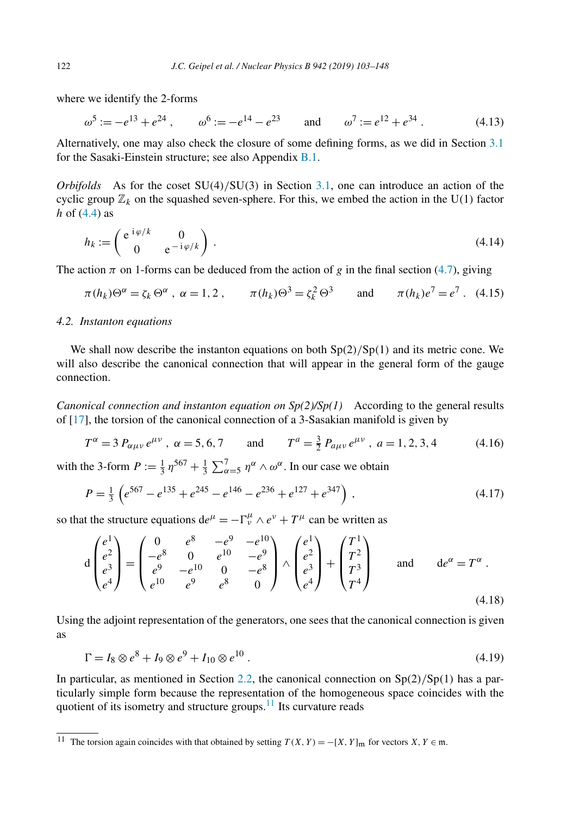where we identify the 2-forms

$$
\omega^5 := -e^{13} + e^{24}
$$
,  $\omega^6 := -e^{14} - e^{23}$  and  $\omega^7 := e^{12} + e^{34}$ . (4.13)

Alternatively, one may also check the closure of some defining forms, as we did in Section [3.1](#page-4-0) for the Sasaki-Einstein structure; see also Appendix [B.1.](#page-39-0)

*Orbifolds* As for the coset SU*(*4*)/*SU*(*3*)* in Section [3.1,](#page-4-0) one can introduce an action of the cyclic group  $\mathbb{Z}_k$  on the squashed seven-sphere. For this, we embed the action in the U(1) factor *h* of [\(4.4\)](#page-17-0) as

$$
h_k := \begin{pmatrix} e^{-i\varphi/k} & 0 \\ 0 & e^{-i\varphi/k} \end{pmatrix} .
$$
 (4.14)

The action  $\pi$  on 1-forms can be deduced from the action of *g* in the final section [\(4.7\)](#page-18-0), giving

$$
\pi(h_k)\Theta^\alpha = \zeta_k \Theta^\alpha \ , \ \alpha = 1, 2 \ , \qquad \pi(h_k)\Theta^3 = \zeta_k^2 \Theta^3 \qquad \text{and} \qquad \pi(h_k)e^7 = e^7 \ . \tag{4.15}
$$

#### *4.2. Instanton equations*

We shall now describe the instanton equations on both Sp*(*2*)/*Sp*(*1*)* and its metric cone. We will also describe the canonical connection that will appear in the general form of the gauge connection.

*Canonical connection and instanton equation on*  $Sp(2)/Sp(1)$  According to the general results of [\[17\]](#page-44-0), the torsion of the canonical connection of a 3-Sasakian manifold is given by

$$
T^{\alpha} = 3 P_{\alpha\mu\nu} e^{\mu\nu}, \ \alpha = 5, 6, 7 \qquad \text{and} \qquad T^{a} = \frac{3}{2} P_{a\mu\nu} e^{\mu\nu}, \ a = 1, 2, 3, 4 \tag{4.16}
$$

with the 3-form  $P := \frac{1}{3} \eta^{567} + \frac{1}{3} \sum_{\alpha=5}^{7} \eta^{\alpha} \wedge \omega^{\alpha}$ . In our case we obtain

$$
P = \frac{1}{3} \left( e^{567} - e^{135} + e^{245} - e^{146} - e^{236} + e^{127} + e^{347} \right),
$$
\n(4.17)

so that the structure equations  $de^{\mu} = -\Gamma^{\mu}_{\nu} \wedge e^{\nu} + T^{\mu}$  can be written as

$$
d\begin{pmatrix} e^{1} \\ e^{2} \\ e^{3} \\ e^{4} \end{pmatrix} = \begin{pmatrix} 0 & e^{8} & -e^{9} & -e^{10} \\ -e^{8} & 0 & e^{10} & -e^{9} \\ e^{9} & -e^{10} & 0 & -e^{8} \\ e^{10} & e^{9} & e^{8} & 0 \end{pmatrix} \wedge \begin{pmatrix} e^{1} \\ e^{2} \\ e^{3} \\ e^{4} \end{pmatrix} + \begin{pmatrix} T^{1} \\ T^{2} \\ T^{3} \\ T^{4} \end{pmatrix} \text{ and } de^{\alpha} = T^{\alpha} .
$$
\n(4.18)

Using the adjoint representation of the generators, one sees that the canonical connection is given as

$$
\Gamma = I_8 \otimes e^8 + I_9 \otimes e^9 + I_{10} \otimes e^{10} \,. \tag{4.19}
$$

In particular, as mentioned in Section [2.2,](#page-3-0) the canonical connection on Sp*(*2*)/*Sp*(*1*)* has a particularly simple form because the representation of the homogeneous space coincides with the quotient of its isometry and structure groups.<sup>11</sup> Its curvature reads

<span id="page-19-0"></span>

<sup>&</sup>lt;sup>11</sup> The torsion again coincides with that obtained by setting  $T(X, Y) = -[X, Y]_m$  for vectors  $X, Y \in \mathfrak{m}$ .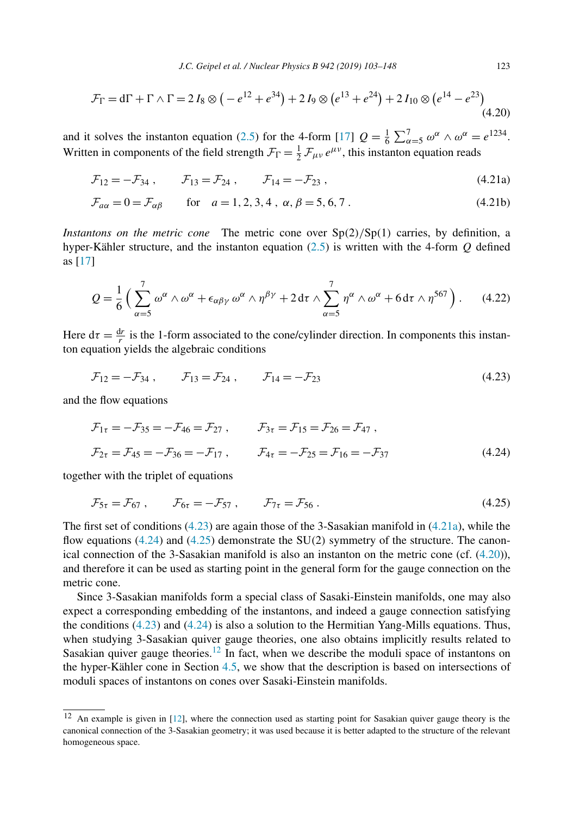<span id="page-20-0"></span>
$$
\mathcal{F}_{\Gamma} = d\Gamma + \Gamma \wedge \Gamma = 2 I_8 \otimes \left( -e^{12} + e^{34} \right) + 2 I_9 \otimes \left( e^{13} + e^{24} \right) + 2 I_{10} \otimes \left( e^{14} - e^{23} \right) \tag{4.20}
$$

and it solves the instanton equation [\(2.5\)](#page-3-0) for the 4-form [\[17\]](#page-44-0)  $Q = \frac{1}{6} \sum_{\alpha=5}^{7} \omega^{\alpha} \wedge \omega^{\alpha} = e^{1234}$ . Written in components of the field strength  $\mathcal{F}_{\Gamma} = \frac{1}{2} \mathcal{F}_{\mu\nu} e^{\mu\nu}$ , this instanton equation reads

$$
\mathcal{F}_{12} = -\mathcal{F}_{34} , \qquad \mathcal{F}_{13} = \mathcal{F}_{24} , \qquad \mathcal{F}_{14} = -\mathcal{F}_{23} , \qquad (4.21a)
$$

$$
\mathcal{F}_{a\alpha} = 0 = \mathcal{F}_{\alpha\beta} \qquad \text{for} \quad a = 1, 2, 3, 4 \,, \ \alpha, \beta = 5, 6, 7 \,. \tag{4.21b}
$$

*Instantons on the metric cone* The metric cone over Sp*(*2*)/*Sp*(*1*)* carries, by definition, a hyper-Kähler structure, and the instanton equation [\(2.5\)](#page-3-0) is written with the 4-form *Q* defined as [\[17\]](#page-44-0)

$$
Q = \frac{1}{6} \left( \sum_{\alpha=5}^{7} \omega^{\alpha} \wedge \omega^{\alpha} + \epsilon_{\alpha\beta\gamma} \omega^{\alpha} \wedge \eta^{\beta\gamma} + 2 \,\mathrm{d}\tau \wedge \sum_{\alpha=5}^{7} \eta^{\alpha} \wedge \omega^{\alpha} + 6 \,\mathrm{d}\tau \wedge \eta^{567} \right). \tag{4.22}
$$

Here  $d\tau = \frac{dr}{r}$  is the 1-form associated to the cone/cylinder direction. In components this instanton equation yields the algebraic conditions

$$
\mathcal{F}_{12} = -\mathcal{F}_{34} , \qquad \mathcal{F}_{13} = \mathcal{F}_{24} , \qquad \mathcal{F}_{14} = -\mathcal{F}_{23}
$$
 (4.23)

and the flow equations

$$
\mathcal{F}_{1\tau} = -\mathcal{F}_{35} = -\mathcal{F}_{46} = \mathcal{F}_{27} , \qquad \mathcal{F}_{3\tau} = \mathcal{F}_{15} = \mathcal{F}_{26} = \mathcal{F}_{47} ,
$$
  

$$
\mathcal{F}_{2\tau} = \mathcal{F}_{45} = -\mathcal{F}_{36} = -\mathcal{F}_{17} , \qquad \mathcal{F}_{4\tau} = -\mathcal{F}_{25} = \mathcal{F}_{16} = -\mathcal{F}_{37} \tag{4.24}
$$

together with the triplet of equations

$$
\mathcal{F}_{5\tau} = \mathcal{F}_{67} , \qquad \mathcal{F}_{6\tau} = -\mathcal{F}_{57} , \qquad \mathcal{F}_{7\tau} = \mathcal{F}_{56} . \tag{4.25}
$$

The first set of conditions  $(4.23)$  are again those of the 3-Sasakian manifold in  $(4.21a)$ , while the flow equations (4.24) and (4.25) demonstrate the SU*(*2*)* symmetry of the structure. The canonical connection of the 3-Sasakian manifold is also an instanton on the metric cone (cf. (4.20)), and therefore it can be used as starting point in the general form for the gauge connection on the metric cone.

Since 3-Sasakian manifolds form a special class of Sasaki-Einstein manifolds, one may also expect a corresponding embedding of the instantons, and indeed a gauge connection satisfying the conditions (4.23) and (4.24) is also a solution to the Hermitian Yang-Mills equations. Thus, when studying 3-Sasakian quiver gauge theories, one also obtains implicitly results related to Sasakian quiver gauge theories.<sup>12</sup> In fact, when we describe the moduli space of instantons on the hyper-Kähler cone in Section [4.5,](#page-27-0) we show that the description is based on intersections of moduli spaces of instantons on cones over Sasaki-Einstein manifolds.

<sup>12</sup> An example is given in [\[12\]](#page-44-0), where the connection used as starting point for Sasakian quiver gauge theory is the canonical connection of the 3-Sasakian geometry; it was used because it is better adapted to the structure of the relevant homogeneous space.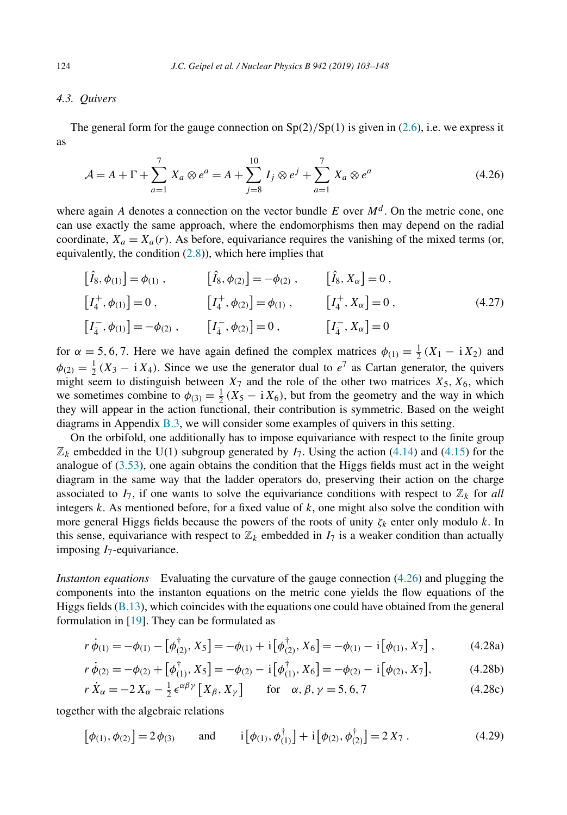# <span id="page-21-0"></span>*4.3. Quivers*

The general form for the gauge connection on  $Sp(2)/Sp(1)$  is given in [\(2.6\)](#page-3-0), i.e. we express it as

$$
\mathcal{A} = A + \Gamma + \sum_{a=1}^{7} X_a \otimes e^a = A + \sum_{j=8}^{10} I_j \otimes e^j + \sum_{a=1}^{7} X_a \otimes e^a \tag{4.26}
$$

where again *A* denotes a connection on the vector bundle *E* over  $M<sup>d</sup>$ . On the metric cone, one can use exactly the same approach, where the endomorphisms then may depend on the radial coordinate,  $X_a = X_a(r)$ . As before, equivariance requires the vanishing of the mixed terms (or, equivalently, the condition [\(2.8\)](#page-4-0)), which here implies that

$$
\begin{aligned}\n\left[\hat{I}_8, \phi_{(1)}\right] &= \phi_{(1)} , & \left[\hat{I}_8, \phi_{(2)}\right] &= -\phi_{(2)} , & \left[\hat{I}_8, X_\alpha\right] &= 0 , \\
\left[I_4^+, \phi_{(1)}\right] &= 0 , & \left[I_4^+, \phi_{(2)}\right] &= \phi_{(1)} , & \left[I_4^+, X_\alpha\right] &= 0 , \\
\left[I_4^-, \phi_{(1)}\right] &= -\phi_{(2)} , & \left[I_4^-, \phi_{(2)}\right] &= 0 , & \left[I_4^-, X_\alpha\right] &= 0 .\n\end{aligned}\n\tag{4.27}
$$

for  $\alpha = 5, 6, 7$ . Here we have again defined the complex matrices  $\phi_{(1)} = \frac{1}{2}(X_1 - iX_2)$  and  $\phi_{(2)} = \frac{1}{2} (X_3 - i X_4)$ . Since we use the generator dual to  $e^7$  as Cartan generator, the quivers might seem to distinguish between  $X_7$  and the role of the other two matrices  $X_5$ ,  $X_6$ , which we sometimes combine to  $\phi_{(3)} = \frac{1}{2} (X_5 - i X_6)$ , but from the geometry and the way in which they will appear in the action functional, their contribution is symmetric. Based on the weight diagrams in Appendix [B.3,](#page-42-0) we will consider some examples of quivers in this setting.

On the orbifold, one additionally has to impose equivariance with respect to the finite group  $\mathbb{Z}_k$  embedded in the U(1) subgroup generated by  $I_7$ . Using the action [\(4.14\)](#page-19-0) and [\(4.15\)](#page-19-0) for the analogue of  $(3.53)$ , one again obtains the condition that the Higgs fields must act in the weight diagram in the same way that the ladder operators do, preserving their action on the charge associated to  $I_7$ , if one wants to solve the equivariance conditions with respect to  $\mathbb{Z}_k$  for *all* integers *k*. As mentioned before, for a fixed value of *k*, one might also solve the condition with more general Higgs fields because the powers of the roots of unity  $\zeta_k$  enter only modulo *k*. In this sense, equivariance with respect to  $\mathbb{Z}_k$  embedded in  $I_7$  is a weaker condition than actually imposing *I*7-equivariance.

*Instanton equations* Evaluating the curvature of the gauge connection (4.26) and plugging the components into the instanton equations on the metric cone yields the flow equations of the Higgs fields [\(B.13\)](#page-41-0), which coincides with the equations one could have obtained from the general formulation in [\[19\]](#page-44-0). They can be formulated as

$$
r\,\dot{\phi}_{(1)} = -\phi_{(1)} - \left[\phi_{(2)}^{\dagger}, X_5\right] = -\phi_{(1)} + i\left[\phi_{(2)}^{\dagger}, X_6\right] = -\phi_{(1)} - i\left[\phi_{(1)}, X_7\right],\tag{4.28a}
$$

$$
r\dot{\phi}_{(2)} = -\phi_{(2)} + [\phi_{(1)}^{\dagger}, X_5] = -\phi_{(2)} - i[\phi_{(1)}^{\dagger}, X_6] = -\phi_{(2)} - i[\phi_{(2)}, X_7],
$$
(4.28b)

$$
r\,\dot{X}_{\alpha} = -2\,X_{\alpha} - \frac{1}{2}\,\epsilon^{\alpha\beta\gamma}\left[X_{\beta}, X_{\gamma}\right] \qquad \text{for} \quad \alpha, \beta, \gamma = 5, 6, 7 \tag{4.28c}
$$

together with the algebraic relations

$$
[\phi_{(1)}, \phi_{(2)}] = 2\phi_{(3)} \quad \text{and} \quad i[\phi_{(1)}, \phi_{(1)}^{\dagger}] + i[\phi_{(2)}, \phi_{(2)}^{\dagger}] = 2X_7. \tag{4.29}
$$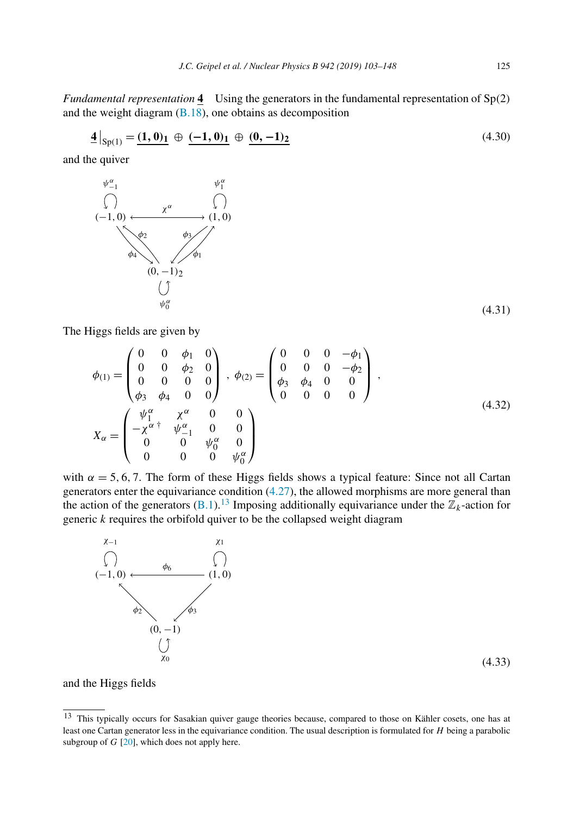<span id="page-22-0"></span>*Fundamental representation* **4** Using the generators in the fundamental representation of Sp*(*2*)* and the weight diagram [\(B.18\)](#page-42-0), one obtains as decomposition

$$
\mathbf{\underline{4}}|_{Sp(1)} = \mathbf{(1, 0)_1} \oplus \mathbf{(-1, 0)_1} \oplus \mathbf{(0, -1)_2} \tag{4.30}
$$

and the quiver



The Higgs fields are given by

$$
\phi_{(1)} = \begin{pmatrix}\n0 & 0 & \phi_1 & 0 \\
0 & 0 & \phi_2 & 0 \\
0 & 0 & 0 & 0 \\
\phi_3 & \phi_4 & 0 & 0\n\end{pmatrix}, \phi_{(2)} = \begin{pmatrix}\n0 & 0 & 0 & -\phi_1 \\
0 & 0 & 0 & -\phi_2 \\
\phi_3 & \phi_4 & 0 & 0 \\
0 & 0 & 0 & 0\n\end{pmatrix},
$$
\n
$$
X_{\alpha} = \begin{pmatrix}\n\psi_1^{\alpha} & \chi^{\alpha} & 0 & 0 \\
-\chi^{\alpha +} & \psi_{-1}^{\alpha} & 0 & 0 \\
0 & 0 & \psi_0^{\alpha} & 0 \\
0 & 0 & 0 & \psi_0^{\alpha}\n\end{pmatrix}
$$
\n(4.32)

with  $\alpha = 5, 6, 7$ . The form of these Higgs fields shows a typical feature: Since not all Cartan generators enter the equivariance condition [\(4.27\)](#page-21-0), the allowed morphisms are more general than the action of the generators  $(B.1)$ .<sup>13</sup> Imposing additionally equivariance under the  $\mathbb{Z}_k$ -action for generic *k* requires the orbifold quiver to be the collapsed weight diagram



and the Higgs fields

<sup>13</sup> This typically occurs for Sasakian quiver gauge theories because, compared to those on Kähler cosets, one has at least one Cartan generator less in the equivariance condition. The usual description is formulated for *H* being a parabolic subgroup of *G* [\[20\]](#page-44-0), which does not apply here.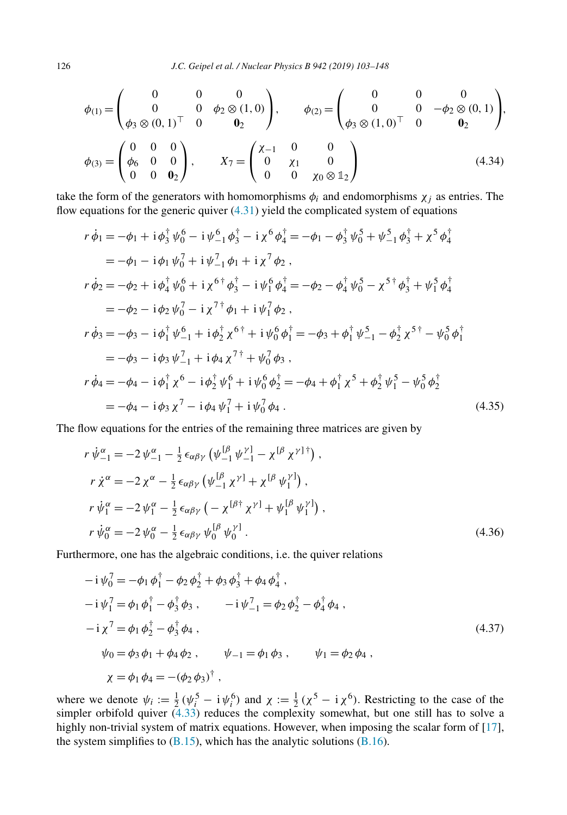$$
\phi_{(1)} = \begin{pmatrix} 0 & 0 & 0 \\ 0 & 0 & \phi_2 \otimes (1,0) \\ \phi_3 \otimes (0,1)^\top & 0 & 0_2 \end{pmatrix}, \qquad \phi_{(2)} = \begin{pmatrix} 0 & 0 & 0 \\ 0 & 0 & -\phi_2 \otimes (0,1) \\ \phi_3 \otimes (1,0)^\top & 0 & 0_2 \end{pmatrix},
$$

$$
\phi_{(3)} = \begin{pmatrix} 0 & 0 & 0 \\ \phi_6 & 0 & 0 \\ 0 & 0 & \phi_2 \end{pmatrix}, \qquad X_7 = \begin{pmatrix} \chi_{-1} & 0 & 0 \\ 0 & \chi_1 & 0 \\ 0 & 0 & \chi_0 \otimes \mathbb{1}_2 \end{pmatrix}
$$
(4.34)

take the form of the generators with homomorphisms  $\phi_i$  and endomorphisms  $\chi_i$  as entries. The flow equations for the generic quiver [\(4.31\)](#page-22-0) yield the complicated system of equations

$$
r\dot{\phi}_1 = -\phi_1 + i\phi_3^{\dagger}\psi_0^6 - i\psi_{-1}^6\phi_3^{\dagger} - i\chi^6\phi_4^{\dagger} = -\phi_1 - \phi_3^{\dagger}\psi_0^5 + \psi_{-1}^5\phi_3^{\dagger} + \chi^5\phi_4^{\dagger}
$$
  
\n
$$
= -\phi_1 - i\phi_1\psi_0^7 + i\psi_{-1}^7\phi_1 + i\chi^7\phi_2 ,
$$
  
\n
$$
r\dot{\phi}_2 = -\phi_2 + i\phi_4^{\dagger}\psi_0^6 + i\chi^{6\dagger}\phi_3^{\dagger} - i\psi_1^6\phi_4^{\dagger} = -\phi_2 - \phi_4^{\dagger}\psi_0^5 - \chi^{5\dagger}\phi_3^{\dagger} + \psi_1^5\phi_4^{\dagger}
$$
  
\n
$$
= -\phi_2 - i\phi_2\psi_0^7 - i\chi^{7\dagger}\phi_1 + i\psi_1^7\phi_2 ,
$$
  
\n
$$
r\dot{\phi}_3 = -\phi_3 - i\phi_1^{\dagger}\psi_{-1}^6 + i\phi_2^{\dagger}\chi^{6\dagger} + i\psi_0^6\phi_1^{\dagger} = -\phi_3 + \phi_1^{\dagger}\psi_{-1}^5 - \phi_2^{\dagger}\chi^{5\dagger} - \psi_0^5\phi_1^{\dagger}
$$
  
\n
$$
= -\phi_3 - i\phi_3\psi_{-1}^7 + i\phi_4\chi^{7\dagger} + \psi_0^7\phi_3 ,
$$
  
\n
$$
r\dot{\phi}_4 = -\phi_4 - i\phi_1^{\dagger}\chi^6 - i\phi_2^{\dagger}\psi_1^6 + i\psi_0^6\phi_2^{\dagger} = -\phi_4 + \phi_1^{\dagger}\chi^5 + \phi_2^{\dagger}\psi_1^5 - \psi_0^5\phi_2^{\dagger}
$$
  
\n
$$
= -\phi_4 - i\phi_3\chi^7 - i\phi_4\psi_1^7 + i\psi_0^7\phi_4 .
$$
  
\n(4.35)

The flow equations for the entries of the remaining three matrices are given by

$$
r\,\dot{\psi}_{-1}^{\alpha} = -2\,\psi_{-1}^{\alpha} - \frac{1}{2}\,\epsilon_{\alpha\beta\gamma}\left(\psi_{-1}^{[\beta}\,\psi_{-1}^{\gamma]} - \chi^{[\beta}\,\chi^{\gamma]^\dagger}\right),\nr\,\dot{\chi}^{\alpha} = -2\,\chi^{\alpha} - \frac{1}{2}\,\epsilon_{\alpha\beta\gamma}\left(\psi_{-1}^{[\beta}\,\chi^{\gamma]} + \chi^{[\beta}\,\psi_{1}^{\gamma]}\right),\nr\,\dot{\psi}_{1}^{\alpha} = -2\,\psi_{1}^{\alpha} - \frac{1}{2}\,\epsilon_{\alpha\beta\gamma}\left(-\,\chi^{[\beta\dagger}\,\chi^{\gamma]} + \psi_{1}^{[\beta}\,\psi_{1}^{\gamma]}\right),\nr\,\dot{\psi}_{0}^{\alpha} = -2\,\psi_{0}^{\alpha} - \frac{1}{2}\,\epsilon_{\alpha\beta\gamma}\,\psi_{0}^{[\beta}\,\psi_{0}^{\gamma]}\,. \tag{4.36}
$$

Furthermore, one has the algebraic conditions, i.e. the quiver relations

$$
-i \psi_0^7 = -\phi_1 \phi_1^{\dagger} - \phi_2 \phi_2^{\dagger} + \phi_3 \phi_3^{\dagger} + \phi_4 \phi_4^{\dagger},
$$
  
\n
$$
-i \psi_1^7 = \phi_1 \phi_1^{\dagger} - \phi_3^{\dagger} \phi_3, \qquad -i \psi_{-1}^7 = \phi_2 \phi_2^{\dagger} - \phi_4^{\dagger} \phi_4,
$$
  
\n
$$
-i \chi^7 = \phi_1 \phi_2^{\dagger} - \phi_3^{\dagger} \phi_4,
$$
  
\n
$$
\psi_0 = \phi_3 \phi_1 + \phi_4 \phi_2, \qquad \psi_{-1} = \phi_1 \phi_3, \qquad \psi_1 = \phi_2 \phi_4,
$$
  
\n
$$
\chi = \phi_1 \phi_4 = -(\phi_2 \phi_3)^{\dagger},
$$
  
\n(4.37)

where we denote  $\psi_i := \frac{1}{2} (\psi_i^5 - i \psi_i^6)$  and  $\chi := \frac{1}{2} (\chi^5 - i \chi^6)$ . Restricting to the case of the simpler orbifold quiver [\(4.33\)](#page-22-0) reduces the complexity somewhat, but one still has to solve a highly non-trivial system of matrix equations. However, when imposing the scalar form of [\[17\]](#page-44-0), the system simplifies to  $(B.15)$ , which has the analytic solutions  $(B.16)$ .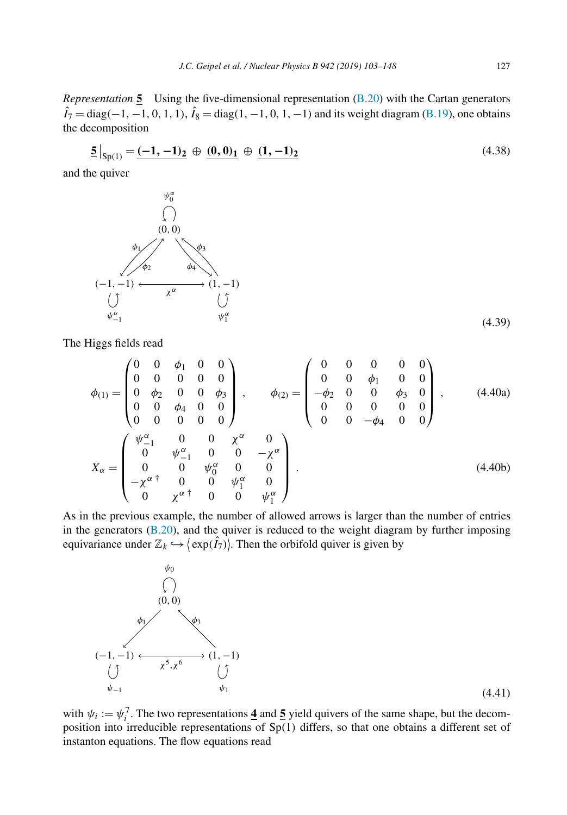<span id="page-24-0"></span>*Representation* **5** Using the five-dimensional representation [\(B.20\)](#page-43-0) with the Cartan generators  $\hat{I}_7 = \text{diag}(-1, -1, 0, 1, 1), \hat{I}_8 = \text{diag}(1, -1, 0, 1, -1)$  and its weight diagram [\(B.19\)](#page-42-0), one obtains the decomposition

$$
\underline{\mathbf{5}}|_{\text{Sp}(1)} = \underline{(-1, -1)_2} \oplus \underline{(0, 0)_1} \oplus \underline{(1, -1)_2} \tag{4.38}
$$

and the quiver



The Higgs fields read

$$
\phi_{(1)} = \begin{pmatrix}\n0 & 0 & \phi_1 & 0 & 0 \\
0 & 0 & 0 & 0 & 0 \\
0 & \phi_2 & 0 & 0 & \phi_3 \\
0 & 0 & \phi_4 & 0 & 0 \\
0 & 0 & 0 & 0 & 0\n\end{pmatrix}, \qquad \phi_{(2)} = \begin{pmatrix}\n0 & 0 & 0 & 0 & 0 \\
0 & 0 & \phi_1 & 0 & 0 \\
-\phi_2 & 0 & 0 & \phi_3 & 0 \\
0 & 0 & 0 & 0 & 0 \\
0 & 0 & 0 & 0 & 0\n\end{pmatrix}, \qquad (4.40a)
$$
\n
$$
X_{\alpha} = \begin{pmatrix}\n\psi_{-1}^{\alpha} & 0 & 0 & \chi^{\alpha} & 0 \\
0 & \psi_{-1}^{\alpha} & 0 & 0 & -\chi^{\alpha} \\
0 & 0 & \psi_0^{\alpha} & 0 & 0 \\
-\chi^{\alpha}^{\dagger} & 0 & 0 & \psi_1^{\alpha} & 0 \\
0 & \chi^{\alpha}^{\dagger} & 0 & 0 & \psi_1^{\alpha}\n\end{pmatrix}.
$$
\n(4.40b)

As in the previous example, the number of allowed arrows is larger than the number of entries in the generators [\(B.20\)](#page-43-0), and the quiver is reduced to the weight diagram by further imposing equivariance under  $\mathbb{Z}_k \hookrightarrow \left(\exp(\hat{I}_7)\right)$ . Then the orbifold quiver is given by



with  $\psi_i := \psi_i^7$ . The two representations  $\underline{\mathbf{4}}$  and  $\underline{\mathbf{5}}$  yield quivers of the same shape, but the decomposition into irreducible representations of Sp*(*1*)* differs, so that one obtains a different set of instanton equations. The flow equations read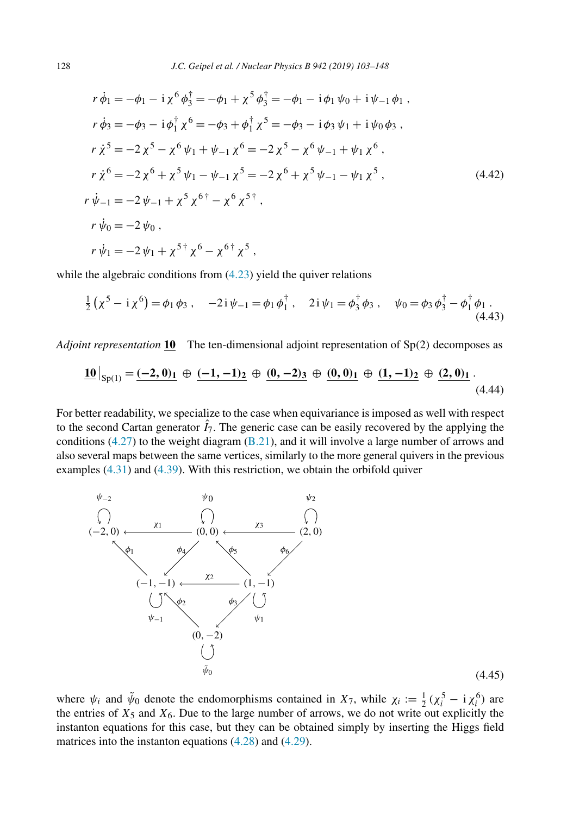$$
r\dot{\phi}_1 = -\phi_1 - i\chi^6 \phi_3^{\dagger} = -\phi_1 + \chi^5 \phi_3^{\dagger} = -\phi_1 - i\phi_1 \psi_0 + i\psi_{-1} \phi_1 ,
$$
  
\n
$$
r\dot{\phi}_3 = -\phi_3 - i\phi_1^{\dagger} \chi^6 = -\phi_3 + \phi_1^{\dagger} \chi^5 = -\phi_3 - i\phi_3 \psi_1 + i\psi_0 \phi_3 ,
$$
  
\n
$$
r\dot{\chi}^5 = -2\chi^5 - \chi^6 \psi_1 + \psi_{-1} \chi^6 = -2\chi^5 - \chi^6 \psi_{-1} + \psi_1 \chi^6 ,
$$
  
\n
$$
r\dot{\chi}^6 = -2\chi^6 + \chi^5 \psi_1 - \psi_{-1} \chi^5 = -2\chi^6 + \chi^5 \psi_{-1} - \psi_1 \chi^5 ,
$$
  
\n
$$
r\dot{\psi}_{-1} = -2\psi_{-1} + \chi^5 \chi^{6\dagger} - \chi^6 \chi^{5\dagger} ,
$$
  
\n
$$
r\dot{\psi}_0 = -2\psi_0 ,
$$
  
\n
$$
r\dot{\psi}_1 = -2\psi_1 + \chi^{5\dagger} \chi^6 - \chi^{6\dagger} \chi^5 ,
$$
  
\n(4.42)

while the algebraic conditions from  $(4.23)$  yield the quiver relations

$$
\frac{1}{2} \left( \chi^5 - i \chi^6 \right) = \phi_1 \phi_3 \,, \quad -2i \psi_{-1} = \phi_1 \phi_1^{\dagger} \,, \quad 2i \psi_1 = \phi_3^{\dagger} \phi_3 \,, \quad \psi_0 = \phi_3 \phi_3^{\dagger} - \phi_1^{\dagger} \phi_1 \,.
$$
\n(4.43)

*Adjoint representation* **10** The ten-dimensional adjoint representation of Sp*(*2*)* decomposes as

$$
\underline{\mathbf{10}}\big|_{\text{Sp}(1)} = \underline{(-2, 0)_1} \oplus \underline{(-1, -1)_2} \oplus \underline{(\mathbf{0}, -2)_3} \oplus \underline{(\mathbf{0}, 0)_1} \oplus \underline{(\mathbf{1}, -1)_2} \oplus \underline{(\mathbf{2}, 0)_1}.
$$
\n(4.44)

For better readability, we specialize to the case when equivariance is imposed as well with respect to the second Cartan generator  $\hat{I}_7$ . The generic case can be easily recovered by the applying the conditions  $(4.27)$  to the weight diagram  $(B.21)$ , and it will involve a large number of arrows and also several maps between the same vertices, similarly to the more general quivers in the previous examples [\(4.31\)](#page-22-0) and [\(4.39\)](#page-24-0). With this restriction, we obtain the orbifold quiver



(4.45)

where  $\psi_i$  and  $\tilde{\psi}_0$  denote the endomorphisms contained in  $X_7$ , while  $\chi_i := \frac{1}{2} (\chi_i^5 - i \chi_i^6)$  are the entries of  $X_5$  and  $X_6$ . Due to the large number of arrows, we do not write out explicitly the instanton equations for this case, but they can be obtained simply by inserting the Higgs field matrices into the instanton equations [\(4.28\)](#page-21-0) and [\(4.29\)](#page-21-0).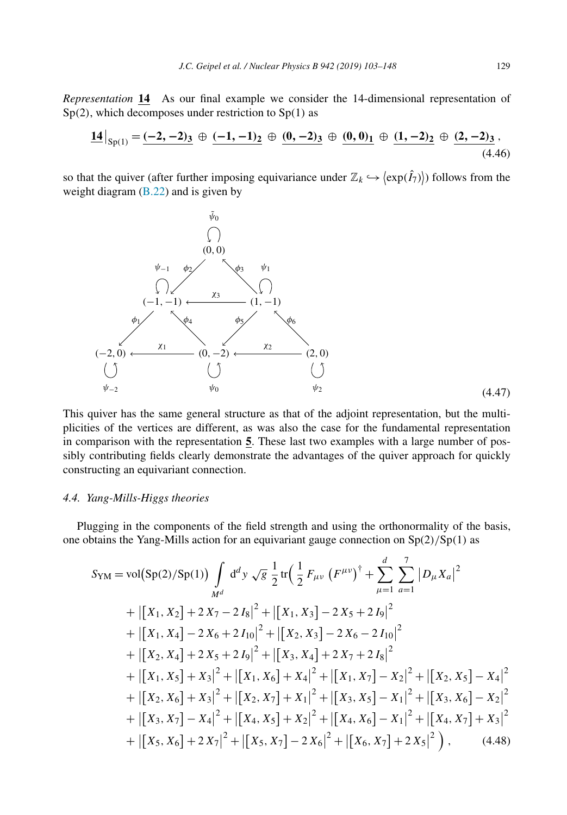<span id="page-26-0"></span>*Representation* **14** As our final example we consider the 14-dimensional representation of Sp*(*2*)*, which decomposes under restriction to Sp*(*1*)* as

$$
\underline{14}\big|_{Sp(1)} = \underline{(-2, -2)}_3 \oplus \underline{(-1, -1)}_2 \oplus \underline{0, -2)}_3 \oplus \underline{0, 0)_1} \oplus \underline{1, -2)_2} \oplus \underline{2, -2)_3} \tag{4.46}
$$

so that the quiver (after further imposing equivariance under  $\mathbb{Z}_k \hookrightarrow \langle \exp(\hat{I}_7) \rangle$ ) follows from the weight diagram  $(B.22)$  and is given by



This quiver has the same general structure as that of the adjoint representation, but the multiplicities of the vertices are different, as was also the case for the fundamental representation in comparison with the representation **5**. These last two examples with a large number of possibly contributing fields clearly demonstrate the advantages of the quiver approach for quickly constructing an equivariant connection.

#### *4.4. Yang-Mills-Higgs theories*

Plugging in the components of the field strength and using the orthonormality of the basis, one obtains the Yang-Mills action for an equivariant gauge connection on Sp*(*2*)/*Sp*(*1*)* as

$$
S_{YM} = \text{vol}(Sp(2)/Sp(1)) \int_{M^d} d^d y \sqrt{g} \frac{1}{2} \text{tr} \Big( \frac{1}{2} F_{\mu\nu} \left( F^{\mu\nu} \right)^{\dagger} + \sum_{\mu=1}^d \sum_{a=1}^7 |D_{\mu} X_a|^2
$$
  
+  $\left| \left[ X_1, X_2 \right] + 2 X_7 - 2 I_8 \right|^2 + \left| \left[ X_1, X_3 \right] - 2 X_5 + 2 I_9 \right|^2$   
+  $\left| \left[ X_1, X_4 \right] - 2 X_6 + 2 I_{10} \right|^2 + \left| \left[ X_2, X_3 \right] - 2 X_6 - 2 I_{10} \right|^2$   
+  $\left| \left[ X_2, X_4 \right] + 2 X_5 + 2 I_9 \right|^2 + \left| \left[ X_3, X_4 \right] + 2 X_7 + 2 I_8 \right|^2$   
+  $\left| \left[ X_1, X_5 \right] + X_3 \right|^2 + \left| \left[ X_1, X_6 \right] + X_4 \right|^2 + \left| \left[ X_1, X_7 \right] - X_2 \right|^2 + \left| \left[ X_2, X_5 \right] - X_4 \right|^2$   
+  $\left| \left[ X_2, X_6 \right] + X_3 \right|^2 + \left| \left[ X_2, X_7 \right] + X_1 \right|^2 + \left| \left[ X_3, X_5 \right] - X_1 \right|^2 + \left| \left[ X_3, X_6 \right] - X_2 \right|^2$   
+  $\left| \left[ X_3, X_7 \right] - X_4 \right|^2 + \left| \left[ X_4, X_5 \right] + X_2 \right|^2 + \left| \left[ X_4, X_6 \right] - X_1 \right|^2 + \left| \left[ X_4, X_7 \right] + X_3 \right|^2$   
+  $\left| \left[ X_5, X_6 \right] + 2 X_7 \right|^2 + \left| \left[ X_5, X_7 \right] - 2 X_6 \right|^2 + \left| \left[ X_6, X_7 \right] + 2 X_5 \right|^2 \Big)$ , (4.48)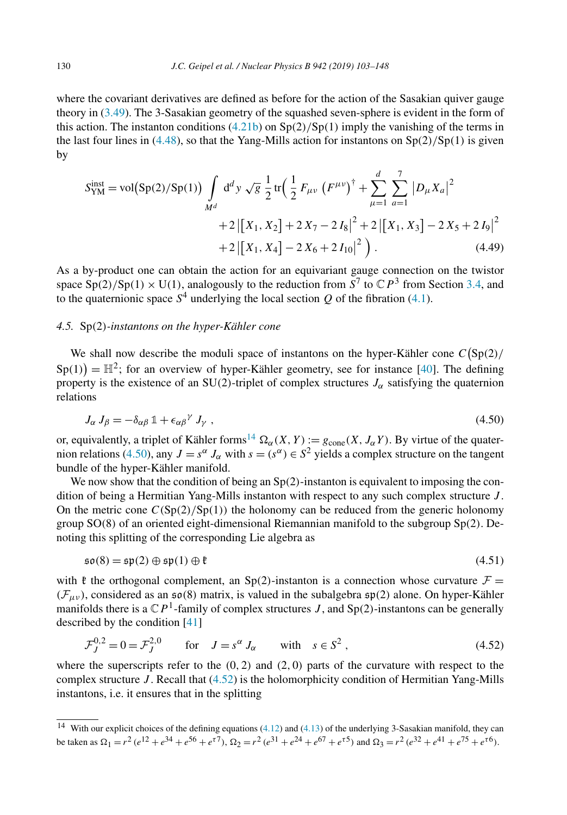<span id="page-27-0"></span>where the covariant derivatives are defined as before for the action of the Sasakian quiver gauge theory in [\(3.49\)](#page-12-0). The 3-Sasakian geometry of the squashed seven-sphere is evident in the form of this action. The instanton conditions [\(4.21b\)](#page-20-0) on Sp*(*2*)/*Sp*(*1*)* imply the vanishing of the terms in the last four lines in [\(4.48\)](#page-26-0), so that the Yang-Mills action for instantons on  $Sp(2)/Sp(1)$  is given by

$$
S_{\text{YM}}^{\text{inst}} = \text{vol}(\text{Sp}(2)/\text{Sp}(1)) \int_{M^d} d^d y \sqrt{g} \frac{1}{2} \text{tr} \Big( \frac{1}{2} F_{\mu\nu} \left( F^{\mu\nu} \right)^{\dagger} + \sum_{\mu=1}^d \sum_{a=1}^7 |D_{\mu} X_a|^2 + 2 |[X_1, X_2] + 2 X_7 - 2 I_8|^2 + 2 |[X_1, X_3] - 2 X_5 + 2 I_9|^2 + 2 |[X_1, X_4] - 2 X_6 + 2 I_{10}|^2 \Big). \tag{4.49}
$$

As a by-product one can obtain the action for an equivariant gauge connection on the twistor space  $Sp(2)/Sp(1) \times U(1)$ , analogously to the reduction from  $\overline{S}^7$  to  $\mathbb{C}P^3$  from Section [3.4,](#page-13-0) and to the quaternionic space  $S<sup>4</sup>$  underlying the local section *Q* of the fibration [\(4.1\)](#page-17-0).

#### *4.5.* Sp*(*2*)-instantons on the hyper-Kähler cone*

We shall now describe the moduli space of instantons on the hyper-Kähler cone  $C(Sp(2)/n)$  $Sp(1)$  =  $\mathbb{H}^2$ ; for an overview of hyper-Kähler geometry, see for instance [\[40\]](#page-45-0). The defining property is the existence of an SU(2)-triplet of complex structures  $J_{\alpha}$  satisfying the quaternion relations

$$
J_{\alpha} J_{\beta} = -\delta_{\alpha\beta} \mathbb{1} + \epsilon_{\alpha\beta}{}^{\gamma} J_{\gamma} , \qquad (4.50)
$$

or, equivalently, a triplet of Kähler forms<sup>14</sup>  $\Omega_{\alpha}(X, Y) := g_{cone}(X, J_{\alpha}Y)$ . By virtue of the quaternion relations (4.50), any  $J = s^{\alpha} J_{\alpha}$  with  $s = (s^{\alpha}) \in S^2$  yields a complex structure on the tangent bundle of the hyper-Kähler manifold.

We now show that the condition of being an Sp*(*2*)*-instanton is equivalent to imposing the condition of being a Hermitian Yang-Mills instanton with respect to any such complex structure *J* . On the metric cone  $C(Sp(2)/Sp(1))$  the holonomy can be reduced from the generic holonomy group SO*(*8*)* of an oriented eight-dimensional Riemannian manifold to the subgroup Sp*(*2*)*. Denoting this splitting of the corresponding Lie algebra as

$$
\mathfrak{so}(8) = \mathfrak{sp}(2) \oplus \mathfrak{sp}(1) \oplus \mathfrak{k} \tag{4.51}
$$

with  $\ell$  the orthogonal complement, an Sp(2)-instanton is a connection whose curvature  $\mathcal{F} =$  $(F_{\mu\nu})$ , considered as an  $\mathfrak{so}(8)$  matrix, is valued in the subalgebra  $\mathfrak{sp}(2)$  alone. On hyper-Kähler manifolds there is a  $\mathbb{C}P^1$ -family of complex structures *J*, and Sp(2)-instantons can be generally described by the condition [\[41\]](#page-45-0)

$$
\mathcal{F}_J^{0,2} = 0 = \mathcal{F}_J^{2,0} \qquad \text{for} \quad J = s^\alpha J_\alpha \qquad \text{with} \quad s \in S^2 \,, \tag{4.52}
$$

where the superscripts refer to the *(*0*,* 2*)* and *(*2*,* 0*)* parts of the curvature with respect to the complex structure *J* . Recall that (4.52) is the holomorphicity condition of Hermitian Yang-Mills instantons, i.e. it ensures that in the splitting

 $\frac{14}{14}$  With our explicit choices of the defining equations [\(4.12\)](#page-18-0) and [\(4.13\)](#page-19-0) of the underlying 3-Sasakian manifold, they can be taken as  $\Omega_1 = r^2 (e^{12} + e^{34} + e^{56} + e^{57})$ ,  $\Omega_2 = r^2 (e^{31} + e^{24} + e^{67} + e^{57})$  and  $\Omega_3 = r^2 (e^{32} + e^{41} + e^{75} + e^{56})$ .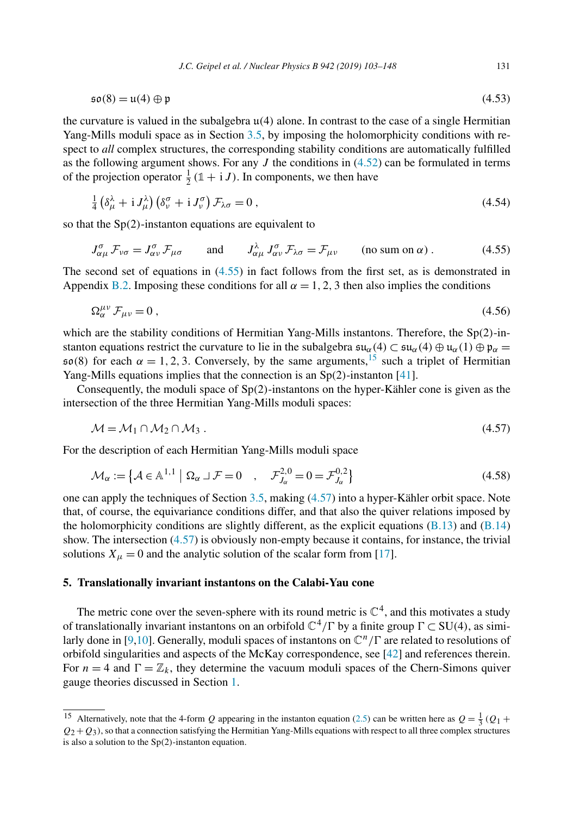<span id="page-28-0"></span>
$$
\mathfrak{so}(8) = \mathfrak{u}(4) \oplus \mathfrak{p} \tag{4.53}
$$

the curvature is valued in the subalgebra u*(*4*)* alone. In contrast to the case of a single Hermitian Yang-Mills moduli space as in Section [3.5,](#page-14-0) by imposing the holomorphicity conditions with respect to *all* complex structures, the corresponding stability conditions are automatically fulfilled as the following argument shows. For any  $J$  the conditions in  $(4.52)$  can be formulated in terms of the projection operator  $\frac{1}{2}(\mathbb{1} + iJ)$ . In components, we then have

$$
\frac{1}{4} \left( \delta_{\mu}^{\lambda} + i J_{\mu}^{\lambda} \right) \left( \delta_{\nu}^{\sigma} + i J_{\nu}^{\sigma} \right) \mathcal{F}_{\lambda \sigma} = 0 \,, \tag{4.54}
$$

so that the Sp*(*2*)*-instanton equations are equivalent to

$$
J_{\alpha\mu}^{\sigma} \mathcal{F}_{\nu\sigma} = J_{\alpha\nu}^{\sigma} \mathcal{F}_{\mu\sigma} \quad \text{and} \quad J_{\alpha\mu}^{\lambda} J_{\alpha\nu}^{\sigma} \mathcal{F}_{\lambda\sigma} = \mathcal{F}_{\mu\nu} \quad (\text{no sum on } \alpha) . \tag{4.55}
$$

The second set of equations in (4.55) in fact follows from the first set, as is demonstrated in Appendix [B.2.](#page-40-0) Imposing these conditions for all  $\alpha = 1, 2, 3$  then also implies the conditions

$$
\Omega_{\alpha}^{\mu\nu} \mathcal{F}_{\mu\nu} = 0 \,, \tag{4.56}
$$

which are the stability conditions of Hermitian Yang-Mills instantons. Therefore, the Sp*(*2*)*-instanton equations restrict the curvature to lie in the subalgebra  $\mathfrak{su}_\alpha(4) \subset \mathfrak{su}_\alpha(4) \oplus \mathfrak{u}_\alpha(1) \oplus \mathfrak{p}_\alpha =$  $\mathfrak{so}(8)$  for each  $\alpha = 1, 2, 3$ . Conversely, by the same arguments,<sup>15</sup> such a triplet of Hermitian Yang-Mills equations implies that the connection is an Sp*(*2*)*-instanton [\[41\]](#page-45-0).

Consequently, the moduli space of Sp*(*2*)*-instantons on the hyper-Kähler cone is given as the intersection of the three Hermitian Yang-Mills moduli spaces:

$$
\mathcal{M} = \mathcal{M}_1 \cap \mathcal{M}_2 \cap \mathcal{M}_3 \tag{4.57}
$$

For the description of each Hermitian Yang-Mills moduli space

$$
\mathcal{M}_{\alpha} := \left\{ \mathcal{A} \in \mathbb{A}^{1,1} \mid \Omega_{\alpha} \cup \mathcal{F} = 0 \quad , \quad \mathcal{F}_{J_{\alpha}}^{2,0} = 0 = \mathcal{F}_{J_{\alpha}}^{0,2} \right\}
$$
(4.58)

one can apply the techniques of Section [3.5,](#page-14-0) making (4.57) into a hyper-Kähler orbit space. Note that, of course, the equivariance conditions differ, and that also the quiver relations imposed by the holomorphicity conditions are slightly different, as the explicit equations  $(B.13)$  and  $(B.14)$ show. The intersection (4.57) is obviously non-empty because it contains, for instance, the trivial solutions  $X_{\mu} = 0$  and the analytic solution of the scalar form from [\[17\]](#page-44-0).

# **5. Translationally invariant instantons on the Calabi-Yau cone**

The metric cone over the seven-sphere with its round metric is  $\mathbb{C}^4$ , and this motivates a study of translationally invariant instantons on an orbifold  $\mathbb{C}^4/\Gamma$  by a finite group  $\Gamma \subset SU(4)$ , as simi-larly done in [\[9,10\]](#page-44-0). Generally, moduli spaces of instantons on  $\mathbb{C}^n/\Gamma$  are related to resolutions of orbifold singularities and aspects of the McKay correspondence, see [\[42\]](#page-45-0) and references therein. For  $n = 4$  and  $\Gamma = \mathbb{Z}_k$ , they determine the vacuum moduli spaces of the Chern-Simons quiver gauge theories discussed in Section [1.](#page-1-0)

<sup>&</sup>lt;sup>15</sup> Alternatively, note that the 4-form *Q* appearing in the instanton equation [\(2.5\)](#page-3-0) can be written here as  $Q = \frac{1}{3} (Q_1 +$  $Q_2 + Q_3$ , so that a connection satisfying the Hermitian Yang-Mills equations with respect to all three complex structures is also a solution to the Sp*(*2*)*-instanton equation.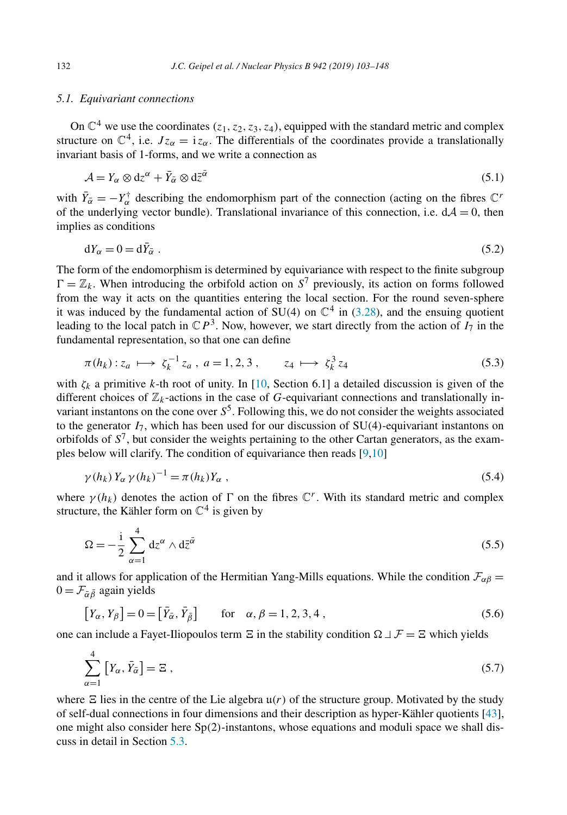#### <span id="page-29-0"></span>*5.1. Equivariant connections*

On  $\mathbb{C}^4$  we use the coordinates  $(z_1, z_2, z_3, z_4)$ , equipped with the standard metric and complex structure on  $\mathbb{C}^4$ , i.e.  $Jz_\alpha = i z_\alpha$ . The differentials of the coordinates provide a translationally invariant basis of 1-forms, and we write a connection as

$$
\mathcal{A} = Y_{\alpha} \otimes dz^{\alpha} + \bar{Y}_{\bar{\alpha}} \otimes d\bar{z}^{\bar{\alpha}} \tag{5.1}
$$

with  $\bar{Y}_{\alpha} = -Y_{\alpha}^{\dagger}$  describing the endomorphism part of the connection (acting on the fibres  $\mathbb{C}^{r}$ of the underlying vector bundle). Translational invariance of this connection, i.e.  $dA = 0$ , then implies as conditions

$$
dY_{\alpha} = 0 = d\bar{Y}_{\bar{\alpha}} \tag{5.2}
$$

The form of the endomorphism is determined by equivariance with respect to the finite subgroup  $\Gamma = \mathbb{Z}_k$ . When introducing the orbifold action on *S*<sup>7</sup> previously, its action on forms followed from the way it acts on the quantities entering the local section. For the round seven-sphere it was induced by the fundamental action of  $SU(4)$  on  $\mathbb{C}^4$  in [\(3.28\)](#page-8-0), and the ensuing quotient leading to the local patch in  $\mathbb{C}P^3$ . Now, however, we start directly from the action of  $I_7$  in the fundamental representation, so that one can define

$$
\pi(h_k): z_a \longmapsto \zeta_k^{-1} z_a, \ a = 1, 2, 3, \qquad z_4 \longmapsto \zeta_k^3 z_4 \tag{5.3}
$$

with  $\zeta_k$  a primitive *k*-th root of unity. In [\[10,](#page-44-0) Section 6.1] a detailed discussion is given of the different choices of  $\mathbb{Z}_k$ -actions in the case of *G*-equivariant connections and translationally invariant instantons on the cone over  $S<sup>5</sup>$ . Following this, we do not consider the weights associated to the generator *I*7, which has been used for our discussion of SU*(*4*)*-equivariant instantons on orbifolds of  $S^7$ , but consider the weights pertaining to the other Cartan generators, as the examples below will clarify. The condition of equivariance then reads [\[9,10\]](#page-44-0)

$$
\gamma(h_k) Y_{\alpha} \gamma(h_k)^{-1} = \pi(h_k) Y_{\alpha} , \qquad (5.4)
$$

where  $\gamma(h_k)$  denotes the action of  $\Gamma$  on the fibres  $\mathbb{C}^r$ . With its standard metric and complex structure, the Kähler form on  $\mathbb{C}^4$  is given by

$$
\Omega = -\frac{i}{2} \sum_{\alpha=1}^{4} dz^{\alpha} \wedge d\bar{z}^{\bar{\alpha}}
$$
 (5.5)

and it allows for application of the Hermitian Yang-Mills equations. While the condition  $\mathcal{F}_{\alpha\beta}$  =  $0 = \mathcal{F}_{\bar{\alpha}\bar{\beta}}$  again yields

$$
\left[Y_{\alpha}, Y_{\beta}\right] = 0 = \left[\bar{Y}_{\bar{\alpha}}, \bar{Y}_{\bar{\beta}}\right] \quad \text{for} \quad \alpha, \beta = 1, 2, 3, 4 \tag{5.6}
$$

one can include a Fayet-Iliopoulos term  $\Xi$  in the stability condition  $\Omega \cup \mathcal{F} = \Xi$  which yields

$$
\sum_{\alpha=1}^{4} \left[ Y_{\alpha}, \bar{Y}_{\bar{\alpha}} \right] = \Xi \tag{5.7}
$$

where  $\Xi$  lies in the centre of the Lie algebra  $u(r)$  of the structure group. Motivated by the study of self-dual connections in four dimensions and their description as hyper-Kähler quotients [\[43\]](#page-45-0), one might also consider here Sp*(*2*)*-instantons, whose equations and moduli space we shall discuss in detail in Section [5.3.](#page-32-0)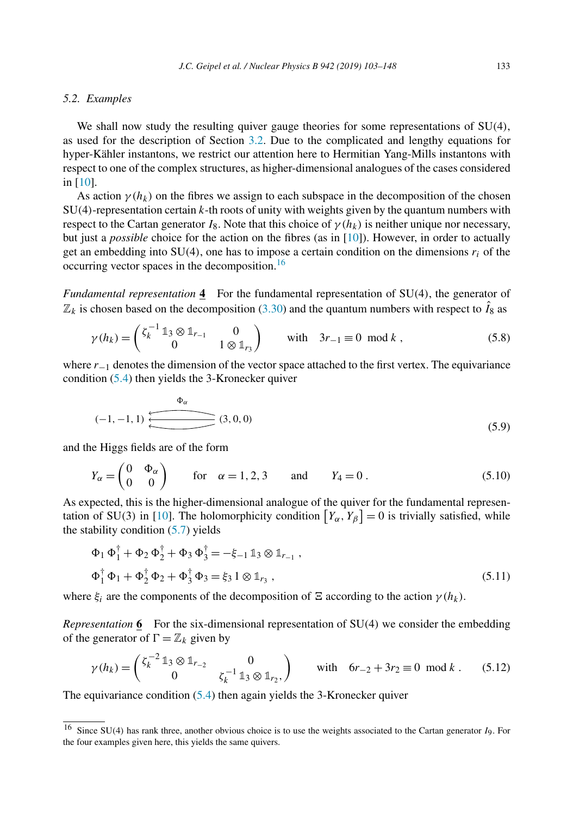#### <span id="page-30-0"></span>*5.2. Examples*

We shall now study the resulting quiver gauge theories for some representations of SU*(*4*)*, as used for the description of Section [3.2.](#page-8-0) Due to the complicated and lengthy equations for hyper-Kähler instantons, we restrict our attention here to Hermitian Yang-Mills instantons with respect to one of the complex structures, as higher-dimensional analogues of the cases considered in [\[10\]](#page-44-0).

As action  $\gamma(h_k)$  on the fibres we assign to each subspace in the decomposition of the chosen SU*(*4*)*-representation certain *k*-th roots of unity with weights given by the quantum numbers with respect to the Cartan generator  $I_8$ . Note that this choice of  $\gamma(h_k)$  is neither unique nor necessary, but just a *possible* choice for the action on the fibres (as in [\[10\]](#page-44-0)). However, in order to actually get an embedding into  $SU(4)$ , one has to impose a certain condition on the dimensions  $r_i$  of the occurring vector spaces in the decomposition.<sup>16</sup>

*Fundamental representation* **4** For the fundamental representation of SU*(*4*)*, the generator of  $\mathbb{Z}_k$  is chosen based on the decomposition [\(3.30\)](#page-9-0) and the quantum numbers with respect to  $\hat{I}_8$  as

$$
\gamma(h_k) = \begin{pmatrix} \zeta_k^{-1} \mathbb{1}_3 \otimes \mathbb{1}_{r_{-1}} & 0 \\ 0 & 1 \otimes \mathbb{1}_{r_3} \end{pmatrix} \text{ with } 3r_{-1} \equiv 0 \mod k ,
$$
 (5.8)

where  $r_{-1}$  denotes the dimension of the vector space attached to the first vertex. The equivariance condition [\(5.4\)](#page-29-0) then yields the 3-Kronecker quiver

$$
(-1,-1,1) \begin{array}{c}\n\Phi_{\alpha} \\
\hline\n\end{array} (3,0,0)
$$
\n(5.9)

and the Higgs fields are of the form

$$
Y_{\alpha} = \begin{pmatrix} 0 & \Phi_{\alpha} \\ 0 & 0 \end{pmatrix} \quad \text{for} \quad \alpha = 1, 2, 3 \quad \text{and} \quad Y_4 = 0 \,. \tag{5.10}
$$

As expected, this is the higher-dimensional analogue of the quiver for the fundamental represen-tation of SU(3) in [\[10\]](#page-44-0). The holomorphicity condition  $[Y_{\alpha}, Y_{\beta}] = 0$  is trivially satisfied, while the stability condition  $(5.7)$  yields

$$
\Phi_1 \Phi_1^{\dagger} + \Phi_2 \Phi_2^{\dagger} + \Phi_3 \Phi_3^{\dagger} = -\xi_{-1} 1_3 \otimes 1_{r_{-1}} ,
$$
  
\n
$$
\Phi_1^{\dagger} \Phi_1 + \Phi_2^{\dagger} \Phi_2 + \Phi_3^{\dagger} \Phi_3 = \xi_3 1 \otimes 1_{r_3} ,
$$
\n(5.11)

where  $\xi_i$  are the components of the decomposition of  $\Xi$  according to the action  $\gamma(h_k)$ .

*Representation* **6** For the six-dimensional representation of SU*(*4*)* we consider the embedding of the generator of  $\Gamma = \mathbb{Z}_k$  given by

$$
\gamma(h_k) = \begin{pmatrix} \zeta_k^{-2} \mathbb{1}_3 \otimes \mathbb{1}_{r_{-2}} & 0 \\ 0 & \zeta_k^{-1} \mathbb{1}_3 \otimes \mathbb{1}_{r_2}, \end{pmatrix} \quad \text{with} \quad 6r_{-2} + 3r_2 \equiv 0 \mod k . \tag{5.12}
$$

The equivariance condition [\(5.4\)](#page-29-0) then again yields the 3-Kronecker quiver

<sup>16</sup> Since SU*(*4*)* has rank three, another obvious choice is to use the weights associated to the Cartan generator *I*9. For the four examples given here, this yields the same quivers.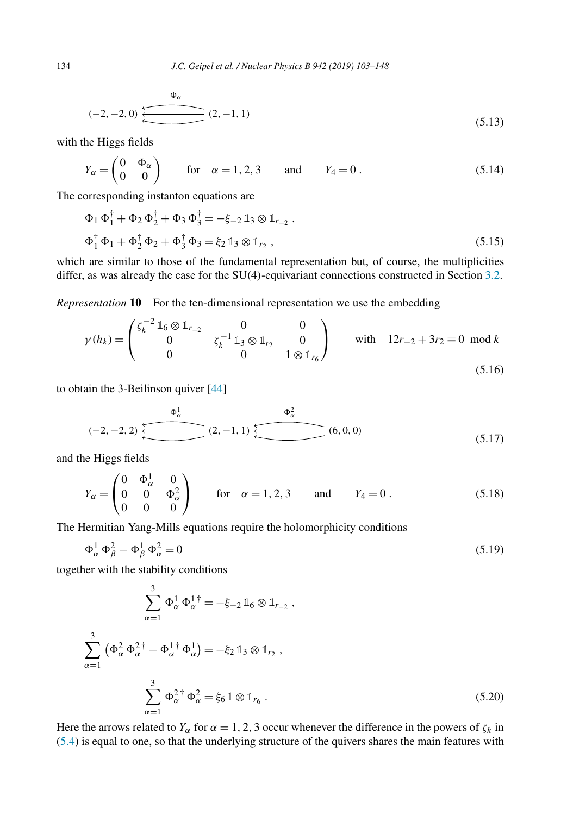$$
(-2, -2, 0) \xleftarrow{\Phi_{\alpha}} (2, -1, 1) \tag{5.13}
$$

with the Higgs fields

$$
Y_{\alpha} = \begin{pmatrix} 0 & \Phi_{\alpha} \\ 0 & 0 \end{pmatrix} \quad \text{for} \quad \alpha = 1, 2, 3 \quad \text{and} \quad Y_4 = 0 \,. \tag{5.14}
$$

The corresponding instanton equations are

$$
\Phi_1 \Phi_1^{\dagger} + \Phi_2 \Phi_2^{\dagger} + \Phi_3 \Phi_3^{\dagger} = -\xi_{-2} \mathbb{1}_3 \otimes \mathbb{1}_{r_{-2}} ,
$$
  
\n
$$
\Phi_1^{\dagger} \Phi_1 + \Phi_2^{\dagger} \Phi_2 + \Phi_3^{\dagger} \Phi_3 = \xi_2 \mathbb{1}_3 \otimes \mathbb{1}_{r_2} ,
$$
\n(5.15)

which are similar to those of the fundamental representation but, of course, the multiplicities differ, as was already the case for the SU*(*4*)*-equivariant connections constructed in Section [3.2.](#page-8-0)

*Representation* **10** For the ten-dimensional representation we use the embedding

$$
\gamma(h_k) = \begin{pmatrix} \zeta_k^{-2} \mathbb{1}_6 \otimes \mathbb{1}_{r_{-2}} & 0 & 0\\ 0 & \zeta_k^{-1} \mathbb{1}_3 \otimes \mathbb{1}_{r_2} & 0\\ 0 & 0 & 1 \otimes \mathbb{1}_{r_6} \end{pmatrix} \qquad \text{with} \quad 12r_{-2} + 3r_2 \equiv 0 \mod k \tag{5.16}
$$

to obtain the 3-Beilinson quiver [\[44\]](#page-45-0)

$$
(-2,-2,2) \xleftarrow{\Phi_{\alpha}^{1}} (2,-1,1) \xleftarrow{\Phi_{\alpha}^{2}} (6,0,0) \tag{5.17}
$$

and the Higgs fields

$$
Y_{\alpha} = \begin{pmatrix} 0 & \Phi_{\alpha}^{1} & 0 \\ 0 & 0 & \Phi_{\alpha}^{2} \\ 0 & 0 & 0 \end{pmatrix} \text{ for } \alpha = 1, 2, 3 \text{ and } Y_{4} = 0.
$$
 (5.18)

The Hermitian Yang-Mills equations require the holomorphicity conditions

$$
\Phi_{\alpha}^{1} \Phi_{\beta}^{2} - \Phi_{\beta}^{1} \Phi_{\alpha}^{2} = 0 \tag{5.19}
$$

together with the stability conditions

$$
\sum_{\alpha=1}^{3} \Phi_{\alpha}^{1} \Phi_{\alpha}^{1 \dagger} = -\xi_{-2} \mathbb{1}_{6} \otimes \mathbb{1}_{r_{-2}},
$$
  

$$
\sum_{\alpha=1}^{3} (\Phi_{\alpha}^{2} \Phi_{\alpha}^{2 \dagger} - \Phi_{\alpha}^{1 \dagger} \Phi_{\alpha}^{1}) = -\xi_{2} \mathbb{1}_{3} \otimes \mathbb{1}_{r_{2}},
$$
  

$$
\sum_{\alpha=1}^{3} \Phi_{\alpha}^{2 \dagger} \Phi_{\alpha}^{2} = \xi_{6} \mathbb{1} \otimes \mathbb{1}_{r_{6}}.
$$
 (5.20)

Here the arrows related to *Y<sub>α</sub>* for  $\alpha = 1, 2, 3$  occur whenever the difference in the powers of  $\zeta_k$  in [\(5.4\)](#page-29-0) is equal to one, so that the underlying structure of the quivers shares the main features with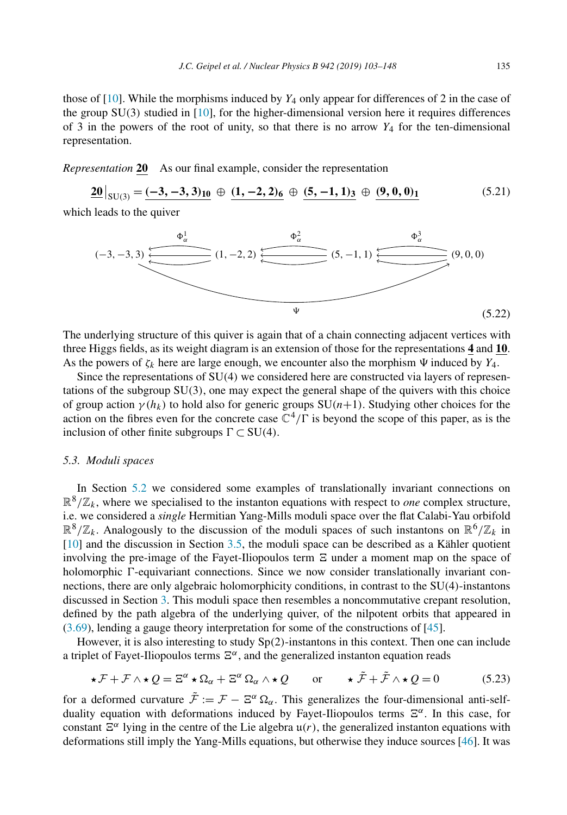<span id="page-32-0"></span>those of  $[10]$ . While the morphisms induced by  $Y_4$  only appear for differences of 2 in the case of the group SU*(*3*)* studied in [\[10\]](#page-44-0), for the higher-dimensional version here it requires differences of 3 in the powers of the root of unity, so that there is no arrow  $Y_4$  for the ten-dimensional representation.

*Representation* **20** As our final example, consider the representation

 $\underline{20}|_{SU(3)} = \underline{(-3, -3, 3)}_{10} \oplus \underline{(1, -2, 2)}_{6} \oplus \underline{(5, -1, 1)}_{3} \oplus \underline{(9, 0, 0)}_{1}$  (5.21)

which leads to the quiver



The underlying structure of this quiver is again that of a chain connecting adjacent vertices with three Higgs fields, as its weight diagram is an extension of those for the representations **4** and **10**. As the powers of  $\zeta_k$  here are large enough, we encounter also the morphism  $\Psi$  induced by  $Y_4$ .

Since the representations of SU*(*4*)* we considered here are constructed via layers of representations of the subgroup SU*(*3*)*, one may expect the general shape of the quivers with this choice of group action  $\gamma(h_k)$  to hold also for generic groups  $SU(n+1)$ . Studying other choices for the action on the fibres even for the concrete case  $\mathbb{C}^4/\Gamma$  is beyond the scope of this paper, as is the inclusion of other finite subgroups  $\Gamma \subset SU(4)$ .

# *5.3. Moduli spaces*

In Section [5.2](#page-30-0) we considered some examples of translationally invariant connections on  $\mathbb{R}^8/\mathbb{Z}_k$ , where we specialised to the instanton equations with respect to *one* complex structure, i.e. we considered a *single* Hermitian Yang-Mills moduli space over the flat Calabi-Yau orbifold  $\mathbb{R}^8/\mathbb{Z}_k$ . Analogously to the discussion of the moduli spaces of such instantons on  $\mathbb{R}^6/\mathbb{Z}_k$  in [\[10\]](#page-44-0) and the discussion in Section [3.5,](#page-14-0) the moduli space can be described as a Kähler quotient involving the pre-image of the Fayet-Iliopoulos term  $\Xi$  under a moment map on the space of holomorphic  $\Gamma$ -equivariant connections. Since we now consider translationally invariant connections, there are only algebraic holomorphicity conditions, in contrast to the SU*(*4*)*-instantons discussed in Section [3.](#page-4-0) This moduli space then resembles a noncommutative crepant resolution, defined by the path algebra of the underlying quiver, of the nilpotent orbits that appeared in [\(3.69\)](#page-16-0), lending a gauge theory interpretation for some of the constructions of [\[45\]](#page-45-0).

However, it is also interesting to study Sp*(*2*)*-instantons in this context. Then one can include a triplet of Fayet-Iliopoulos terms  $E^{\alpha}$ , and the generalized instanton equation reads

$$
\star \mathcal{F} + \mathcal{F} \wedge \star \mathcal{Q} = \Xi^{\alpha} \star \Omega_{\alpha} + \Xi^{\alpha} \Omega_{\alpha} \wedge \star \mathcal{Q} \qquad \text{or} \qquad \star \tilde{\mathcal{F}} + \tilde{\mathcal{F}} \wedge \star \mathcal{Q} = 0 \tag{5.23}
$$

for a deformed curvature  $\tilde{\mathcal{F}} := \mathcal{F} - \Xi^{\alpha} \Omega_{\alpha}$ . This generalizes the four-dimensional anti-selfduality equation with deformations induced by Fayet-Iliopoulos terms *α*. In this case, for constant  $\mathbb{Z}^{\alpha}$  lying in the centre of the Lie algebra  $u(r)$ , the generalized instanton equations with deformations still imply the Yang-Mills equations, but otherwise they induce sources [\[46\]](#page-45-0). It was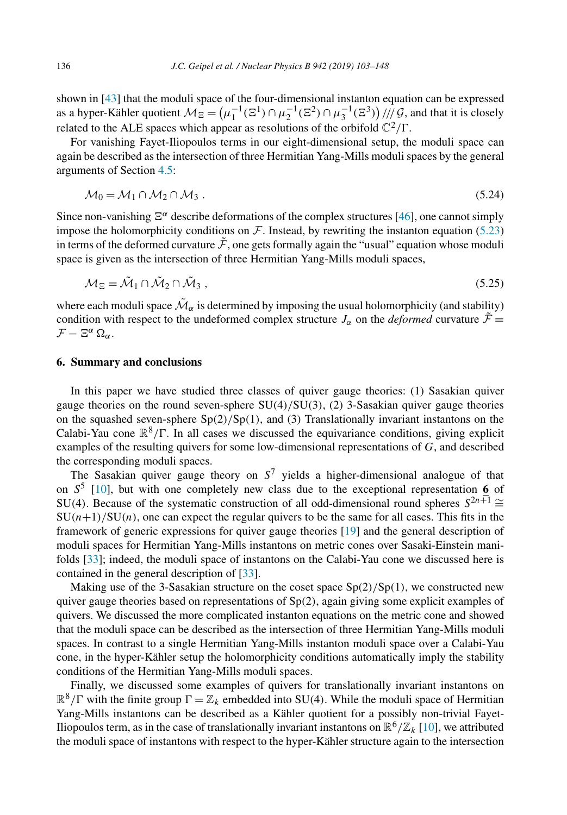<span id="page-33-0"></span>shown in [\[43\]](#page-45-0) that the moduli space of the four-dimensional instanton equation can be expressed as a hyper-Kähler quotient  $\mathcal{M}_{\Xi} = (\mu_1^{-1}(\Xi^1) \cap \mu_2^{-1}(\Xi^2) \cap \mu_3^{-1}(\Xi^3)) / /\!/ \mathcal{G}$ , and that it is closely related to the ALE spaces which appear as resolutions of the orbifold  $\mathbb{C}^2/\Gamma$ .

For vanishing Fayet-Iliopoulos terms in our eight-dimensional setup, the moduli space can again be described asthe intersection of three Hermitian Yang-Mills moduli spaces by the general arguments of Section [4.5:](#page-27-0)

$$
\mathcal{M}_0 = \mathcal{M}_1 \cap \mathcal{M}_2 \cap \mathcal{M}_3 \tag{5.24}
$$

Since non-vanishing  $\Xi^{\alpha}$  describe deformations of the complex structures [\[46\]](#page-45-0), one cannot simply impose the holomorphicity conditions on  $\mathcal F$ . Instead, by rewriting the instanton equation [\(5.23\)](#page-32-0) in terms of the deformed curvature  $\tilde{\mathcal{F}}$ , one gets formally again the "usual" equation whose moduli space is given as the intersection of three Hermitian Yang-Mills moduli spaces,

$$
\mathcal{M}_{\Xi} = \tilde{\mathcal{M}}_1 \cap \tilde{\mathcal{M}}_2 \cap \tilde{\mathcal{M}}_3 ,\qquad (5.25)
$$

where each moduli space  $\tilde{\mathcal{M}}_{\alpha}$  is determined by imposing the usual holomorphicity (and stability) condition with respect to the undeformed complex structure  $J_\alpha$  on the *deformed* curvature  $\tilde{\mathcal{F}} =$  $\mathcal{F} - \Xi^{\alpha} \Omega_{\alpha}$ .

#### **6. Summary and conclusions**

In this paper we have studied three classes of quiver gauge theories: (1) Sasakian quiver gauge theories on the round seven-sphere SU*(*4*)/*SU*(*3*)*, (2) 3-Sasakian quiver gauge theories on the squashed seven-sphere Sp*(*2*)/*Sp*(*1*)*, and (3) Translationally invariant instantons on the Calabi-Yau cone  $\mathbb{R}^8/\Gamma$ . In all cases we discussed the equivariance conditions, giving explicit examples of the resulting quivers for some low-dimensional representations of *G*, and described the corresponding moduli spaces.

The Sasakian quiver gauge theory on  $S^7$  yields a higher-dimensional analogue of that on *S*<sup>5</sup> [\[10\]](#page-44-0), but with one completely new class due to the exceptional representation **6** of SU(4). Because of the systematic construction of all odd-dimensional round spheres  $S^{2n+1} \cong$  $SU(n+1)/SU(n)$ , one can expect the regular quivers to be the same for all cases. This fits in the framework of generic expressions for quiver gauge theories [\[19\]](#page-44-0) and the general description of moduli spaces for Hermitian Yang-Mills instantons on metric cones over Sasaki-Einstein manifolds [\[33\]](#page-45-0); indeed, the moduli space of instantons on the Calabi-Yau cone we discussed here is contained in the general description of [\[33\]](#page-45-0).

Making use of the 3-Sasakian structure on the coset space Sp*(*2*)/*Sp*(*1*)*, we constructed new quiver gauge theories based on representations of Sp*(*2*)*, again giving some explicit examples of quivers. We discussed the more complicated instanton equations on the metric cone and showed that the moduli space can be described as the intersection of three Hermitian Yang-Mills moduli spaces. In contrast to a single Hermitian Yang-Mills instanton moduli space over a Calabi-Yau cone, in the hyper-Kähler setup the holomorphicity conditions automatically imply the stability conditions of the Hermitian Yang-Mills moduli spaces.

Finally, we discussed some examples of quivers for translationally invariant instantons on  $\mathbb{R}^8/\Gamma$  with the finite group  $\Gamma = \mathbb{Z}_k$  embedded into SU(4). While the moduli space of Hermitian Yang-Mills instantons can be described as a Kähler quotient for a possibly non-trivial Fayet-Iliopoulos term, as in the case of translationally invariant instantons on  $\mathbb{R}^6/\mathbb{Z}_k$  [\[10\]](#page-44-0), we attributed the moduli space of instantons with respect to the hyper-Kähler structure again to the intersection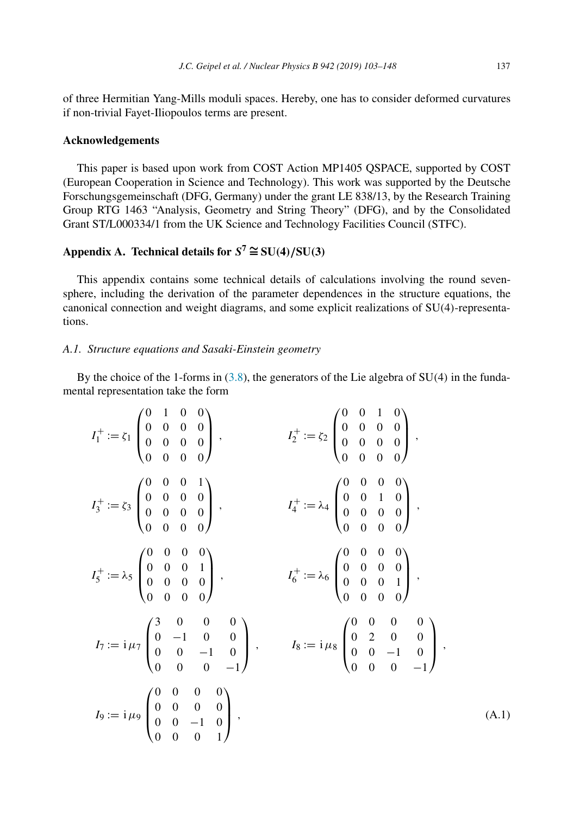<span id="page-34-0"></span>of three Hermitian Yang-Mills moduli spaces. Hereby, one has to consider deformed curvatures if non-trivial Fayet-Iliopoulos terms are present.

#### **Acknowledgements**

This paper is based upon work from COST Action MP1405 QSPACE, supported by COST (European Cooperation in Science and Technology). This work was supported by the Deutsche Forschungsgemeinschaft (DFG, Germany) under the grant LE 838/13, by the Research Training Group RTG 1463 "Analysis, Geometry and String Theory" (DFG), and by the Consolidated Grant ST/L000334/1 from the UK Science and Technology Facilities Council (STFC).

# **Appendix A. Technical details for**  $S^7 \cong SU(4)/SU(3)$

This appendix contains some technical details of calculations involving the round sevensphere, including the derivation of the parameter dependences in the structure equations, the canonical connection and weight diagrams, and some explicit realizations of SU*(*4*)*-representations.

# *A.1. Structure equations and Sasaki-Einstein geometry*

By the choice of the 1-forms in [\(3.8\)](#page-5-0), the generators of the Lie algebra of SU*(*4*)* in the fundamental representation take the form

$$
I_1^+ := \zeta_1 \begin{pmatrix} 0 & 1 & 0 & 0 \\ 0 & 0 & 0 & 0 \\ 0 & 0 & 0 & 0 \\ 0 & 0 & 0 & 0 \end{pmatrix}, \qquad I_2^+ := \zeta_2 \begin{pmatrix} 0 & 0 & 1 & 0 \\ 0 & 0 & 0 & 0 \\ 0 & 0 & 0 & 0 \\ 0 & 0 & 0 & 0 \end{pmatrix},
$$
  
\n
$$
I_3^+ := \zeta_3 \begin{pmatrix} 0 & 0 & 0 & 1 \\ 0 & 0 & 0 & 0 \\ 0 & 0 & 0 & 0 \end{pmatrix}, \qquad I_4^+ := \lambda_4 \begin{pmatrix} 0 & 0 & 0 & 0 \\ 0 & 0 & 1 & 0 \\ 0 & 0 & 0 & 0 \end{pmatrix},
$$
  
\n
$$
I_5^+ := \lambda_5 \begin{pmatrix} 0 & 0 & 0 & 0 \\ 0 & 0 & 0 & 0 \\ 0 & 0 & 0 & 0 \end{pmatrix}, \qquad I_6^+ := \lambda_6 \begin{pmatrix} 0 & 0 & 0 & 0 \\ 0 & 0 & 0 & 0 \\ 0 & 0 & 0 & 0 \end{pmatrix},
$$
  
\n
$$
I_7 := i \mu_7 \begin{pmatrix} 3 & 0 & 0 & 0 \\ 0 & -1 & 0 & 0 \\ 0 & 0 & -1 & 0 \\ 0 & 0 & 0 & -1 \end{pmatrix}, \qquad I_8 := i \mu_8 \begin{pmatrix} 0 & 0 & 0 & 0 \\ 0 & 2 & 0 & 0 \\ 0 & 0 & -1 & 0 \\ 0 & 0 & 0 & -1 \end{pmatrix},
$$
  
\n
$$
I_9 := i \mu_9 \begin{pmatrix} 0 & 0 & 0 & 0 \\ 0 & 0 & 0 & 0 \\ 0 & 0 & -1 & 0 \\ 0 & 0 & 0 & 1 \end{pmatrix}, \qquad (A.1)
$$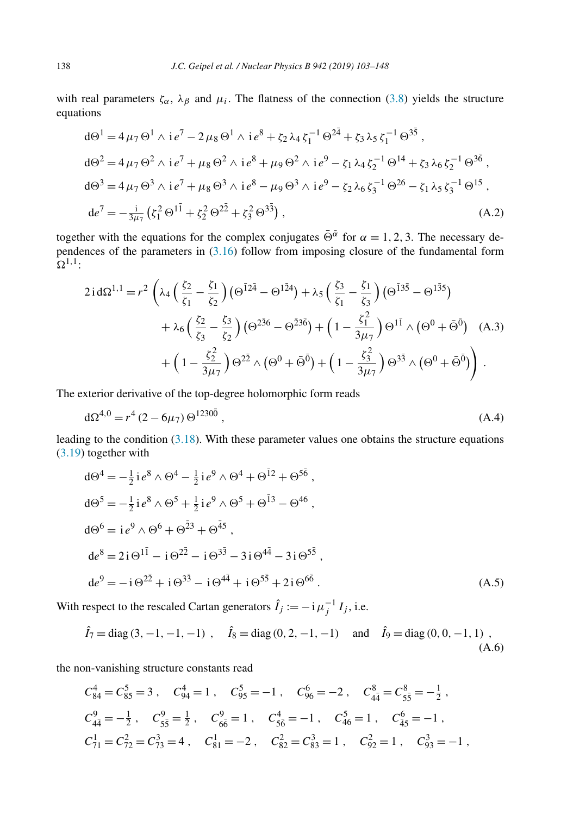<span id="page-35-0"></span>with real parameters  $\zeta_{\alpha}$ ,  $\lambda_{\beta}$  and  $\mu_i$ . The flatness of the connection [\(3.8\)](#page-5-0) yields the structure equations

$$
d\Theta^{1} = 4 \mu_{7} \Theta^{1} \wedge i e^{7} - 2 \mu_{8} \Theta^{1} \wedge i e^{8} + \zeta_{2} \lambda_{4} \zeta_{1}^{-1} \Theta^{2\bar{4}} + \zeta_{3} \lambda_{5} \zeta_{1}^{-1} \Theta^{3\bar{5}},
$$
  
\n
$$
d\Theta^{2} = 4 \mu_{7} \Theta^{2} \wedge i e^{7} + \mu_{8} \Theta^{2} \wedge i e^{8} + \mu_{9} \Theta^{2} \wedge i e^{9} - \zeta_{1} \lambda_{4} \zeta_{2}^{-1} \Theta^{14} + \zeta_{3} \lambda_{6} \zeta_{2}^{-1} \Theta^{3\bar{6}},
$$
  
\n
$$
d\Theta^{3} = 4 \mu_{7} \Theta^{3} \wedge i e^{7} + \mu_{8} \Theta^{3} \wedge i e^{8} - \mu_{9} \Theta^{3} \wedge i e^{9} - \zeta_{2} \lambda_{6} \zeta_{3}^{-1} \Theta^{26} - \zeta_{1} \lambda_{5} \zeta_{3}^{-1} \Theta^{15},
$$
  
\n
$$
d e^{7} = -\frac{i}{3 \mu_{7}} (\zeta_{1}^{2} \Theta^{1\bar{1}} + \zeta_{2}^{2} \Theta^{2\bar{2}} + \zeta_{3}^{2} \Theta^{3\bar{3}}),
$$
\n(A.2)

together with the equations for the complex conjugates  $\bar{\Theta}^{\bar{\alpha}}$  for  $\alpha = 1, 2, 3$ . The necessary dependences of the parameters in [\(3.16\)](#page-6-0) follow from imposing closure of the fundamental form  $\Omega^{1,1}$ :

$$
2\operatorname{id}\Omega^{1,1} = r^2 \left( \lambda_4 \left( \frac{\xi_2}{\xi_1} - \frac{\xi_1}{\xi_2} \right) \left( \Theta^{\bar{1}2\bar{4}} - \Theta^{\bar{1}\bar{2}4} \right) + \lambda_5 \left( \frac{\xi_3}{\xi_1} - \frac{\xi_1}{\xi_3} \right) \left( \Theta^{\bar{1}3\bar{5}} - \Theta^{\bar{1}\bar{3}5} \right) + \lambda_6 \left( \frac{\xi_2}{\xi_3} - \frac{\xi_3}{\xi_2} \right) \left( \Theta^{\bar{2}36} - \Theta^{\bar{2}3\bar{6}} \right) + \left( 1 - \frac{\xi_1^2}{3\mu_7} \right) \Theta^{\bar{1}\bar{1}} \wedge \left( \Theta^0 + \bar{\Theta}^{\bar{0}} \right) \quad (A.3) + \left( 1 - \frac{\xi_2^2}{3\mu_7} \right) \Theta^{2\bar{2}} \wedge \left( \Theta^0 + \bar{\Theta}^{\bar{0}} \right) + \left( 1 - \frac{\xi_3^2}{3\mu_7} \right) \Theta^{3\bar{3}} \wedge \left( \Theta^0 + \bar{\Theta}^{\bar{0}} \right) \right).
$$

The exterior derivative of the top-degree holomorphic form reads

$$
d\Omega^{4,0} = r^4 (2 - 6\mu_7) \Theta^{1230\bar{0}} , \qquad (A.4)
$$

leading to the condition [\(3.18\)](#page-6-0). With these parameter values one obtains the structure equations [\(3.19\)](#page-7-0) together with

$$
d\Theta^4 = -\frac{1}{2} i e^8 \wedge \Theta^4 - \frac{1}{2} i e^9 \wedge \Theta^4 + \Theta^{\bar{1}2} + \Theta^{\bar{5}\bar{6}} ,
$$
  
\n
$$
d\Theta^5 = -\frac{1}{2} i e^8 \wedge \Theta^5 + \frac{1}{2} i e^9 \wedge \Theta^5 + \Theta^{\bar{1}3} - \Theta^{46} ,
$$
  
\n
$$
d\Theta^6 = i e^9 \wedge \Theta^6 + \Theta^{\bar{2}3} + \Theta^{\bar{4}5} ,
$$
  
\n
$$
d e^8 = 2 i \Theta^{1\bar{1}} - i \Theta^{2\bar{2}} - i \Theta^{3\bar{3}} - 3 i \Theta^{4\bar{4}} - 3 i \Theta^{5\bar{5}} ,
$$
  
\n
$$
d e^9 = -i \Theta^{2\bar{2}} + i \Theta^{3\bar{3}} - i \Theta^{4\bar{4}} + i \Theta^{5\bar{5}} + 2 i \Theta^{6\bar{6}} .
$$
\n(A.5)

With respect to the rescaled Cartan generators  $\hat{I}_j := -i \mu_j^{-1} I_j$ , i.e.

$$
\hat{I}_7 = \text{diag}(3, -1, -1, -1)
$$
,  $\hat{I}_8 = \text{diag}(0, 2, -1, -1)$  and  $\hat{I}_9 = \text{diag}(0, 0, -1, 1)$ , (A.6)

the non-vanishing structure constants read

$$
C_{84}^4 = C_{85}^5 = 3 , C_{94}^4 = 1 , C_{95}^5 = -1 , C_{96}^6 = -2 , C_{4\bar{4}}^8 = C_{5\bar{5}}^8 = -\frac{1}{2} ,
$$
  
\n
$$
C_{4\bar{4}}^9 = -\frac{1}{2} , C_{5\bar{5}}^9 = \frac{1}{2} , C_{6\bar{6}}^9 = 1 , C_{5\bar{6}}^4 = -1 , C_{46}^5 = 1 , C_{45}^6 = -1 ,
$$
  
\n
$$
C_{71}^1 = C_{72}^2 = C_{73}^3 = 4 , C_{81}^1 = -2 , C_{82}^2 = C_{83}^3 = 1 , C_{92}^2 = 1 , C_{93}^3 = -1 ,
$$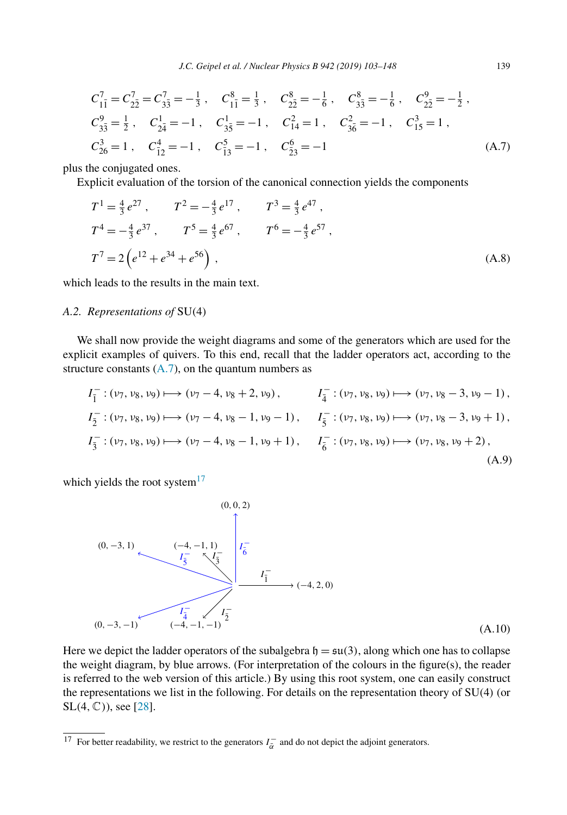<span id="page-36-0"></span>
$$
C_{1\bar{1}}^7 = C_{2\bar{2}}^7 = C_{3\bar{3}}^7 = -\frac{1}{3}, \quad C_{1\bar{1}}^8 = \frac{1}{3}, \quad C_{2\bar{2}}^8 = -\frac{1}{6}, \quad C_{3\bar{3}}^8 = -\frac{1}{6}, \quad C_{2\bar{2}}^9 = -\frac{1}{2},
$$
  
\n
$$
C_{3\bar{3}}^9 = \frac{1}{2}, \quad C_{2\bar{4}}^1 = -1, \quad C_{3\bar{5}}^1 = -1, \quad C_{14}^2 = 1, \quad C_{3\bar{6}}^2 = -1, \quad C_{15}^3 = 1,
$$
  
\n
$$
C_{26}^3 = 1, \quad C_{\bar{12}}^4 = -1, \quad C_{\bar{13}}^5 = -1, \quad C_{\bar{23}}^6 = -1
$$
  
\n(A.7)

plus the conjugated ones.

Explicit evaluation of the torsion of the canonical connection yields the components

$$
T^{1} = \frac{4}{3} e^{27}, \qquad T^{2} = -\frac{4}{3} e^{17}, \qquad T^{3} = \frac{4}{3} e^{47},
$$
  
\n
$$
T^{4} = -\frac{4}{3} e^{37}, \qquad T^{5} = \frac{4}{3} e^{67}, \qquad T^{6} = -\frac{4}{3} e^{57},
$$
  
\n
$$
T^{7} = 2 \left( e^{12} + e^{34} + e^{56} \right), \qquad (A.8)
$$

which leads to the results in the main text.

### *A.2. Representations of* SU*(*4*)*

We shall now provide the weight diagrams and some of the generators which are used for the explicit examples of quivers. To this end, recall that the ladder operators act, according to the structure constants  $(A.7)$ , on the quantum numbers as

$$
I_{\overline{1}}^-:(v_7, v_8, v_9) \longmapsto (v_7 - 4, v_8 + 2, v_9), \qquad I_{\overline{4}}^-:(v_7, v_8, v_9) \longmapsto (v_7, v_8 - 3, v_9 - 1),
$$
  
\n
$$
I_{\overline{2}}^-:(v_7, v_8, v_9) \longmapsto (v_7 - 4, v_8 - 1, v_9 - 1), \qquad I_{\overline{5}}^-:(v_7, v_8, v_9) \longmapsto (v_7, v_8 - 3, v_9 + 1),
$$
  
\n
$$
I_{\overline{3}}^-:(v_7, v_8, v_9) \longmapsto (v_7 - 4, v_8 - 1, v_9 + 1), \qquad I_{\overline{6}}^-:(v_7, v_8, v_9) \longmapsto (v_7, v_8, v_9 + 2),
$$
  
\n
$$
(A.9)
$$

which yields the root system $17$ 



Here we depict the ladder operators of the subalgebra  $\mathfrak{h} = \mathfrak{su}(3)$ , along which one has to collapse the weight diagram, by blue arrows. (For interpretation of the colours in the figure(s), the reader is referred to the web version of this article.) By using this root system, one can easily construct the representations we list in the following. For details on the representation theory of SU*(*4*)* (or SL*(*4*,*C*)*), see [\[28\]](#page-44-0).

<sup>&</sup>lt;sup>17</sup> For better readability, we restrict to the generators  $I_{\alpha}^-$  and do not depict the adjoint generators.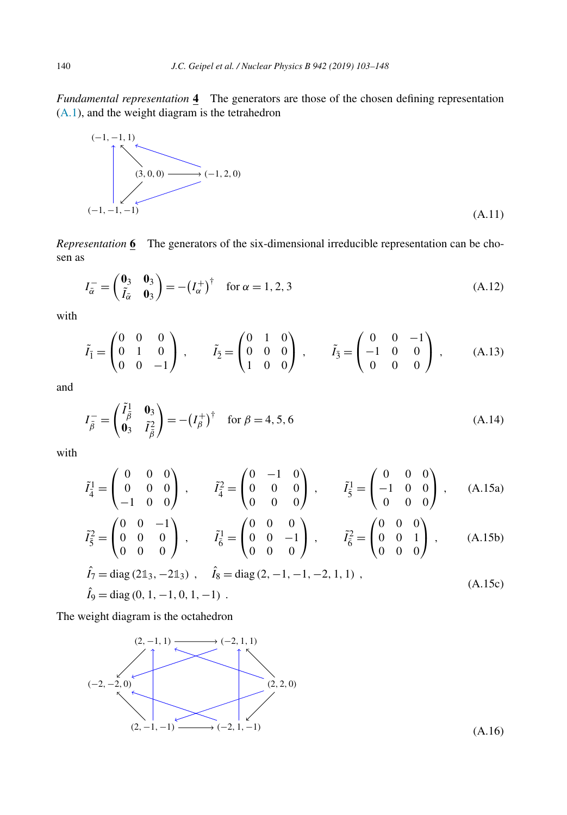<span id="page-37-0"></span>*Fundamental representation* **4** The generators are those of the chosen defining representation [\(A.1\)](#page-34-0), and the weight diagram is the tetrahedron



*Representation* **6** The generators of the six-dimensional irreducible representation can be chosen as

$$
I_{\bar{\alpha}}^- = \begin{pmatrix} \mathbf{0}_3 & \mathbf{0}_3 \\ \tilde{I}_{\bar{\alpha}} & \mathbf{0}_3 \end{pmatrix} = -\left(I_{\alpha}^+\right)^{\dagger} \quad \text{for } \alpha = 1, 2, 3 \tag{A.12}
$$

with

$$
\tilde{I}_{\bar{1}} = \begin{pmatrix} 0 & 0 & 0 \\ 0 & 1 & 0 \\ 0 & 0 & -1 \end{pmatrix}, \qquad \tilde{I}_{\bar{2}} = \begin{pmatrix} 0 & 1 & 0 \\ 0 & 0 & 0 \\ 1 & 0 & 0 \end{pmatrix}, \qquad \tilde{I}_{\bar{3}} = \begin{pmatrix} 0 & 0 & -1 \\ -1 & 0 & 0 \\ 0 & 0 & 0 \end{pmatrix}, \qquad (A.13)
$$

and

$$
I_{\bar{\beta}}^- = \begin{pmatrix} \tilde{I}_{\bar{\beta}}^1 & \mathbf{0}_3 \\ \mathbf{0}_3 & \tilde{I}_{\bar{\beta}}^2 \end{pmatrix} = -\left(I_{\beta}^+\right)^{\dagger} \quad \text{for } \beta = 4, 5, 6 \tag{A.14}
$$

with

$$
\tilde{I}_{4}^{1} = \begin{pmatrix} 0 & 0 & 0 \\ 0 & 0 & 0 \\ -1 & 0 & 0 \end{pmatrix}, \qquad \tilde{I}_{4}^{2} = \begin{pmatrix} 0 & -1 & 0 \\ 0 & 0 & 0 \\ 0 & 0 & 0 \end{pmatrix}, \qquad \tilde{I}_{5}^{1} = \begin{pmatrix} 0 & 0 & 0 \\ -1 & 0 & 0 \\ 0 & 0 & 0 \end{pmatrix}, \qquad (A.15a)
$$

$$
\tilde{I}_{\bar{5}}^2 = \begin{pmatrix} 0 & 0 & -1 \\ 0 & 0 & 0 \\ 0 & 0 & 0 \end{pmatrix}, \qquad \tilde{I}_{\bar{6}}^1 = \begin{pmatrix} 0 & 0 & 0 \\ 0 & 0 & -1 \\ 0 & 0 & 0 \end{pmatrix}, \qquad \tilde{I}_{\bar{6}}^2 = \begin{pmatrix} 0 & 0 & 0 \\ 0 & 0 & 1 \\ 0 & 0 & 0 \end{pmatrix}, \qquad (A.15b)
$$

$$
\hat{I}_7 = \text{diag}(2\mathbb{1}_3, -2\mathbb{1}_3), \quad \hat{I}_8 = \text{diag}(2, -1, -1, -2, 1, 1), \n\hat{I}_9 = \text{diag}(0, 1, -1, 0, 1, -1).
$$
\n(A.15c)

The weight diagram is the octahedron

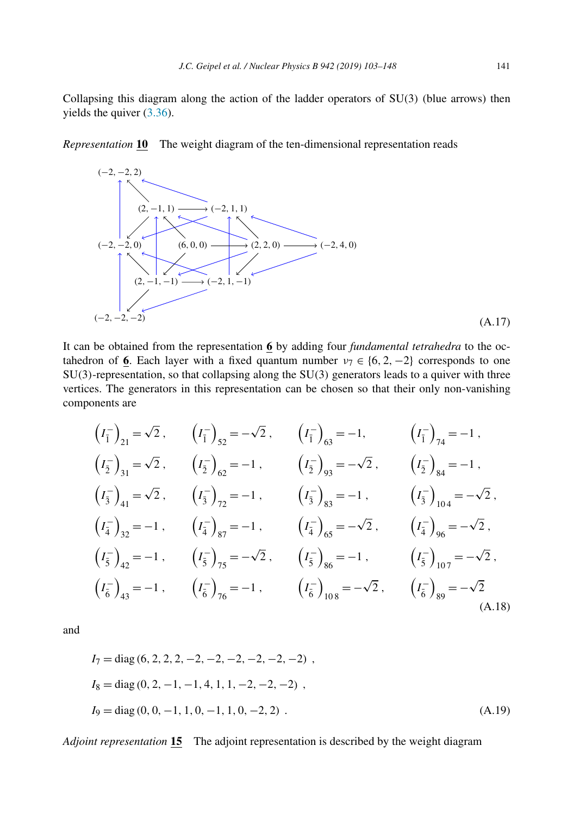<span id="page-38-0"></span>Collapsing this diagram along the action of the ladder operators of SU*(*3*)* (blue arrows) then yields the quiver [\(3.36\)](#page-10-0).

*Representation* **10** The weight diagram of the ten-dimensional representation reads



It can be obtained from the representation **6** by adding four *fundamental tetrahedra* to the octahedron of 6. Each layer with a fixed quantum number  $v_7 \in \{6, 2, -2\}$  corresponds to one SU*(*3*)*-representation, so that collapsing along the SU*(*3*)* generators leads to a quiver with three vertices. The generators in this representation can be chosen so that their only non-vanishing components are

$$
(I_{\overline{1}})_{21} = \sqrt{2}, \qquad (I_{\overline{1}})_{52} = -\sqrt{2}, \qquad (I_{\overline{1}})_{63} = -1, \qquad (I_{\overline{1}})_{74} = -1,
$$
  
\n
$$
(I_{\overline{2}})_{31} = \sqrt{2}, \qquad (I_{\overline{2}})_{62} = -1, \qquad (I_{\overline{2}})_{93} = -\sqrt{2}, \qquad (I_{\overline{2}})_{84} = -1,
$$
  
\n
$$
(I_{\overline{3}})_{41} = \sqrt{2}, \qquad (I_{\overline{3}})_{72} = -1, \qquad (I_{\overline{3}})_{83} = -1, \qquad (I_{\overline{3}})_{104} = -\sqrt{2},
$$
  
\n
$$
(I_{\overline{4}})_{32} = -1, \qquad (I_{\overline{4}})_{87} = -1, \qquad (I_{\overline{4}})_{65} = -\sqrt{2}, \qquad (I_{\overline{4}})_{96} = -\sqrt{2},
$$
  
\n
$$
(I_{\overline{5}})_{42} = -1, \qquad (I_{\overline{5}})_{75} = -\sqrt{2}, \qquad (I_{\overline{5}})_{86} = -1, \qquad (I_{\overline{5}})_{107} = -\sqrt{2},
$$
  
\n
$$
(I_{\overline{6}})_{43} = -1, \qquad (I_{\overline{6}})_{76} = -1, \qquad (I_{\overline{6}})_{108} = -\sqrt{2}, \qquad (I_{\overline{6}})_{89} = -\sqrt{2}
$$
  
\n(A.18)

and

$$
I_7 = diag (6, 2, 2, 2, -2, -2, -2, -2, -2, -2) ,
$$
  
\n
$$
I_8 = diag (0, 2, -1, -1, 4, 1, 1, -2, -2, -2) ,
$$
  
\n
$$
I_9 = diag (0, 0, -1, 1, 0, -1, 1, 0, -2, 2) .
$$
  
\n(A.19)

*Adjoint representation* **15** The adjoint representation is described by the weight diagram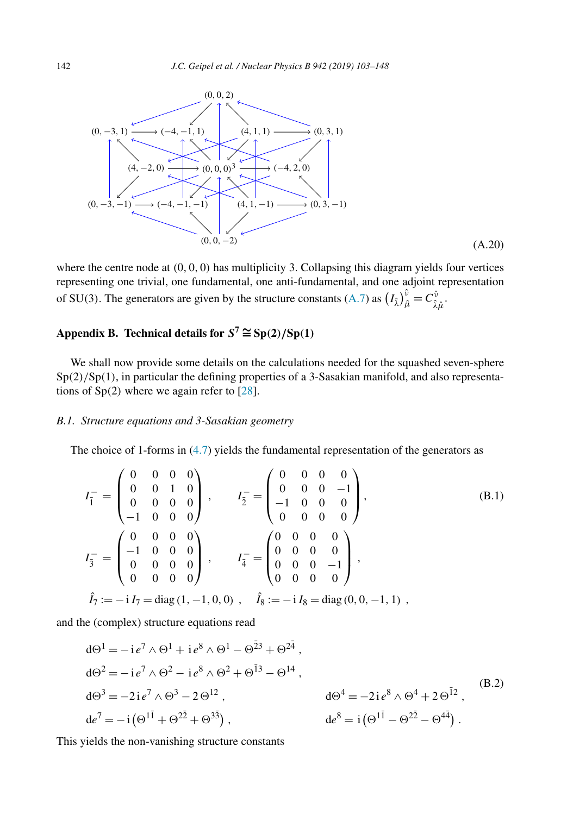<span id="page-39-0"></span>

where the centre node at  $(0, 0, 0)$  has multiplicity 3. Collapsing this diagram yields four vertices representing one trivial, one fundamental, one anti-fundamental, and one adjoint representation of SU(3). The generators are given by the structure constants [\(A.7\)](#page-36-0) as  $(I_{\hat{\lambda}})_{\hat{\mu}}^{\hat{\nu}} = C_{\hat{\lambda}\hat{\mu}}^{\hat{\nu}}$ .

# **Appendix B. Technical details for**  $S^7 \cong Sp(2)/Sp(1)$

We shall now provide some details on the calculations needed for the squashed seven-sphere Sp*(*2*)/*Sp*(*1*)*, in particular the defining properties of a 3-Sasakian manifold, and also representations of Sp*(*2*)* where we again refer to [\[28\]](#page-44-0).

# *B.1. Structure equations and 3-Sasakian geometry*

The choice of 1-forms in  $(4.7)$  yields the fundamental representation of the generators as

$$
I_{\overline{1}}^{-} = \begin{pmatrix} 0 & 0 & 0 & 0 \\ 0 & 0 & 1 & 0 \\ 0 & 0 & 0 & 0 \\ -1 & 0 & 0 & 0 \end{pmatrix}, \qquad I_{\overline{2}}^{-} = \begin{pmatrix} 0 & 0 & 0 & 0 \\ 0 & 0 & 0 & -1 \\ -1 & 0 & 0 & 0 \\ 0 & 0 & 0 & 0 \end{pmatrix}, \qquad (B.1)
$$

$$
I_{\overline{3}}^{-} = \begin{pmatrix} 0 & 0 & 0 & 0 \\ -1 & 0 & 0 & 0 \\ 0 & 0 & 0 & 0 \\ 0 & 0 & 0 & 0 \end{pmatrix}, \qquad I_{\overline{4}}^{-} = \begin{pmatrix} 0 & 0 & 0 & 0 \\ 0 & 0 & 0 & 0 \\ 0 & 0 & 0 & -1 \\ 0 & 0 & 0 & 0 \end{pmatrix}, \qquad \hat{I}_{\overline{7}} := -i I_{7} = \text{diag}(1, -1, 0, 0), \quad \hat{I}_{8} := -i I_{8} = \text{diag}(0, 0, -1, 1),
$$

and the (complex) structure equations read

$$
d\Theta^{1} = -ie^{7} \wedge \Theta^{1} + ie^{8} \wedge \Theta^{1} - \Theta^{\bar{2}3} + \Theta^{2\bar{4}},
$$
  
\n
$$
d\Theta^{2} = -ie^{7} \wedge \Theta^{2} - ie^{8} \wedge \Theta^{2} + \Theta^{\bar{1}3} - \Theta^{14},
$$
  
\n
$$
d\Theta^{3} = -2ie^{7} \wedge \Theta^{3} - 2\Theta^{12},
$$
  
\n
$$
de^{7} = -i(\Theta^{1\bar{1}} + \Theta^{2\bar{2}} + \Theta^{3\bar{3}}),
$$
  
\n
$$
d\Theta^{4} = -2ie^{8} \wedge \Theta^{4} + 2\Theta^{\bar{1}2},
$$
  
\n
$$
d\Theta^{8} = i(\Theta^{1\bar{1}} - \Theta^{2\bar{2}} - \Theta^{4\bar{4}}).
$$
  
\n(B.2)

This yields the non-vanishing structure constants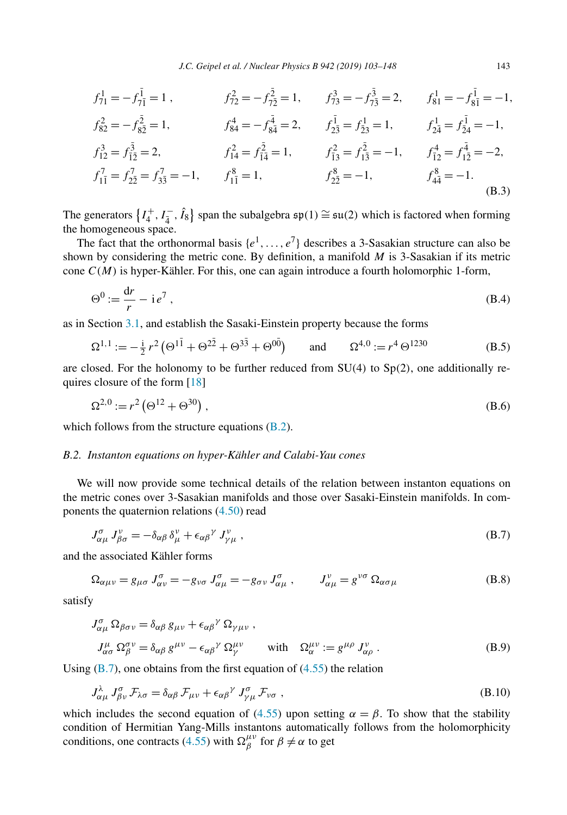<span id="page-40-0"></span>
$$
f_{71}^{1} = -f_{7\overline{1}}^{\overline{1}} = 1, \t f_{72}^{2} = -f_{7\overline{2}}^{\overline{2}} = 1, \t f_{73}^{3} = -f_{7\overline{3}}^{\overline{3}} = 2, \t f_{81}^{1} = -f_{8\overline{1}}^{\overline{1}} = -1, f_{82}^{2} = -f_{8\overline{2}}^{\overline{2}} = 1, \t f_{84}^{4} = -f_{8\overline{4}}^{\overline{4}} = 2, \t f_{2\overline{3}}^{\overline{1}} = f_{2\overline{3}}^{\overline{1}} = 1, \t f_{2\overline{4}}^{1} = f_{\overline{24}}^{\overline{1}} = -1, f_{12}^{3} = f_{\overline{12}}^{\overline{3}} = 2, \t f_{14}^{2} = f_{\overline{14}}^{\overline{2}} = 1, \t f_{\overline{13}}^{2} = f_{\overline{13}}^{\overline{2}} = -1, \t f_{\overline{12}}^{4} = f_{\overline{12}}^{\overline{4}} = -2, f_{1\overline{1}}^{7} = f_{2\overline{2}}^{7} = f_{3\overline{3}}^{7} = -1, \t f_{1\overline{1}}^{8} = 1, \t f_{2\overline{2}}^{8} = -1, \t f_{4\overline{4}}^{8} = -1.
$$
\n(B.3)

The generators  $\{I_4^+, I_4^-, \hat{I}_8\}$  span the subalgebra  $\mathfrak{sp}(1) \cong \mathfrak{su}(2)$  which is factored when forming the homogeneous space.

The fact that the orthonormal basis  $\{e^1, \ldots, e^7\}$  describes a 3-Sasakian structure can also be shown by considering the metric cone. By definition, a manifold *M* is 3-Sasakian if its metric cone  $C(M)$  is hyper-Kähler. For this, one can again introduce a fourth holomorphic 1-form,

$$
\Theta^0 := \frac{\mathrm{d}r}{r} - \mathrm{i}\,e^7\,,\tag{B.4}
$$

as in Section [3.1,](#page-4-0) and establish the Sasaki-Einstein property because the forms

$$
\Omega^{1,1} := -\frac{1}{2}r^2 \left(\Theta^{1\bar{1}} + \Theta^{2\bar{2}} + \Theta^{3\bar{3}} + \Theta^{0\bar{0}}\right) \quad \text{and} \quad \Omega^{4,0} := r^4 \Theta^{1230} \tag{B.5}
$$

are closed. For the holonomy to be further reduced from SU*(*4*)* to Sp*(*2*)*, one additionally requires closure of the form [\[18\]](#page-44-0)

$$
\Omega^{2,0} := r^2 \left( \Theta^{12} + \Theta^{30} \right),\tag{B.6}
$$

which follows from the structure equations  $(B.2)$ .

## *B.2. Instanton equations on hyper-Kähler and Calabi-Yau cones*

We will now provide some technical details of the relation between instanton equations on the metric cones over 3-Sasakian manifolds and those over Sasaki-Einstein manifolds. In components the quaternion relations [\(4.50\)](#page-27-0) read

$$
J^{\sigma}_{\alpha\mu} J^{\nu}_{\beta\sigma} = -\delta_{\alpha\beta} \delta^{\nu}_{\mu} + \epsilon_{\alpha\beta}{}^{\gamma} J^{\nu}_{\gamma\mu} , \qquad (B.7)
$$

and the associated Kähler forms

$$
\Omega_{\alpha\mu\nu} = g_{\mu\sigma} J_{\alpha\nu}^{\sigma} = -g_{\nu\sigma} J_{\alpha\mu}^{\sigma} = -g_{\sigma\nu} J_{\alpha\mu}^{\sigma} , \qquad J_{\alpha\mu}^{\nu} = g^{\nu\sigma} \Omega_{\alpha\sigma\mu}
$$
(B.8)

satisfy

$$
J^{\sigma}_{\alpha\mu} \Omega_{\beta\sigma\nu} = \delta_{\alpha\beta} g_{\mu\nu} + \epsilon_{\alpha\beta}{}^{\gamma} \Omega_{\gamma\mu\nu} ,
$$
  
\n
$$
J^{\mu}_{\alpha\sigma} \Omega^{\sigma\nu}_{\beta} = \delta_{\alpha\beta} g^{\mu\nu} - \epsilon_{\alpha\beta}{}^{\gamma} \Omega^{\mu\nu}_{\gamma} \qquad \text{with} \quad \Omega^{\mu\nu}_{\alpha} := g^{\mu\rho} J^{\nu}_{\alpha\rho} .
$$
\n(B.9)

Using  $(B.7)$ , one obtains from the first equation of  $(4.55)$  the relation

$$
J^{\lambda}_{\alpha\mu} J^{\sigma}_{\beta\nu} \mathcal{F}_{\lambda\sigma} = \delta_{\alpha\beta} \mathcal{F}_{\mu\nu} + \epsilon_{\alpha\beta}{}^{\gamma} J^{\sigma}_{\gamma\mu} \mathcal{F}_{\nu\sigma} , \qquad (B.10)
$$

which includes the second equation of [\(4.55\)](#page-28-0) upon setting  $\alpha = \beta$ . To show that the stability condition of Hermitian Yang-Mills instantons automatically follows from the holomorphicity conditions, one contracts [\(4.55\)](#page-28-0) with  $\Omega_{\beta}^{\mu\nu}$  for  $\beta \neq \alpha$  to get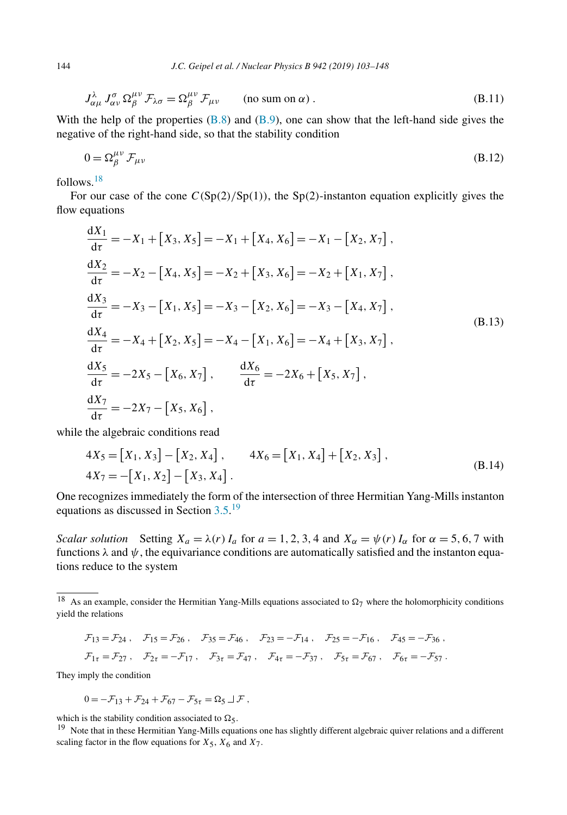<span id="page-41-0"></span>
$$
J^{\lambda}_{\alpha\mu} J^{\sigma}_{\alpha\nu} \Omega^{\mu\nu}_{\beta} \mathcal{F}_{\lambda\sigma} = \Omega^{\mu\nu}_{\beta} \mathcal{F}_{\mu\nu} \qquad \text{(no sum on } \alpha\text{)}.
$$
 (B.11)

With the help of the properties  $(B.8)$  and  $(B.9)$ , one can show that the left-hand side gives the negative of the right-hand side, so that the stability condition

$$
0 = \Omega_{\beta}^{\mu\nu} \mathcal{F}_{\mu\nu}
$$
 (B.12)

follows.18

For our case of the cone  $C(Sp(2)/Sp(1))$ , the Sp(2)-instanton equation explicitly gives the flow equations

$$
\frac{dX_1}{d\tau} = -X_1 + [X_3, X_5] = -X_1 + [X_4, X_6] = -X_1 - [X_2, X_7],
$$
\n
$$
\frac{dX_2}{d\tau} = -X_2 - [X_4, X_5] = -X_2 + [X_3, X_6] = -X_2 + [X_1, X_7],
$$
\n
$$
\frac{dX_3}{d\tau} = -X_3 - [X_1, X_5] = -X_3 - [X_2, X_6] = -X_3 - [X_4, X_7],
$$
\n
$$
\frac{dX_4}{d\tau} = -X_4 + [X_2, X_5] = -X_4 - [X_1, X_6] = -X_4 + [X_3, X_7],
$$
\n
$$
\frac{dX_5}{d\tau} = -2X_5 - [X_6, X_7],
$$
\n
$$
\frac{dX_6}{d\tau} = -2X_6 + [X_5, X_7],
$$
\n
$$
\frac{dX_7}{d\tau} = -2X_7 - [X_5, X_6],
$$
\n(8.13)

while the algebraic conditions read

$$
4X_5 = [X_1, X_3] - [X_2, X_4], \qquad 4X_6 = [X_1, X_4] + [X_2, X_3],
$$
  

$$
4X_7 = -[X_1, X_2] - [X_3, X_4].
$$
 (B.14)

One recognizes immediately the form of the intersection of three Hermitian Yang-Mills instanton equations as discussed in Section [3.5.](#page-14-0)<sup>19</sup>

*Scalar solution* Setting  $X_a = \lambda(r) I_a$  for  $a = 1, 2, 3, 4$  and  $X_\alpha = \psi(r) I_\alpha$  for  $\alpha = 5, 6, 7$  with functions *λ* and *ψ*, the equivariance conditions are automatically satisfied and the instanton equations reduce to the system

$$
\mathcal{F}_{13} = \mathcal{F}_{24} , \quad \mathcal{F}_{15} = \mathcal{F}_{26} , \quad \mathcal{F}_{35} = \mathcal{F}_{46} , \quad \mathcal{F}_{23} = -\mathcal{F}_{14} , \quad \mathcal{F}_{25} = -\mathcal{F}_{16} , \quad \mathcal{F}_{45} = -\mathcal{F}_{36} ,
$$
  

$$
\mathcal{F}_{1\tau} = \mathcal{F}_{27} , \quad \mathcal{F}_{2\tau} = -\mathcal{F}_{17} , \quad \mathcal{F}_{3\tau} = \mathcal{F}_{47} , \quad \mathcal{F}_{4\tau} = -\mathcal{F}_{37} , \quad \mathcal{F}_{5\tau} = \mathcal{F}_{67} , \quad \mathcal{F}_{6\tau} = -\mathcal{F}_{57} .
$$

They imply the condition

$$
0 = -\mathcal{F}_{13} + \mathcal{F}_{24} + \mathcal{F}_{67} - \mathcal{F}_{5\tau} = \Omega_5 \sqcup \mathcal{F},
$$

which is the stability condition associated to  $\Omega_5$ .<br><sup>19</sup> Note that in these Hermitian Yang-Mills equations one has slightly different algebraic quiver relations and a different scaling factor in the flow equations for  $X_5$ ,  $X_6$  and  $X_7$ .

<sup>&</sup>lt;sup>18</sup> As an example, consider the Hermitian Yang-Mills equations associated to  $\Omega_7$  where the holomorphicity conditions yield the relations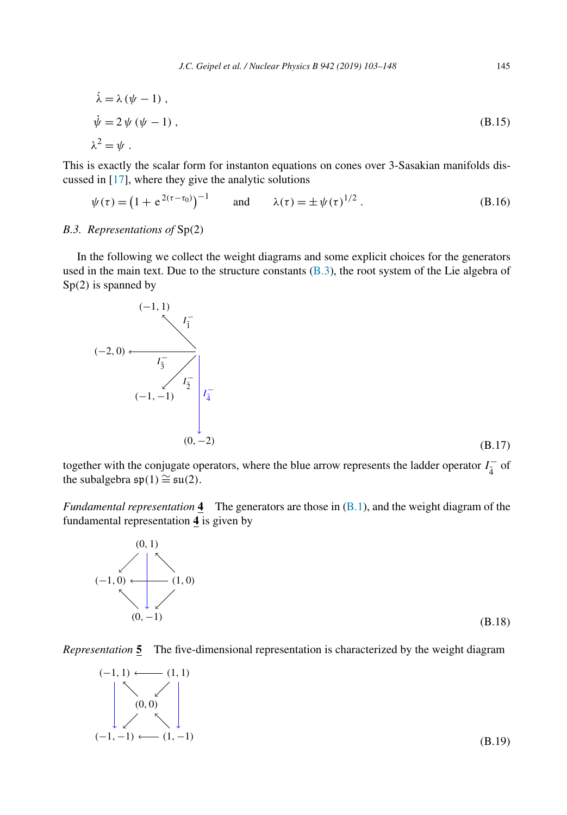<span id="page-42-0"></span>
$$
\dot{\lambda} = \lambda (\psi - 1) ,
$$
  
\n
$$
\dot{\psi} = 2 \psi (\psi - 1) ,
$$
  
\n
$$
\lambda^2 = \psi .
$$
 (B.15)

This is exactly the scalar form for instanton equations on cones over 3-Sasakian manifolds discussed in [\[17\]](#page-44-0), where they give the analytic solutions

$$
\psi(\tau) = (1 + e^{2(\tau - \tau_0)})^{-1}
$$
 and  $\lambda(\tau) = \pm \psi(\tau)^{1/2}$ . (B.16)

#### *B.3. Representations of* Sp*(*2*)*

In the following we collect the weight diagrams and some explicit choices for the generators used in the main text. Due to the structure constants  $(B.3)$ , the root system of the Lie algebra of Sp*(*2*)* is spanned by



together with the conjugate operators, where the blue arrow represents the ladder operator  $I_{\frac{1}{4}}^-$  of the subalgebra  $\mathfrak{sp}(1) \cong \mathfrak{su}(2)$ .

*Fundamental representation* **4** The generators are those in [\(B.1\)](#page-39-0), and the weight diagram of the fundamental representation **4** is given by



*Representation* **5** The five-dimensional representation is characterized by the weight diagram

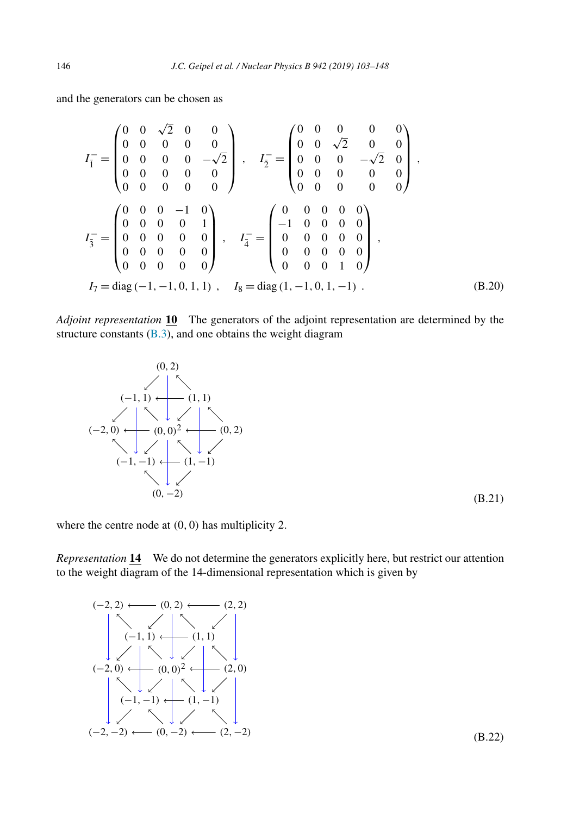<span id="page-43-0"></span>and the generators can be chosen as

$$
I_{\overline{1}}^{-} = \begin{pmatrix} 0 & 0 & \sqrt{2} & 0 & 0 \\ 0 & 0 & 0 & 0 & 0 \\ 0 & 0 & 0 & 0 & -\sqrt{2} \\ 0 & 0 & 0 & 0 & 0 \\ 0 & 0 & 0 & 0 & 0 \end{pmatrix}, \quad I_{\overline{2}}^{-} = \begin{pmatrix} 0 & 0 & 0 & 0 & 0 \\ 0 & 0 & \sqrt{2} & 0 & 0 \\ 0 & 0 & 0 & -\sqrt{2} & 0 \\ 0 & 0 & 0 & 0 & 0 \\ 0 & 0 & 0 & 0 & 0 \end{pmatrix},
$$

$$
I_{\overline{3}}^{-} = \begin{pmatrix} 0 & 0 & 0 & -1 & 0 \\ 0 & 0 & 0 & 0 & 1 \\ 0 & 0 & 0 & 0 & 0 \\ 0 & 0 & 0 & 0 & 0 \end{pmatrix}, \quad I_{\overline{4}}^{-} = \begin{pmatrix} 0 & 0 & 0 & 0 & 0 \\ -1 & 0 & 0 & 0 & 0 \\ 0 & 0 & 0 & 0 & 0 \\ 0 & 0 & 0 & 0 & 0 \\ 0 & 0 & 0 & 1 & 0 \end{pmatrix},
$$

$$
I_{7} = \text{diag}(-1, -1, 0, 1, 1), \quad I_{8} = \text{diag}(1, -1, 0, 1, -1) \tag{B.20}
$$

*Adjoint representation* **10** The generators of the adjoint representation are determined by the structure constants  $(B.3)$ , and one obtains the weight diagram



(B.21)

where the centre node at *(*0*,* 0*)* has multiplicity 2.

*Representation* **14** We do not determine the generators explicitly here, but restrict our attention to the weight diagram of the 14-dimensional representation which is given by

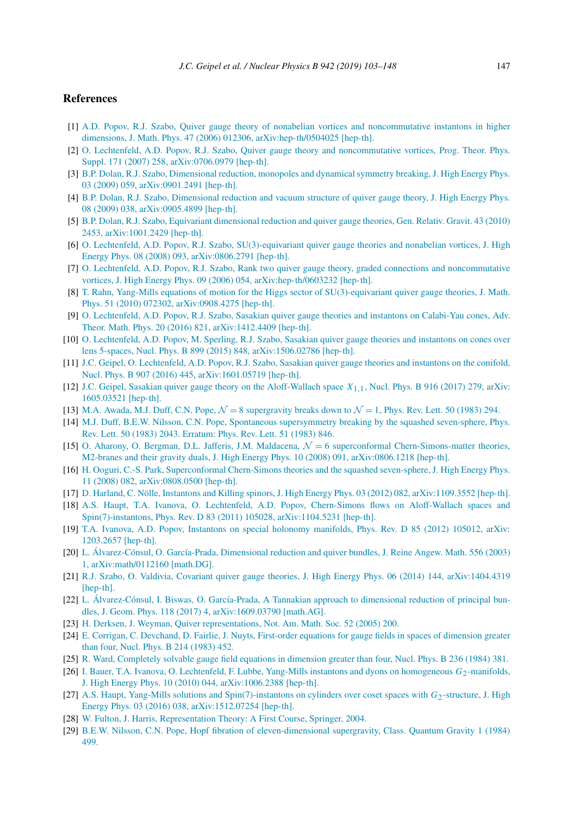#### <span id="page-44-0"></span>**References**

- [1] A.D. Popov, R.J. Szabo, Quiver gauge theory of nonabelian vortices and [noncommutative](http://refhub.elsevier.com/S0550-3213(19)30072-0/bib506F706F763A32303035696Bs1) instantons in higher dimensions, J. Math. Phys. 47 (2006) 012306, [arXiv:hep-th/0504025 \[hep-th\].](http://refhub.elsevier.com/S0550-3213(19)30072-0/bib506F706F763A32303035696Bs1)
- [2] O. Lechtenfeld, A.D. Popov, R.J. Szabo, Quiver gauge theory and [noncommutative](http://refhub.elsevier.com/S0550-3213(19)30072-0/bib4C65636874656E66656C643A323030377374s1) vortices, Prog. Theor. Phys. Suppl. 171 (2007) 258, [arXiv:0706.0979 \[hep-th\].](http://refhub.elsevier.com/S0550-3213(19)30072-0/bib4C65636874656E66656C643A323030377374s1)
- [3] B.P. Dolan, R.J. Szabo, [Dimensional](http://refhub.elsevier.com/S0550-3213(19)30072-0/bib446F6C616E3A323030396965s1) reduction, monopoles and dynamical symmetry breaking, J. High Energy Phys. 03 (2009) 059, [arXiv:0901.2491 \[hep-th\].](http://refhub.elsevier.com/S0550-3213(19)30072-0/bib446F6C616E3A323030396965s1)
- [4] B.P. Dolan, R.J. Szabo, [Dimensional](http://refhub.elsevier.com/S0550-3213(19)30072-0/bib446F6C616E3A323030396E7As1) reduction and vacuum structure of quiver gauge theory, J. High Energy Phys. 08 (2009) 038, [arXiv:0905.4899 \[hep-th\].](http://refhub.elsevier.com/S0550-3213(19)30072-0/bib446F6C616E3A323030396E7As1)
- [5] B.P. Dolan, R.J. Szabo, Equivariant [dimensional](http://refhub.elsevier.com/S0550-3213(19)30072-0/bib446F6C616E3A323031307572s1) reduction and quiver gauge theories, Gen. Relativ. Gravit. 43 (2010) 2453, [arXiv:1001.2429 \[hep-th\].](http://refhub.elsevier.com/S0550-3213(19)30072-0/bib446F6C616E3A323031307572s1)
- [6] O. Lechtenfeld, A.D. Popov, R.J. Szabo, [SU\(3\)-equivariant](http://refhub.elsevier.com/S0550-3213(19)30072-0/bib4C65636874656E66656C643A323030386E68s1) quiver gauge theories and nonabelian vortices, J. High Energy Phys. 08 (2008) 093, [arXiv:0806.2791 \[hep-th\].](http://refhub.elsevier.com/S0550-3213(19)30072-0/bib4C65636874656E66656C643A323030386E68s1)
- [7] O. Lechtenfeld, A.D. Popov, R.J. Szabo, Rank two quiver gauge theory, graded connections and [noncommutative](http://refhub.elsevier.com/S0550-3213(19)30072-0/bib4C65636874656E66656C643A323030367775s1) vortices, J. High Energy Phys. 09 (2006) 054, [arXiv:hep-th/0603232 \[hep-th\].](http://refhub.elsevier.com/S0550-3213(19)30072-0/bib4C65636874656E66656C643A323030367775s1)
- [8] T. Rahn, Yang-Mills equations of motion for the Higgs sector of [SU\(3\)-equivariant](http://refhub.elsevier.com/S0550-3213(19)30072-0/bib5261686E3A323030397974s1) quiver gauge theories, J. Math. Phys. 51 (2010) 072302, [arXiv:0908.4275 \[hep-th\].](http://refhub.elsevier.com/S0550-3213(19)30072-0/bib5261686E3A323030397974s1)
- [9] O. [Lechtenfeld,](http://refhub.elsevier.com/S0550-3213(19)30072-0/bib4C65636874656E66656C643A32303134667A61s1) A.D. Popov, R.J. Szabo, Sasakian quiver gauge theories and instantons on Calabi-Yau cones, Adv. Theor. Math. Phys. 20 (2016) 821, [arXiv:1412.4409 \[hep-th\].](http://refhub.elsevier.com/S0550-3213(19)30072-0/bib4C65636874656E66656C643A32303134667A61s1)
- [10] O. [Lechtenfeld,](http://refhub.elsevier.com/S0550-3213(19)30072-0/bib4C65636874656E66656C643A323031356F6E61s1) A.D. Popov, M. Sperling, R.J. Szabo, Sasakian quiver gauge theories and instantons on cones over lens 5-spaces, Nucl. Phys. B 899 (2015) 848, [arXiv:1506.02786 \[hep-th\].](http://refhub.elsevier.com/S0550-3213(19)30072-0/bib4C65636874656E66656C643A323031356F6E61s1)
- [11] J.C. Geipel, O. [Lechtenfeld,](http://refhub.elsevier.com/S0550-3213(19)30072-0/bib47656970656C3A3230313675696As1) A.D. Popov, R.J. Szabo, Sasakian quiver gauge theories and instantons on the conifold, Nucl. Phys. B 907 (2016) 445, [arXiv:1601.05719 \[hep-th\].](http://refhub.elsevier.com/S0550-3213(19)30072-0/bib47656970656C3A3230313675696As1)
- [12] J.C. Geipel, Sasakian quiver gauge theory on the [Aloff-Wallach](http://refhub.elsevier.com/S0550-3213(19)30072-0/bib47656970656C3A3230313668706Bs1) space *X*1*,*1, Nucl. Phys. B 916 (2017) 279, arXiv: [1605.03521 \[hep-th\].](http://refhub.elsevier.com/S0550-3213(19)30072-0/bib47656970656C3A3230313668706Bs1)
- [13] M.A. Awada, M.J. Duff, C.N. Pope,  $\mathcal{N} = 8$  supergravity breaks down to  $\mathcal{N} = 1$ , Phys. Rev. Lett. 50 (1983) 294.
- [14] M.J. Duff, B.E.W. Nilsson, C.N. Pope, Spontaneous [supersymmetry](http://refhub.elsevier.com/S0550-3213(19)30072-0/bib447566663A31393833616A71s1) breaking by the squashed seven-sphere, Phys. Rev. Lett. 50 (1983) 2043. [Erratum:](http://refhub.elsevier.com/S0550-3213(19)30072-0/bib447566663A31393833616A71s1) Phys. Rev. Lett. 51 (1983) 846.
- [15] O. Aharony, O. Bergman, D.L. Jafferis, J.M. Maldacena,  $\mathcal{N} = 6$  superconformal [Chern-Simons-matter](http://refhub.elsevier.com/S0550-3213(19)30072-0/bib416861726F6E793A323030387567s1) theories, M2-branes and their gravity duals, J. High Energy Phys. 10 (2008) 091, [arXiv:0806.1218 \[hep-th\].](http://refhub.elsevier.com/S0550-3213(19)30072-0/bib416861726F6E793A323030387567s1)
- [16] H. Ooguri, C.-S. Park, [Superconformal](http://refhub.elsevier.com/S0550-3213(19)30072-0/bib4F6F677572693A32303038646Bs1) Chern-Simons theories and the squashed seven-sphere, J. High Energy Phys. 11 (2008) 082, [arXiv:0808.0500 \[hep-th\].](http://refhub.elsevier.com/S0550-3213(19)30072-0/bib4F6F677572693A32303038646Bs1)
- [17] D. Harland, C. Nölle, Instantons and Killing spinors, J. High Energy Phys. 03 (2012) 082, [arXiv:1109.3552 \[hep-th\].](http://refhub.elsevier.com/S0550-3213(19)30072-0/bib4861726C616E643A323031317A73s1)
- [18] A.S. Haupt, T.A. Ivanova, O. Lechtenfeld, A.D. Popov, [Chern-Simons](http://refhub.elsevier.com/S0550-3213(19)30072-0/bib48617570743A323031316D67s1) flows on Aloff-Wallach spaces and Spin(7)-instantons, Phys. Rev. D 83 (2011) 105028, [arXiv:1104.5231 \[hep-th\].](http://refhub.elsevier.com/S0550-3213(19)30072-0/bib48617570743A323031316D67s1)
- [19] T.A. Ivanova, A.D. Popov, Instantons on special holonomy [manifolds,](http://refhub.elsevier.com/S0550-3213(19)30072-0/bib4976616E6F76613A32303132767As1) Phys. Rev. D 85 (2012) 105012, arXiv: [1203.2657 \[hep-th\].](http://refhub.elsevier.com/S0550-3213(19)30072-0/bib4976616E6F76613A32303132767As1)
- [20] L. [Álvarez-Cónsul,](http://refhub.elsevier.com/S0550-3213(19)30072-0/bib416C766172657A436F6E73756C3A32303031756Bs1) O. García-Prada, Dimensional reduction and quiver bundles, J. Reine Angew. Math. 556 (2003) 1, [arXiv:math/0112160 \[math.DG\].](http://refhub.elsevier.com/S0550-3213(19)30072-0/bib416C766172657A436F6E73756C3A32303031756Bs1)
- [21] R.J. Szabo, O. Valdivia, Covariant quiver gauge theories, J. High Energy Phys. 06 (2014) 144, [arXiv:1404.4319](http://refhub.elsevier.com/S0550-3213(19)30072-0/bib537A61626F3A323031347A7561s1) [\[hep-th\].](http://refhub.elsevier.com/S0550-3213(19)30072-0/bib537A61626F3A323031347A7561s1)
- [22] L. [Álvarez-Cónsul,](http://refhub.elsevier.com/S0550-3213(19)30072-0/bib416C766172657A2D436F6E73756C3A3230313669626Es1) I. Biswas, O. García-Prada, A Tannakian approach to dimensional reduction of principal bundles, J. Geom. Phys. 118 (2017) 4, [arXiv:1609.03790 \[math.AG\].](http://refhub.elsevier.com/S0550-3213(19)30072-0/bib416C766172657A2D436F6E73756C3A3230313669626Es1)
- [23] H. Derksen, J. Weyman, Quiver [representations,](http://refhub.elsevier.com/S0550-3213(19)30072-0/bib6465726B73656E32303035717569766572s1) Not. Am. Math. Soc. 52 (2005) 200.
- [24] E. Corrigan, C. [Devchand,](http://refhub.elsevier.com/S0550-3213(19)30072-0/bib434F52524947414E31393833343532s1) D. Fairlie, J. Nuyts, First-order equations for gauge fields in spaces of dimension greater than four, Nucl. Phys. B 214 [\(1983\)](http://refhub.elsevier.com/S0550-3213(19)30072-0/bib434F52524947414E31393833343532s1) 452.
- [25] R. Ward, [Completely](http://refhub.elsevier.com/S0550-3213(19)30072-0/bib5741524431393834333831s1) solvable gauge field equations in dimension greater than four, Nucl. Phys. B 236 (1984) 381.
- [26] I. Bauer, T.A. Ivanova, O. Lechtenfeld, F. Lubbe, Yang-Mills instantons and dyons on [homogeneous](http://refhub.elsevier.com/S0550-3213(19)30072-0/bib42617565723A32303130666961s1) *G*2-manifolds, J. High Energy Phys. 10 (2010) 044, [arXiv:1006.2388 \[hep-th\].](http://refhub.elsevier.com/S0550-3213(19)30072-0/bib42617565723A32303130666961s1)
- [27] A.S. Haupt, Yang-Mills solutions and [Spin\(7\)-instantons](http://refhub.elsevier.com/S0550-3213(19)30072-0/bib48617570743A32303135776471s1) on cylinders over coset spaces with  $G_2$ -structure, J. High Energy Phys. 03 (2016) 038, [arXiv:1512.07254 \[hep-th\].](http://refhub.elsevier.com/S0550-3213(19)30072-0/bib48617570743A32303135776471s1)
- [28] W. Fulton, J. Harris, [Representation](http://refhub.elsevier.com/S0550-3213(19)30072-0/bib66756C746F6E32303133726570726573656E746174696F6Es1) Theory: A First Course, Springer, 2004.
- [29] B.E.W. Nilsson, C.N. Pope, Hopf fibration of [eleven-dimensional](http://refhub.elsevier.com/S0550-3213(19)30072-0/bib4E696C73736F6E3A31393834626As1) supergravity, Class. Quantum Gravity 1 (1984) [499.](http://refhub.elsevier.com/S0550-3213(19)30072-0/bib4E696C73736F6E3A31393834626As1)